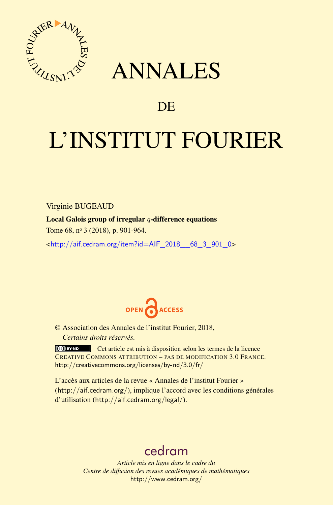

# ANNALES

## **DE**

# L'INSTITUT FOURIER

Virginie BUGEAUD

Local Galois group of irregular *q*-difference equations

Tome 68, nº 3 (2018), p. 901-964.

<[http://aif.cedram.org/item?id=AIF\\_2018\\_\\_68\\_3\\_901\\_0](http://aif.cedram.org/item?id=AIF_2018__68_3_901_0)>



© Association des Annales de l'institut Fourier, 2018, *Certains droits réservés.*

Cet article est mis à disposition selon les termes de la licence CREATIVE COMMONS ATTRIBUTION – PAS DE MODIFICATION 3.0 FRANCE. <http://creativecommons.org/licenses/by-nd/3.0/fr/>

L'accès aux articles de la revue « Annales de l'institut Fourier » (<http://aif.cedram.org/>), implique l'accord avec les conditions générales d'utilisation (<http://aif.cedram.org/legal/>).

# [cedram](http://www.cedram.org/)

*Article mis en ligne dans le cadre du Centre de diffusion des revues académiques de mathématiques* <http://www.cedram.org/>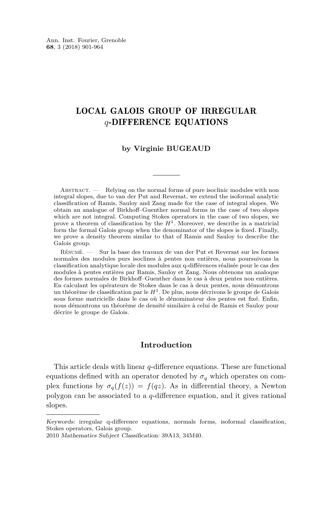## LOCAL GALOIS GROUP OF IRREGULAR *q*-DIFFERENCE EQUATIONS

#### **by Virginie BUGEAUD**

ABSTRACT. — Relying on the normal forms of pure isoclinic modules with non integral slopes, due to van der Put and Reversat, we extend the isoformal analytic classification of Ramis, Sauloy and Zang made for the case of integral slopes. We obtain an analogue of Birkhoff–Guenther normal forms in the case of two slopes which are not integral. Computing Stokes operators in the case of two slopes, we prove a theorem of classification by the  $H<sup>1</sup>$ . Moreover, we describe in a matricial form the formal Galois group when the denominator of the slopes is fixed. Finally, we prove a density theorem similar to that of Ramis and Sauloy to describe the Galois group.

Résumé. — Sur la base des travaux de van der Put et Reversat sur les formes normales des modules purs isoclines à pentes non entières, nous poursuivons la classification analytique locale des modules aux q-différences réalisée pour le cas des modules à pentes entières par Ramis, Sauloy et Zang. Nous obtenons un analoque des formes normales de Birkhoff–Guenther dans le cas à deux pentes non entières. En calculant les opérateurs de Stokes dans le cas à deux pentes, nous démontrons un théorème de classification par le *H*<sup>1</sup> . De plus, nous décrivons le groupe de Galois sous forme matricielle dans le cas où le dénominateur des pentes est fixé. Enfin, nous démontrons un théorème de densité similaire à celui de Ramis et Sauloy pour décrire le groupe de Galois.

#### **Introduction**

This article deals with linear *q*-difference equations. These are functional equations defined with an operator denoted by  $\sigma_q$  which operates on complex functions by  $\sigma_q(f(z)) = f(qz)$ . As in differential theory, a Newton polygon can be associated to a *q*-difference equation, and it gives rational slopes.

Keywords: irregular q-difference equations, normals forms, isoformal classification, Stokes operators, Galois group.

<sup>2010</sup> Mathematics Subject Classification: 39A13, 34M40.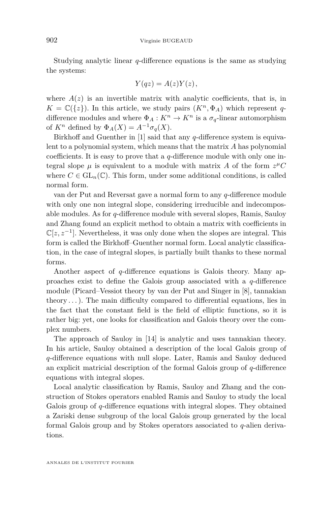Studying analytic linear *q*-difference equations is the same as studying the systems:

$$
Y(qz) = A(z)Y(z),
$$

where  $A(z)$  is an invertible matrix with analytic coefficients, that is, in  $K = \mathbb{C}(\{z\})$ . In this article, we study pairs  $(K^n, \Phi_A)$  which represent *q*difference modules and where  $\Phi_A: K^n \to K^n$  is a  $\sigma_q$ -linear automorphism of  $K^n$  defined by  $\Phi_A(X) = A^{-1} \sigma_q(X)$ .

Birkhoff and Guenther in [\[1\]](#page-63-0) said that any *q*-difference system is equivalent to a polynomial system, which means that the matrix *A* has polynomial coefficients. It is easy to prove that a *q*-difference module with only one integral slope  $\mu$  is equivalent to a module with matrix A of the form  $z^{\mu}C$ where  $C \in GL_n(\mathbb{C})$ . This form, under some additional conditions, is called normal form.

van der Put and Reversat gave a normal form to any *q*-difference module with only one non integral slope, considering irreducible and indecomposable modules. As for *q*-difference module with several slopes, Ramis, Sauloy and Zhang found an explicit method to obtain a matrix with coefficients in  $\mathbb{C}[z, z^{-1}]$ . Nevertheless, it was only done when the slopes are integral. This form is called the Birkhoff–Guenther normal form. Local analytic classification, in the case of integral slopes, is partially built thanks to these normal forms.

Another aspect of *q*-difference equations is Galois theory. Many approaches exist to define the Galois group associated with a *q*-difference module (Picard–Vessiot theory by van der Put and Singer in [\[8\]](#page-63-1), tannakian theory  $\dots$ ). The main difficulty compared to differential equations, lies in the fact that the constant field is the field of elliptic functions, so it is rather big: yet, one looks for classification and Galois theory over the complex numbers.

The approach of Sauloy in [\[14\]](#page-64-0) is analytic and uses tannakian theory. In his article, Sauloy obtained a description of the local Galois group of *q*-difference equations with null slope. Later, Ramis and Sauloy deduced an explicit matricial description of the formal Galois group of *q*-difference equations with integral slopes.

Local analytic classification by Ramis, Sauloy and Zhang and the construction of Stokes operators enabled Ramis and Sauloy to study the local Galois group of *q*-difference equations with integral slopes. They obtained a Zariski dense subgroup of the local Galois group generated by the local formal Galois group and by Stokes operators associated to *q*-alien derivations.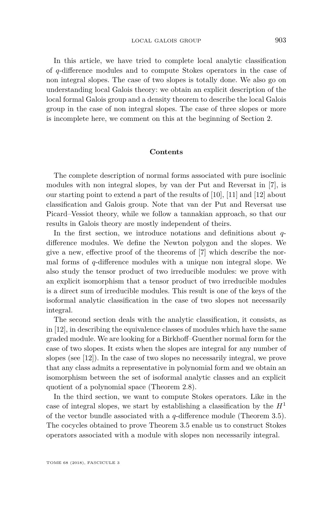In this article, we have tried to complete local analytic classification of *q*-difference modules and to compute Stokes operators in the case of non integral slopes. The case of two slopes is totally done. We also go on understanding local Galois theory: we obtain an explicit description of the local formal Galois group and a density theorem to describe the local Galois group in the case of non integral slopes. The case of three slopes or more is incomplete here, we comment on this at the beginning of Section [2.](#page-11-0)

#### **Contents**

The complete description of normal forms associated with pure isoclinic modules with non integral slopes, by van der Put and Reversat in [\[7\]](#page-63-2), is our starting point to extend a part of the results of [\[10\]](#page-63-3), [\[11\]](#page-63-4) and [\[12\]](#page-63-5) about classification and Galois group. Note that van der Put and Reversat use Picard–Vessiot theory, while we follow a tannakian approach, so that our results in Galois theory are mostly independent of theirs.

In the first section, we introduce notations and definitions about *q*difference modules. We define the Newton polygon and the slopes. We give a new, effective proof of the theorems of [\[7\]](#page-63-2) which describe the normal forms of *q*-difference modules with a unique non integral slope. We also study the tensor product of two irreducible modules: we prove with an explicit isomorphism that a tensor product of two irreducible modules is a direct sum of irreducible modules. This result is one of the keys of the isoformal analytic classification in the case of two slopes not necessarily integral.

The second section deals with the analytic classification, it consists, as in [\[12\]](#page-63-5), in describing the equivalence classes of modules which have the same graded module. We are looking for a Birkhoff–Guenther normal form for the case of two slopes. It exists when the slopes are integral for any number of slopes (see [\[12\]](#page-63-5)). In the case of two slopes no necessarily integral, we prove that any class admits a representative in polynomial form and we obtain an isomorphism between the set of isoformal analytic classes and an explicit quotient of a polynomial space (Theorem [2.8\)](#page-19-0).

In the third section, we want to compute Stokes operators. Like in the case of integral slopes, we start by establishing a classification by the  $H<sup>1</sup>$ of the vector bundle associated with a *q*-difference module (Theorem [3.5\)](#page-26-0). The cocycles obtained to prove Theorem [3.5](#page-26-0) enable us to construct Stokes operators associated with a module with slopes non necessarily integral.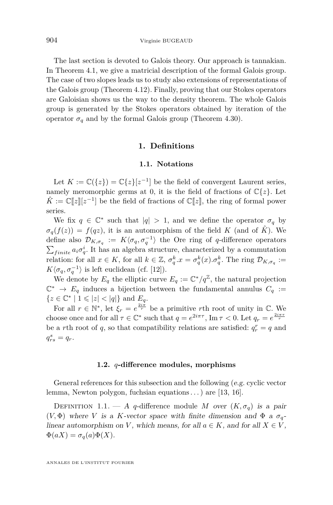The last section is devoted to Galois theory. Our approach is tannakian. In Theorem [4.1,](#page-33-0) we give a matricial description of the formal Galois group. The case of two slopes leads us to study also extensions of representations of the Galois group (Theorem [4.12\)](#page-47-0). Finally, proving that our Stokes operators are Galoisian shows us the way to the density theorem. The whole Galois group is generated by the Stokes operators obtained by iteration of the operator  $\sigma_q$  and by the formal Galois group (Theorem [4.30\)](#page-61-0).

#### **1. Definitions**

#### **1.1. Notations**

<span id="page-4-1"></span><span id="page-4-0"></span>Let  $K := \mathbb{C}(\{z\}) = \mathbb{C}\{z\} [z^{-1}]$  be the field of convergent Laurent series, namely meromorphic germs at 0, it is the field of fractions of  $\mathbb{C}\{z\}$ . Let  $\hat{K} := \mathbb{C}[\![z]\!][z^{-1}]$  be the field of fractions of  $\mathbb{C}[\![z]\!],$  the ring of formal power series.

We fix  $q \in \mathbb{C}^*$  such that  $|q| > 1$ , and we define the operator  $\sigma_q$  by  $\sigma_q(f(z)) = f(qz)$ , it is an automorphism of the field *K* (and of  $\hat{K}$ ). We define also  $\mathcal{D}_{K,\sigma_q} := K\langle \sigma_q, \sigma_q^{-1} \rangle$  the Ore ring of *q*-difference operators  $\sum_{finite} a_i \sigma_q^i$ . It has an algebra structure, characterized by a commutation relation: for all  $x \in K$ , for all  $k \in \mathbb{Z}$ ,  $\sigma_q^k x = \sigma_q^k(x) \cdot \sigma_q^k$ . The ring  $\mathcal{D}_{K,\sigma_q} :=$  $K\langle \sigma_q, \sigma_q^{-1} \rangle$  is left euclidean (cf. [\[12\]](#page-63-5)).

We denote by  $E_q$  the elliptic curve  $E_q := \mathbb{C}^*/q^{\mathbb{Z}}$ , the natural projection  $\mathbb{C}^* \to E_q$  induces a bijection between the fundamental annulus  $C_q$  :=  $\{z \in \mathbb{C}^* \mid 1 \leqslant |z| < |q|\}$  and  $E_q$ .

For all  $r \in \mathbb{N}^*$ , let  $\xi_r = e^{\frac{2i\pi}{r}}$  be a primitive *r*th root of unity in  $\mathbb{C}$ . We choose once and for all  $\tau \in \mathbb{C}^*$  such that  $q = e^{2i\pi\tau}$ , Im  $\tau < 0$ . Let  $q_r = e^{\frac{2i\pi\tau}{r}}$ be a *r*th root of *q*, so that compatibility relations are satisfied:  $q_r^r = q$  and  $q_{rs}^s = q_r$ .

#### **1.2.** *q***-difference modules, morphisms**

General references for this subsection and the following (e.g. cyclic vector lemma, Newton polygon, fuchsian equations . . . ) are [\[13,](#page-63-6) [16\]](#page-64-1).

DEFINITION 1.1. — A *q*-difference module *M* over  $(K, \sigma_q)$  is a pair ( $V$ , $\Phi$ ) where *V* is a *K*-vector space with finite dimension and  $\Phi$  a  $\sigma_q$ linear automorphism on *V*, which means, for all  $a \in K$ , and for all  $X \in V$ ,  $\Phi(aX) = \sigma_q(a)\Phi(X).$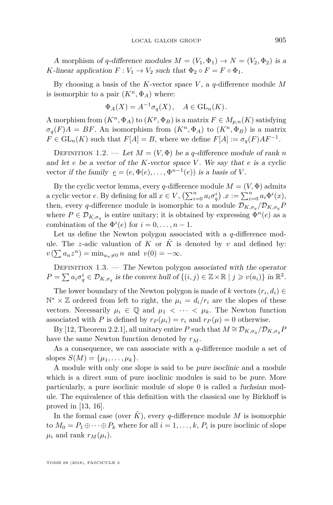A morphism of *q*-difference modules  $M = (V_1, \Phi_1) \rightarrow N = (V_2, \Phi_2)$  is a *K*-linear application  $F: V_1 \to V_2$  such that  $\Phi_2 \circ F = F \circ \Phi_1$ .

By choosing a basis of the *K*-vector space *V* , a *q*-difference module *M* is isomorphic to a pair  $(K^n, \Phi_A)$  where:

$$
\Phi_A(X) = A^{-1} \sigma_q(X), \quad A \in \mathrm{GL}_n(K).
$$

A morphism from  $(K^n, \Phi_A)$  to  $(K^p, \Phi_B)$  is a matrix  $F \in M_{p,n}(K)$  satisfying  $\sigma_q(F)A = BF$ . An isomorphism from  $(K^n, \Phi_A)$  to  $(K^n, \Phi_B)$  is a matrix  $F \in GL_n(K)$  such that  $F[A] = B$ , where we define  $F[A] := \sigma_q(F)AF^{-1}$ .

DEFINITION 1.2. — Let  $M = (V, \Phi)$  be a *q*-difference module of rank *n* and let *e* be a vector of the *K*-vector space *V* . We say that *e* is a cyclic vector if the family  $\underline{e} = (e, \Phi(e), \dots, \Phi^{n-1}(e))$  is a basis of *V*.

By the cyclic vector lemma, every *q*-difference module  $M = (V, \Phi)$  admits a cyclic vector *e*. By defining for all  $x \in V$ ,  $\left(\sum_{i=0}^{n} a_i \sigma_q^i\right)$   $x := \sum_{i=0}^{n} a_i \Phi^i(x)$ , then, every *q*-difference module is isomorphic to a module  $\mathcal{D}_{K,\sigma_q}/\mathcal{D}_{K,\sigma_q}P$ where  $P \in \mathcal{D}_{K,\sigma_q}$  is entire unitary; it is obtained by expressing  $\Phi^n(e)$  as a combination of the  $\Phi^{i}(e)$  for  $i = 0, \ldots, n - 1$ .

Let us define the Newton polygon associated with a *q*-difference module. The *z*-adic valuation of *K* or  $\hat{K}$  is denoted by *v* and defined by:  $v(\sum a_n z^n) = \min_{a_n \neq 0} n$  and  $v(0) = -\infty$ .

DEFINITION  $1.3.$  — The Newton polygon associated with the operator  $P = \sum a_i \sigma_q^i \in \mathcal{D}_{K,\sigma_q}$  is the convex hull of  $\{(i,j) \in \mathbb{Z} \times \mathbb{R} \mid j \geqslant v(a_i)\}\$  in  $\mathbb{R}^2$ .

The lower boundary of the Newton polygon is made of *k* vectors  $(r_i, d_i) \in$  $\mathbb{N}^* \times \mathbb{Z}$  ordered from left to right, the  $\mu_i = d_i/r_i$  are the slopes of these vectors. Necessarily  $\mu_i \in \mathbb{Q}$  and  $\mu_1 < \cdots < \mu_k$ . The Newton function associated with *P* is defined by  $r_P(\mu_i) = r_i$  and  $r_P(\mu) = 0$  otherwise.

By [\[12,](#page-63-5) Theorem 2.2.1], all unitary entire *P* such that  $M \cong \mathcal{D}_{K,\sigma_q}/\mathcal{D}_{K,\sigma_q}P$ have the same Newton function denoted by *rM*.

As a consequence, we can associate with a *q*-difference module a set of slopes  $S(M) = \{\mu_1, \ldots, \mu_k\}.$ 

A module with only one slope is said to be pure isoclinic and a module which is a direct sum of pure isoclinic modules is said to be pure. More particularly, a pure isoclinic module of slope 0 is called a fuchsian module. The equivalence of this definition with the classical one by Birkhoff is proved in [\[13,](#page-63-6) [16\]](#page-64-1).

In the formal case (over  $\hat{K}$ ), every *q*-difference module M is isomorphic to  $M_0 = P_1 \oplus \cdots \oplus P_k$  where for all  $i = 1, \ldots, k, P_i$  is pure isoclinic of slope  $\mu_i$  and rank  $r_M(\mu_i)$ .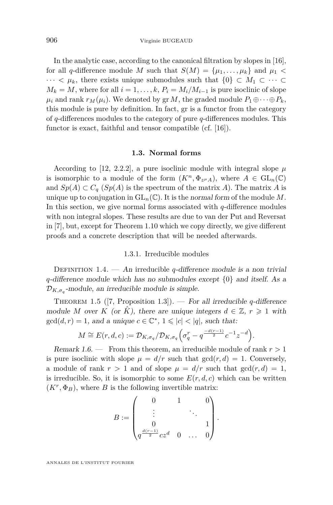In the analytic case, according to the canonical filtration by slopes in [\[16\]](#page-64-1), for all *q*-difference module *M* such that  $S(M) = {\mu_1, \ldots, \mu_k}$  and  $\mu_1$  $\cdots < \mu_k$ , there exists unique submodules such that  $\{0\} \subset M_1 \subset \cdots \subset$  $M_k = M$ , where for all  $i = 1, \ldots, k$ ,  $P_i = M_i/M_{i-1}$  is pure isoclinic of slope  $\mu_i$  and rank  $r_M(\mu_i)$ . We denoted by gr *M*, the graded module  $P_1 \oplus \cdots \oplus P_k$ , this module is pure by definition. In fact, gr is a functor from the category of *q*-differences modules to the category of pure *q*-differences modules. This functor is exact, faithful and tensor compatible (cf. [\[16\]](#page-64-1)).

#### **1.3. Normal forms**

<span id="page-6-0"></span>According to [\[12,](#page-63-5) 2.2.2], a pure isoclinic module with integral slope  $\mu$ is isomorphic to a module of the form  $(K^n, \Phi_{z^{\mu}A})$ , where  $A \in GL_n(\mathbb{C})$ and  $Sp(A) \subset C_q$  (*Sp*(*A*) is the spectrum of the matrix *A*). The matrix *A* is unique up to conjugation in  $GL_n(\mathbb{C})$ . It is the normal form of the module M. In this section, we give normal forms associated with *q*-difference modules with non integral slopes. These results are due to van der Put and Reversat in [\[7\]](#page-63-2), but, except for Theorem [1.10](#page-8-0) which we copy directly, we give different proofs and a concrete description that will be needed afterwards.

#### 1.3.1. Irreducible modules

DEFINITION 1.4. — An irreducible *q*-difference module is a non trivial *q*-difference module which has no submodules except {0} and itself. As a  $\mathcal{D}_{K,\sigma_q}$ -module, an irreducible module is simple.

Theorem 1.5 ([\[7,](#page-63-2) Proposition 1.3]). — For all irreducible *q*-difference module *M* over *K* (or  $\tilde{K}$ ), there are unique integers  $d \in \mathbb{Z}$ ,  $r \geq 1$  with  $gcd(d, r) = 1$ , and a unique  $c \in \mathbb{C}^*$ ,  $1 \leqslant |c| < |q|$ , such that:

$$
M \cong E(r, d, c) := \mathcal{D}_{K, \sigma_q}/\mathcal{D}_{K, \sigma_q}\left(\sigma_q^r - q^{\frac{-d(r-1)}{2}}c^{-1}z^{-d}\right).
$$

Remark 1.6. — From this theorem, an irreducible module of rank *r >* 1 is pure isoclinic with slope  $\mu = d/r$  such that  $gcd(r, d) = 1$ . Conversely, a module of rank  $r > 1$  and of slope  $\mu = d/r$  such that  $gcd(r, d) = 1$ , is irreducible. So, it is isomorphic to some  $E(r, d, c)$  which can be written  $(K<sup>r</sup>, \Phi_B)$ , where *B* is the following invertible matrix:

$$
B := \begin{pmatrix} 0 & 1 & 0 \\ \vdots & & \ddots & \\ 0 & & & 1 \\ q^{\frac{d(r-1)}{2}} c z^d & 0 & \dots & 0 \end{pmatrix}
$$

*.*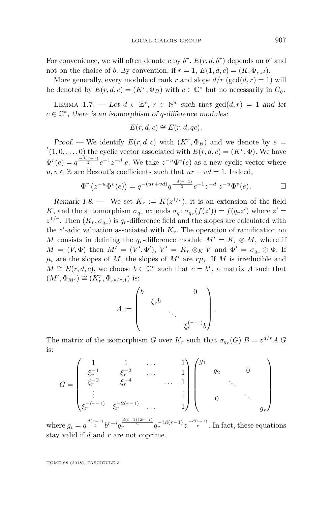For convenience, we will often denote *c* by  $b^r$ .  $E(r, d, b^r)$  depends on  $b^r$  and not on the choice of *b*. By convention, if  $r = 1$ ,  $E(1, d, c) = (K, \Phi_{cz}d)$ .

More generally, every module of rank *r* and slope  $d/r$  (gcd( $d, r$ ) = 1) will be denoted by  $E(r, d, c) = (K^r, \Phi_B)$  with  $c \in \mathbb{C}^*$  but no necessarily in  $C_q$ .

LEMMA 1.7. — Let  $d \in \mathbb{Z}^*, r \in \mathbb{N}^*$  such that  $gcd(d, r) = 1$  and let  $c \in \mathbb{C}^*$ , there is an isomorphism of *q*-difference modules:

$$
E(r, d, c) \cong E(r, d, qc).
$$

*Proof.* — We identify  $E(r, d, c)$  with  $(K<sup>r</sup>, \Phi_B)$  and we denote by  $e =$  $f^{t}(1,0,\ldots,0)$  the cyclic vector associated with  $E(r,d,c) = (K^{r}, \Phi)$ . We have  $\Phi^{r}(e) = q^{\frac{-d(r-1)}{2}} c^{-1} z^{-d} e$ . We take  $z^{-u} \Phi^{v}(e)$  as a new cyclic vector where  $u, v \in \mathbb{Z}$  are Bezout's coefficients such that  $ur + vd = 1$ . Indeed,

$$
\Phi^r(z^{-u}\Phi^v(e)) = q^{-(ur+vd)}q^{\frac{-d(r-1)}{2}}c^{-1}z^{-d} z^{-u}\Phi^v(e).
$$

<span id="page-7-0"></span>Remark 1.8. — We set  $K_r := K(z^{1/r})$ , it is an extension of the field *K*, and the automorphism  $\sigma_{q_r}$  extends  $\sigma_q$ :  $\sigma_{q_r}(f(z')) = f(q_r z')$  where  $z' =$  $z^{1/r}$ . Then  $(K_r, \sigma_{q_r})$  is  $q_r$ -difference field and the slopes are calculated with the  $z'$ -adic valuation associated with  $K_r$ . The operation of ramification on *M* consists in defining the  $q_r$ -difference module  $M' = K_r \otimes M$ , where if  $M = (V, \Phi)$  then  $M' = (V', \Phi'), V' = K_r \otimes_K V$  and  $\Phi' = \sigma_{q_r} \otimes \Phi$ . If  $\mu_i$  are the slopes of *M*, the slopes of *M'* are  $r\mu_i$ . If *M* is irreducible and  $M \cong E(r, d, c)$ , we choose  $b \in \mathbb{C}^*$  such that  $c = b^r$ , a matrix *A* such that  $(M', \Phi_{M'}) \cong (K_r^r, \Phi_{z^{d/r}A})$  is:

$$
A := \begin{pmatrix} b & & & & 0 \\ & \xi_r b & & & \\ & & \ddots & & \\ & & & \xi_r^{(r-1)} b \end{pmatrix}
$$

*.*

The matrix of the isomorphism *G* over  $K_r$  such that  $\sigma_{q_r}(G)$   $B = z^{d/r} A G$ is:

$$
G = \begin{pmatrix} 1 & 1 & \dots & 1 \\ \xi_r^{-1} & \xi_r^{-2} & \dots & 1 \\ \xi_r^{-2} & \xi_r^{-4} & \dots & 1 \\ \vdots & \vdots & \ddots & \vdots \\ \xi_r^{-(r-1)} & \xi_r^{-2(r-1)} & \dots & 1 \end{pmatrix} \begin{pmatrix} g_1 \\ g_2 \\ \vdots \\ 0 \\ \vdots \\ 0 \end{pmatrix} .
$$

where  $g_i = q^{\frac{d(r-1)}{2}} b^{r-i} q_r^{\frac{d(i-1)(2r-i)}{2}} q_r^{-id(r-1)} z^{\frac{-d(i-1)}{r}}$ . In fact, these equations stay valid if *d* and *r* are not coprime.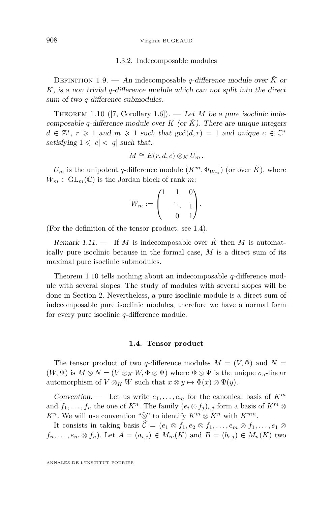#### 908 Virginie BUGEAUD

#### 1.3.2. Indecomposable modules

DEFINITION 1.9. — An indecomposable *q*-difference module over  $\hat{K}$  or *K*, is a non trivial *q*-difference module which can not split into the direct sum of two *q*-difference submodules.

<span id="page-8-0"></span>THEOREM 1.10 ([\[7,](#page-63-2) Corollary 1.6]). — Let *M* be a pure isoclinic indecomposable *q*-difference module over *K* (or  $\hat{K}$ ). There are unique integers  $d \in \mathbb{Z}^*, r \geq 1$  and  $m \geq 1$  such that  $gcd(d, r) = 1$  and unique  $c \in \mathbb{C}^*$ satisfying  $1 \leqslant |c| < |q|$  such that:

$$
M \cong E(r, d, c) \otimes_K U_m.
$$

 $U_m$  is the unipotent *q*-difference module  $(K^m, \Phi_{W_m})$  (or over  $\hat{K}$ ), where  $W_m \in GL_m(\mathbb{C})$  is the Jordan block of rank *m*:

$$
W_m := \begin{pmatrix} 1 & 1 & 0 \\ & \ddots & 1 \\ & 0 & 1 \end{pmatrix}.
$$

(For the definition of the tensor product, see [1.4\)](#page-8-1).

Remark 1.11. — If *M* is indecomposable over  $\hat{K}$  then *M* is automatically pure isoclinic because in the formal case, *M* is a direct sum of its maximal pure isoclinic submodules.

Theorem [1.10](#page-8-0) tells nothing about an indecomposable *q*-difference module with several slopes. The study of modules with several slopes will be done in Section [2.](#page-11-0) Nevertheless, a pure isoclinic module is a direct sum of indecomposable pure isoclinic modules, therefore we have a normal form for every pure isoclinic *q*-difference module.

#### **1.4. Tensor product**

<span id="page-8-1"></span>The tensor product of two *q*-difference modules  $M = (V, \Phi)$  and  $N =$  $(W, \Psi)$  is  $M \otimes N = (V \otimes_K W, \Phi \otimes \Psi)$  where  $\Phi \otimes \Psi$  is the unique  $\sigma_q$ -linear automorphism of  $V \otimes_K W$  such that  $x \otimes y \mapsto \Phi(x) \otimes \Psi(y)$ .

Convention. — Let us write  $e_1, \ldots, e_m$  for the canonical basis of  $K^m$ and  $f_1, \ldots, f_n$  the one of  $K^n$ . The family  $(e_i \otimes f_j)_{i,j}$  form a basis of  $K^m \otimes$ *K*<sup>*n*</sup>. We will use convention " $\hat{\otimes}$ " to identify  $K^m \otimes K^n$  with  $K^{mn}$ .

It consists in taking basis  $\hat{\mathcal{C}} = (e_1 \otimes f_1, e_2 \otimes f_1, \ldots, e_m \otimes f_1, \ldots, e_1 \otimes f_m)$  $f_n, \ldots, e_m \otimes f_n$ . Let  $A = (a_{i,j}) \in M_m(K)$  and  $B = (b_{i,j}) \in M_n(K)$  two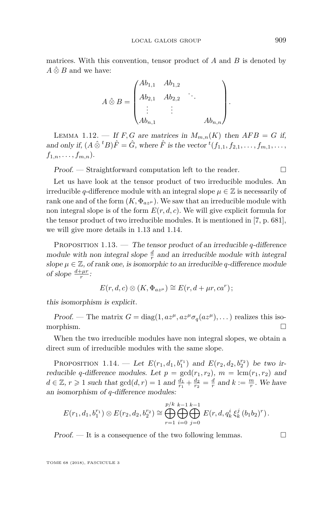matrices. With this convention, tensor product of *A* and *B* is denoted by  $\hat{A} \hat{\otimes} B$  and we have:

$$
A \hat{\otimes} B = \begin{pmatrix} Ab_{1,1} & Ab_{1,2} & & \\ Ab_{2,1} & Ab_{2,2} & & \\ \vdots & \vdots & & \\ Ab_{n,1} & & & Ab_{n,n} \end{pmatrix}
$$

LEMMA 1.12. — If *F*, *G* are matrices in  $M_{m,n}(K)$  then  $AFB = G$  if, and only if,  $(A \hat{\otimes}^t B)\hat{F} = \hat{G}$ , where  $\hat{F}$  is the vector  ${}^t(f_{1,1}, f_{2,1}, \ldots, f_{m,1}, \ldots,$  $f_{1,n}, \ldots, f_{m,n}$ .

 $Proof.$  — Straightforward computation left to the reader.  $\Box$ 

Let us have look at the tensor product of two irreducible modules. An irreducible *q*-difference module with an integral slope  $\mu \in \mathbb{Z}$  is necessarily of rank one and of the form  $(K, \Phi_{az\mu})$ . We saw that an irreducible module with non integral slope is of the form  $E(r, d, c)$ . We will give explicit formula for the tensor product of two irreducible modules. It is mentioned in [\[7,](#page-63-2) p. 681], we will give more details in [1.13](#page-9-0) and [1.14.](#page-9-1)

<span id="page-9-0"></span>Proposition 1.13. — The tensor product of an irreducible *q*-difference module with non integral slope  $\frac{d}{r}$  and an irreducible module with integral slope  $\mu \in \mathbb{Z}$ , of rank one, is isomorphic to an irreducible *q*-difference module of slope  $\frac{d+\mu r}{r}$ :

$$
E(r, d, c) \otimes (K, \Phi_{az^{\mu}}) \cong E(r, d + \mu r, ca^r);
$$

this isomorphism is explicit.

Proof. — The matrix  $G = \text{diag}(1, az^{\mu}, az^{\mu}\sigma_q(az^{\mu}), \dots)$  realizes this isomorphism.

When the two irreducible modules have non integral slopes, we obtain a direct sum of irreducible modules with the same slope.

<span id="page-9-1"></span>PROPOSITION 1.14. — Let  $E(r_1, d_1, b_1^{r_1})$  and  $E(r_2, d_2, b_2^{r_2})$  be two irreducible *q*-difference modules. Let  $p = \gcd(r_1, r_2)$ ,  $m = \text{lcm}(r_1, r_2)$  and  $d \in \mathbb{Z}, r \geq 1$  such that  $gcd(d, r) = 1$  and  $\frac{d_1}{r_1} + \frac{d_2}{r_2} = \frac{d}{r}$  and  $k := \frac{m}{r}$ . We have an isomorphism of *q*-difference modules:

$$
E(r_1, d_1, b_1^{r_1}) \otimes E(r_2, d_2, b_2^{r_2}) \cong \bigoplus_{r=1}^{p/k} \bigoplus_{i=0}^{k-1} \bigoplus_{j=0}^{k-1} E(r, d, q_k^i \xi_k^j (b_1 b_2)^r).
$$

 $Proof.$  — It is a consequence of the two following lemmas.  $\Box$ 

*.*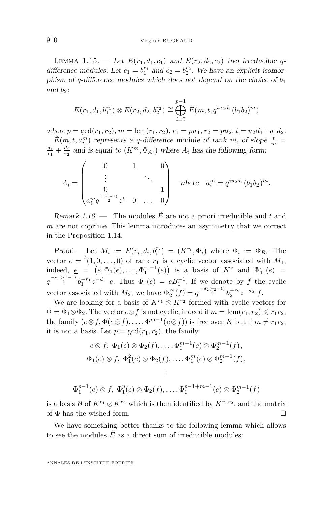<span id="page-10-0"></span>LEMMA 1.15. — Let  $E(r_1, d_1, c_1)$  and  $E(r_2, d_2, c_2)$  two irreducible qdifference modules. Let  $c_1 = b_1^{r_1}$  and  $c_2 = b_2^{r_2}$ . We have an explicit isomorphism of *q*-difference modules which does not depend on the choice of  $b_1$ and  $b_2$ :

$$
E(r_1, d_1, b_1^{r_1}) \otimes E(r_2, d_2, b_2^{r_2}) \cong \bigoplus_{i=0}^{p-1} \tilde{E}(m, t, q^{iu_2d_1}(b_1b_2)^m)
$$

where  $p = \gcd(r_1, r_2), m = \text{lcm}(r_1, r_2), r_1 = pu_1, r_2 = pu_2, t = u_2d_1 + u_1d_2.$ 

 $\tilde{E}(m, t, a_i^m)$  represents a *q*-difference module of rank *m*, of slope  $\frac{t}{m}$  =  $\frac{d_1}{r_1} + \frac{d_2}{r_2}$  and is equal to  $(K^m, \Phi_{A_i})$  where  $A_i$  has the following form:

$$
A_i = \begin{pmatrix} 0 & 1 & 0 \\ \vdots & & \ddots & \\ 0 & & & 1 \\ a_i^m q^{\frac{t(m-1)}{2}} z^t & 0 & \dots & 0 \end{pmatrix} \quad \text{where} \quad a_i^m = q^{i u_2 d_1} (b_1 b_2)^m.
$$

Remark 1.16. — The modules  $\tilde{E}$  are not a priori irreducible and t and *m* are not coprime. This lemma introduces an asymmetry that we correct in the Proposition [1.14.](#page-9-1)

Proof. — Let  $M_i := E(r_i, d_i, b_i^{r_i}) = (K^{r_i}, \Phi_i)$  where  $\Phi_i := \Phi_{B_i}$ . The vector  $e = {}^{t}(1,0,\ldots,0)$  of rank  $r_1$  is a cyclic vector associated with  $M_1$ , indeed,  $e = (e, \Phi_1(e), \ldots, \Phi_1^{r_1-1}(e))$  is a basis of  $K^r$  and  $\Phi_1^{r_1}(e) =$  $q^{\frac{-d_1(r_1-1)}{2}}b_1^{-r_1}z^{-d_1}$  *e*. Thus  $\Phi_1(\underline{e}) = \underline{e}B_1^{-1}$ . If we denote by *f* the cyclic vector associated with  $M_2$ , we have  $\Phi_2^{r_2}(f) = q^{\frac{-d_2(r_2-1)}{2}} b_2^{-r_2} z^{-d_2} f$ .

We are looking for a basis of  $K^{r_1} \otimes K^{r_2}$  formed with cyclic vectors for  $\Phi = \Phi_1 \otimes \Phi_2$ . The vector  $e \otimes f$  is not cyclic, indeed if  $m = \text{lcm}(r_1, r_2) \leq r_1 r_2$ , the family  $(e \otimes f, \Phi(e \otimes f), \ldots, \Phi^{m-1}(e \otimes f))$  is free over *K* but if  $m \neq r_1r_2$ , it is not a basis. Let  $p = \gcd(r_1, r_2)$ , the family

$$
e \otimes f, \ \Phi_1(e) \otimes \Phi_2(f), \dots, \Phi_1^{m-1}(e) \otimes \Phi_2^{m-1}(f),
$$
  

$$
\Phi_1(e) \otimes f, \ \Phi_1^2(e) \otimes \Phi_2(f), \dots, \Phi_1^m(e) \otimes \Phi_2^{m-1}(f),
$$

$$
\vdots
$$
  

$$
\Phi_1^{p-1}(e) \otimes f, \ \Phi_1^p(e) \otimes \Phi_2(f), \dots, \Phi_1^{p-1+m-1}(e) \otimes \Phi_2^{m-1}(f)
$$

is a basis  $\mathcal{B}$  of  $K^{r_1} \otimes K^{r_2}$  which is then identified by  $K^{r_1r_2}$ , and the matrix of  $\Phi$  has the wished form.

We have something better thanks to the following lemma which allows to see the modules  $E$  as a direct sum of irreducible modules: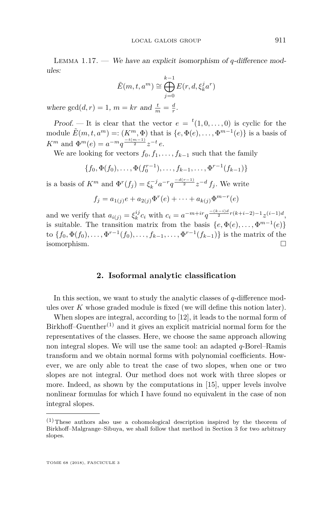Lemma 1.17. — We have an explicit isomorphism of *q*-difference modules:

$$
\tilde{E}(m, t, a^m) \cong \bigoplus_{j=0}^{k-1} E(r, d, \xi_k^j a^r)
$$

where  $gcd(d, r) = 1$ ,  $m = kr$  and  $\frac{t}{m} = \frac{d}{r}$ .

Proof. — It is clear that the vector  $e = {}^{t}(1,0,\ldots,0)$  is cyclic for the module  $\tilde{E}(m, t, a^m) =: (K^m, \Phi)$  that is  $\{e, \Phi(e), \dots, \Phi^{m-1}(e)\}$  is a basis of *K*<sup>*m*</sup> and  $\Phi^{m}(e) = a^{-m}q^{\frac{-t(m-1)}{2}}z^{-t}e$ .

We are looking for vectors  $f_0, f_1, \ldots, f_{k-1}$  such that the family

$$
\{f_0, \Phi(f_0), \ldots, \Phi(f_0^{r-1}), \ldots, f_{k-1}, \ldots, \Phi^{r-1}(f_{k-1})\}
$$

is a basis of  $K^m$  and  $\Phi^r(f_j) = \xi_k^{-j} a^{-r} q^{\frac{-d(r-1)}{2}} z^{-d} f_j$ . We write

$$
f_j = a_{1(j)}e + a_{2(j)}\Phi^r(e) + \cdots + a_{k(j)}\Phi^{m-r}(e)
$$

and we verify that  $a_{i(j)} = \xi_k^{ij} c_i$  with  $c_i = a^{-m+ir} q^{\frac{-(k-i)d}{2}r(k+i-2)-1} z^{(i-1)d}$ , is suitable. The transition matrix from the basis  $\{e, \Phi(e), \ldots, \Phi^{m-1}(e)\}$ to  $\{f_0, \Phi(f_0), \ldots, \Phi^{r-1}(f_0), \ldots, f_{k-1}, \ldots, \Phi^{r-1}(f_{k-1})\}$  is the matrix of the isomorphism.

#### **2. Isoformal analytic classification**

<span id="page-11-0"></span>In this section, we want to study the analytic classes of *q*-difference modules over *K* whose graded module is fixed (we will define this notion later).

When slopes are integral, according to [\[12\]](#page-63-5), it leads to the normal form of Birkhoff–Guenther<sup>(1)</sup> and it gives an explicit matricial normal form for the representatives of the classes. Here, we choose the same approach allowing non integral slopes. We will use the same tool: an adapted *q*-Borel–Ramis transform and we obtain normal forms with polynomial coefficients. However, we are only able to treat the case of two slopes, when one or two slopes are not integral. Our method does not work with three slopes or more. Indeed, as shown by the computations in [\[15\]](#page-64-2), upper levels involve nonlinear formulas for which I have found no equivalent in the case of non integral slopes.

 $(1)$  These authors also use a cohomological description inspired by the theorem of Birkhoff–Malgrange–Sibuya, we shall follow that method in Section [3](#page-21-0) for two arbitrary slopes.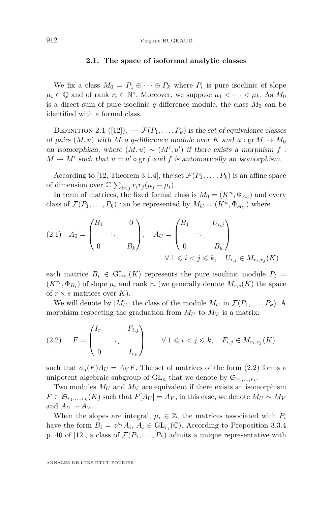#### **2.1. The space of isoformal analytic classes**

<span id="page-12-2"></span>We fix a class  $M_0 = P_1 \oplus \cdots \oplus P_k$  where  $P_i$  is pure isoclinic of slope  $\mu_i \in \mathbb{Q}$  and of rank  $r_i \in \mathbb{N}^*$ . Moreover, we suppose  $\mu_1 < \cdots < \mu_k$ . As  $M_0$ is a direct sum of pure isoclinic  $q$ -difference module, the class  $M_0$  can be identified with a formal class.

DEFINITION 2.1 ([\[12\]](#page-63-5)).  $-\mathcal{F}(P_1,\ldots,P_k)$  is the set of equivalence classes of pairs  $(M, u)$  with *M* a *q*-difference module over *K* and  $u : \text{gr } M \to M_0$ an isomorphism, where  $(M, u) \sim (M', u')$  if there exists a morphism  $f$ :  $M \to M'$  such that  $u = u' \circ \text{gr } f$  and  $f$  is automatically an isomorphism.

According to [\[12,](#page-63-5) Theorem 3.1.4], the set  $\mathcal{F}(P_1, \ldots, P_k)$  is an affine space of dimension over  $\mathbb{C} \sum_{i < j} r_i r_j (\mu_j - \mu_i)$ .

In term of matrices, the fixed formal class is  $M_0 = (K^n, \Phi_{A_0})$  and every class of  $\mathcal{F}(P_1, \ldots, P_k)$  can be represented by  $M_U = (K^n, \Phi_{A_U})$  where

<span id="page-12-1"></span>
$$
(2.1) \quad A_0 = \begin{pmatrix} B_1 & & 0 \\ & \ddots & \\ 0 & & B_k \end{pmatrix}, \quad A_U = \begin{pmatrix} B_1 & & U_{i,j} \\ & \ddots & \\ 0 & & B_k \end{pmatrix}
$$

$$
\forall 1 \leq i < j \leq k, \quad U_{i,j} \in M_{r_i, r_j}(K)
$$

each matrice  $B_i \in GL_{r_i}(K)$  represents the pure isoclinic module  $P_i =$  $(K^{r_i}, \Phi_{B_i})$  of slope  $\mu_i$  and rank  $r_i$  (we generally denote  $M_{r,s}(K)$  the space of  $r \times s$  matrices over  $K$ ).

We will denote by  $[M_U]$  the class of the module  $M_U$  in  $\mathcal{F}(P_1,\ldots,P_k)$ . A morphism respecting the graduation from  $M_U$  to  $M_V$  is a matrix:

<span id="page-12-0"></span>
$$
(2.2) \t F = \begin{pmatrix} I_{r_1} & F_{i,j} \\ \cdot & \cdot \\ 0 & I_{r_k} \end{pmatrix} \quad \forall \ 1 \leqslant i < j \leqslant k, \quad F_{i,j} \in M_{r_i, r_j}(K)
$$

such that  $\sigma_q(F)A_U = A_VF$ . The set of matrices of the form [\(2.2\)](#page-12-0) forms a unipotent algebraic subgroup of  $GL_n$  that we denote by  $\mathfrak{S}_{r_1,\ldots,r_k}$ .

Two modules  $M_U$  and  $M_V$  are equivalent if there exists an isomorphism  $F \in \mathfrak{S}_{r_1,\dots,r_k}(K)$  such that  $F[A_U] = A_V$ , in this case, we denote  $M_U \sim M_V$ and  $A_U \sim A_V$ .

When the slopes are integral,  $\mu_i \in \mathbb{Z}$ , the matrices associated with  $P_i$ have the form  $B_i = z^{\mu_i} A_i$ ,  $A_i \in GL_{r_i}(\mathbb{C})$ . According to Proposition 3.3.4 p. 40 of [\[12\]](#page-63-5), a class of  $\mathcal{F}(P_1,\ldots,P_k)$  admits a unique representative with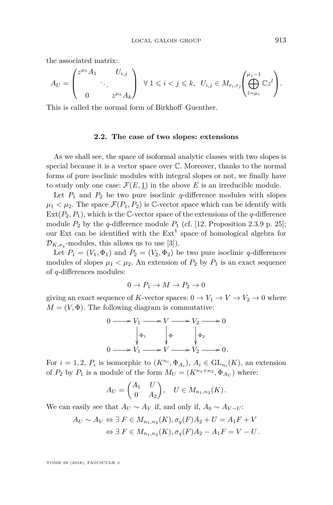the associated matrix:

$$
A_U = \begin{pmatrix} z^{\mu_1} A_1 & U_{i,j} \\ & \ddots & \\ 0 & z^{\mu_k} A_k \end{pmatrix} \ \forall \ 1 \leqslant i < j \leqslant k, \ \ U_{i,j} \in M_{r_i, r_j} \begin{pmatrix} \mu_j - 1 \\ \bigoplus_{l = \mu_i}^{\mu_j - 1} \mathbb{C} z^l \end{pmatrix}.
$$

This is called the normal form of Birkhoff–Guenther.

#### **2.2. The case of two slopes: extensions**

As we shall see, the space of isoformal analytic classes with two slopes is special because it is a vector space over C. Moreover, thanks to the normal forms of pure isoclinic modules with integral slopes or not, we finally have to study only one case:  $\mathcal{F}(E, \underline{1})$  in the above *E* is an irreducible module.

Let  $P_1$  and  $P_2$  be two pure isoclinic *q*-difference modules with slopes  $\mu_1 < \mu_2$ . The space  $\mathcal{F}(P_1, P_2)$  is C-vector space which can be identify with  $Ext(P_2, P_1)$ , which is the C-vector space of the extensions of the *q*-difference module  $P_2$  by the *q*-difference module  $P_1$  (cf. [\[12,](#page-63-5) Proposition 2.3.9 p. 25]; our Ext can be identified with the  $Ext<sup>1</sup>$  space of homological algebra for  $\mathcal{D}_{K,\sigma_q}$ -modules, this allows us to use [\[3\]](#page-63-7)).

Let  $P_1 = (V_1, \Phi_1)$  and  $P_2 = (V_2, \Phi_2)$  be two pure isoclinic *q*-differences modules of slopes  $\mu_1 < \mu_2$ . An extension of  $P_2$  by  $P_1$  is an exact sequence of *q*-differences modules:

$$
0 \to P_1 \to M \to P_2 \to 0
$$

giving an exact sequence of *K*-vector spaces:  $0 \to V_1 \to V \to V_2 \to 0$  where  $M = (V, \Phi)$ . The following diagram is commutative:

$$
0 \longrightarrow V_1 \longrightarrow V \longrightarrow V_2 \longrightarrow 0
$$
  
\n
$$
\downarrow \Phi_1 \qquad \qquad \downarrow \Phi \qquad \qquad \downarrow \Phi_2
$$
  
\n
$$
0 \longrightarrow V_1 \longrightarrow V \longrightarrow V_2 \longrightarrow 0.
$$

For  $i = 1, 2, P_i$  is isomorphic to  $(K^{n_i}, \Phi_{A_i}), A_i \in GL_{n_i}(K)$ , an extension of  $P_2$  by  $P_1$  is a module of the form  $M_U = (K^{n_1+n_2}, \Phi_{A_U})$  where:

$$
A_U = \begin{pmatrix} A_1 & U \\ 0 & A_2 \end{pmatrix}, \quad U \in M_{n_1,n_2}(K).
$$

We can easily see that  $A_U \sim A_V$  if, and only if,  $A_0 \sim A_{V-U}$ :

$$
A_U \sim A_V \Leftrightarrow \exists F \in M_{n_1,n_2}(K), \sigma_q(F)A_2 + U = A_1F + V
$$
  

$$
\Leftrightarrow \exists F \in M_{n_1,n_2}(K), \sigma_q(F)A_2 - A_1F = V - U.
$$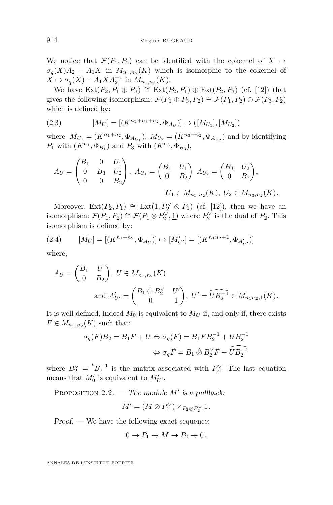We notice that  $\mathcal{F}(P_1, P_2)$  can be identified with the cokernel of  $X \mapsto$  $\sigma_q(X)A_2 - A_1X$  in  $M_{n_1,n_2}(K)$  which is isomorphic to the cokernel of  $X \mapsto \sigma_q(X) - A_1 X A_2^{-1}$  in  $M_{n_1, n_2}(K)$ .

We have  $Ext(P_2, P_1 ⊕ P_3) ≅ Ext(P_2, P_1) ⊕ Ext(P_2, P_3)$  (cf. [\[12\]](#page-63-5)) that gives the following isomorphism:  $\mathcal{F}(P_1 \oplus P_3, P_2) \cong \mathcal{F}(P_1, P_2) \oplus \mathcal{F}(P_3, P_2)$ which is defined by:

(2.3) 
$$
[M_U] = [(K^{n_1+n_3+n_2}, \Phi_{A_U})] \mapsto ([M_{U_1}], [M_{U_2}])
$$

where  $M_{U_1} = (K^{n_1+n_2}, \Phi_{A_{U_1}}), M_{U_2} = (K^{n_3+n_2}, \Phi_{A_{U_2}})$  and by identifying *P*<sub>1</sub> with  $(K^{n_1}, \Phi_{B_1})$  and *P*<sub>3</sub> with  $(K^{n_3}, \Phi_{B_3})$ ,

$$
A_U = \begin{pmatrix} B_1 & 0 & U_1 \\ 0 & B_3 & U_2 \\ 0 & 0 & B_2 \end{pmatrix}, A_{U_1} = \begin{pmatrix} B_1 & U_1 \\ 0 & B_2 \end{pmatrix}, A_{U_2} = \begin{pmatrix} B_3 & U_2 \\ 0 & B_2 \end{pmatrix},
$$

$$
U_1 \in M_{n_1, n_2}(K), U_2 \in M_{n_3, n_2}(K).
$$

Moreover,  $Ext(P_2, P_1) \cong Ext(\underline{1}, P_2^{\vee} \otimes P_1)$  (cf. [\[12\]](#page-63-5)), then we have an isomorphism:  $\mathcal{F}(P_1, P_2) \cong \mathcal{F}(P_1 \otimes P_2^{\vee}, \underline{1})$  where  $P_2^{\vee}$  is the dual of  $P_2$ . This isomorphism is defined by:

<span id="page-14-0"></span>
$$
(2.4) \qquad [M_U] = [(K^{n_1+n_2}, \Phi_{A_U})] \mapsto [M'_{U'}] = [(K^{n_1 n_2 + 1}, \Phi_{A'_{U'}})]
$$

where,

$$
A_U = \begin{pmatrix} B_1 & U \\ 0 & B_2 \end{pmatrix}, \ U \in M_{n_1, n_2}(K)
$$
  
and 
$$
A'_{U'} = \begin{pmatrix} B_1 \hat{\otimes} B_2^{\vee} & U' \\ 0 & 1 \end{pmatrix}, \ U' = \widehat{UB_2^{-1}} \in M_{n_1 n_2, 1}(K).
$$

It is well defined, indeed  $M_0$  is equivalent to  $M_U$  if, and only if, there exists  $F \in M_{n_1,n_2}(K)$  such that:

$$
\sigma_q(F)B_2 = B_1F + U \Leftrightarrow \sigma_q(F) = B_1FB_2^{-1} + UB_2^{-1}
$$

$$
\Leftrightarrow \sigma_q \hat{F} = B_1 \hat{\otimes} B_2^{\vee} \hat{F} + \widehat{UB}_2^{-1}
$$

where  $B_2^{\vee} = {}^t B_2^{-1}$  is the matrix associated with  $P_2^{\vee}$ . The last equation means that  $M'_0$  is equivalent to  $M'_{U'}$ .

<span id="page-14-1"></span>PROPOSITION  $2.2$ . — The module M' is a pullback:

$$
M' = (M \otimes P_2^{\vee}) \times_{P_2 \otimes P_2^{\vee}} \underline{1}.
$$

Proof. — We have the following exact sequence:

$$
0 \to P_1 \to M \to P_2 \to 0.
$$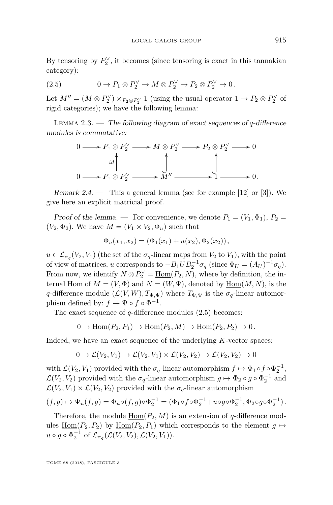By tensoring by  $P_2^{\vee}$ , it becomes (since tensoring is exact in this tannakian category):

<span id="page-15-0"></span>(2.5) 
$$
0 \to P_1 \otimes P_2^{\vee} \to M \otimes P_2^{\vee} \to P_2 \otimes P_2^{\vee} \to 0.
$$

Let  $M'' = (M \otimes P_2^{\vee}) \times_{P_2 \otimes P_2^{\vee}} \underline{1}$  (using the usual operator  $\underline{1} \to P_2 \otimes P_2^{\vee}$  of rigid categories); we have the following lemma:

Lemma 2.3. — The following diagram of exact sequences of *q*-difference modules is commutative:

$$
0 \longrightarrow P_1 \otimes P_2^{\vee} \longrightarrow M \otimes P_2^{\vee} \longrightarrow P_2 \otimes P_2^{\vee} \longrightarrow 0
$$
  

$$
\downarrow id \qquad \qquad \downarrow
$$
  

$$
0 \longrightarrow P_1 \otimes P_2^{\vee} \longrightarrow M'' \longrightarrow 1 \longrightarrow 0.
$$

Remark 2.4.  $\cdots$  This a general lemma (see for example [\[12\]](#page-63-5) or [\[3\]](#page-63-7)). We give here an explicit matricial proof.

Proof of the lemma. — For convenience, we denote  $P_1 = (V_1, \Phi_1), P_2 =$  $(V_2, \Phi_2)$ . We have  $M = (V_1 \times V_2, \Phi_u)$  such that

$$
\Phi_u(x_1, x_2) = (\Phi_1(x_1) + u(x_2), \Phi_2(x_2)),
$$

 $u \in \mathcal{L}_{\sigma_q}(V_2, V_1)$  (the set of the  $\sigma_q$ -linear maps from  $V_2$  to  $V_1$ ), with the point of view of matrices, *u* corresponds to  $-B_1 U B_2^{-1} \sigma_q$  (since  $\Phi_U = (A_U)^{-1} \sigma_q$ ). From now, we identify  $N \otimes P_2^{\vee} = \underline{\text{Hom}}(P_2, N)$ , where by definition, the internal Hom of  $M = (V, \Phi)$  and  $N = (W, \Psi)$ , denoted by  $\underline{\text{Hom}}(M, N)$ , is the *q*-difference module  $(\mathcal{L}(V, W), T_{\Phi, \Psi})$  where  $T_{\Phi, \Psi}$  is the  $\sigma_q$ -linear automorphism defined by:  $f \mapsto \Psi \circ f \circ \Phi^{-1}$ .

The exact sequence of *q*-difference modules [\(2.5\)](#page-15-0) becomes:

$$
0 \to \underline{\mathrm{Hom}}(P_2, P_1) \to \underline{\mathrm{Hom}}(P_2, M) \to \underline{\mathrm{Hom}}(P_2, P_2) \to 0.
$$

Indeed, we have an exact sequence of the underlying *K*-vector spaces:

$$
0 \to \mathcal{L}(V_2, V_1) \to \mathcal{L}(V_2, V_1) \times \mathcal{L}(V_2, V_2) \to \mathcal{L}(V_2, V_2) \to 0
$$

with  $\mathcal{L}(V_2, V_1)$  provided with the  $\sigma_q$ -linear automorphism  $f \mapsto \Phi_1 \circ f \circ \Phi_2^{-1}$ ,  $\mathcal{L}(V_2, V_2)$  provided with the  $\sigma_q$ -linear automorphism  $g \mapsto \Phi_2 \circ g \circ \Phi_2^{-1}$  and  $\mathcal{L}(V_2, V_1) \times \mathcal{L}(V_2, V_2)$  provided with the  $\sigma_q$ -linear automorphism

$$
(f,g)\mapsto \Psi_u(f,g)=\Phi_u\circ (f,g)\circ \Phi_2^{-1}=(\Phi_1\circ f\circ \Phi_2^{-1}+u\circ g\circ \Phi_2^{-1},\Phi_2\circ g\circ \Phi_2^{-1}).
$$

Therefore, the module  $\underline{\text{Hom}}(P_2, M)$  is an extension of *q*-difference modules  $\underline{\text{Hom}}(P_2, P_2)$  by  $\underline{\text{Hom}}(P_2, P_1)$  which corresponds to the element  $g \mapsto$  $u \circ g \circ \Phi_2^{-1}$  of  $\mathcal{L}_{\sigma_q}(\mathcal{L}(V_2, V_2), \mathcal{L}(V_2, V_1)).$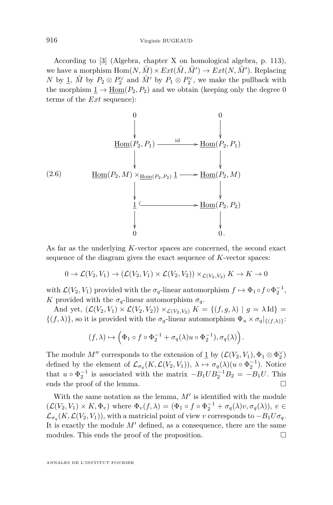According to [\[3\]](#page-63-7) (Algebra, chapter X on homological algebra, p. 113), we have a morphism  $\text{Hom}(N, \tilde{M}) \times Ext(\tilde{M}, \tilde{M}') \to Ext(N, \tilde{M}').$  Replacing *N* by <u>1</u>,  $\tilde{M}$  by  $P_2 \otimes P_2^{\vee}$  and  $\tilde{M}'$  by  $P_1 \otimes P_2^{\vee}$ , we make the pullback with the morphism  $\underline{1} \rightarrow \underline{\text{Hom}}(P_2, P_2)$  and we obtain (keeping only the degree 0 terms of the *Ext* sequence):

$$
\begin{array}{ccc}\n & 0 & & 0 \\
 & & \downarrow & & \downarrow \\
 & \downarrow & & \downarrow & & \downarrow \\
 & & \downarrow & & \downarrow & & \downarrow \\
 & & \downarrow & & \downarrow & & \downarrow \\
 & & \downarrow & & \downarrow & & \downarrow \\
 & \downarrow & & \downarrow & & \downarrow & \\
 & \downarrow & & \downarrow & & \downarrow & & \downarrow \\
 & \downarrow & & \downarrow & & \downarrow & & \downarrow \\
 & \downarrow & & \downarrow & & \downarrow & & \downarrow \\
 & \downarrow & & \downarrow & & \downarrow & & \downarrow \\
 & \downarrow & & \downarrow & & \downarrow & & \downarrow \\
 & \downarrow & & \downarrow & & \downarrow & & \downarrow \\
 & \downarrow & & \downarrow & & \downarrow & & \downarrow \\
 & \downarrow & & \downarrow & & \downarrow & & \downarrow \\
 & \downarrow & & \downarrow & & \downarrow & & \downarrow \\
 & \downarrow & & \downarrow & & \downarrow & & \downarrow \\
 & \downarrow & & \downarrow & & \downarrow & & \downarrow \\
 & \downarrow & & \downarrow & & \downarrow & & \downarrow \\
 & \downarrow & & \downarrow & & \downarrow & & \downarrow \\
 & \downarrow & & \downarrow & & \downarrow & & \downarrow \\
 & \downarrow & & \downarrow & & \downarrow & & \downarrow \\
 & \downarrow & & \downarrow & & \downarrow & & \downarrow \\
 & \downarrow & \downarrow & \downarrow & \downarrow & & \downarrow \\
 & \
$$

As far as the underlying *K*-vector spaces are concerned, the second exact sequence of the diagram gives the exact sequence of *K*-vector spaces:

$$
0 \to \mathcal{L}(V_2, V_1) \to (\mathcal{L}(V_2, V_1) \times \mathcal{L}(V_2, V_2)) \times_{\mathcal{L}(V_2, V_2)} K \to K \to 0
$$

with  $\mathcal{L}(V_2, V_1)$  provided with the  $\sigma_q$ -linear automorphism  $f \mapsto \Phi_1 \circ f \circ \Phi_2^{-1}$ , *K* provided with the  $\sigma_q$ -linear automorphism  $\sigma_q$ .

And yet,  $(\mathcal{L}(V_2, V_1) \times \mathcal{L}(V_2, V_2)) \times_{\mathcal{L}(V_2, V_2)} K = \{(f, g, \lambda) \mid g = \lambda \text{Id}\}$  $\{(f, \lambda)\}\$ , so it is provided with the  $\sigma_q$ -linear automorphism  $\Psi_u \times \sigma_q|_{\{(f,\lambda)\}}$ :

$$
(f,\lambda)\mapsto \left(\Phi_1\circ f\circ\Phi_2^{-1}+\sigma_q(\lambda)u\circ\Phi_2^{-1}),\sigma_q(\lambda)\right).
$$

The module  $M''$  corresponds to the extension of  $\underline{1}$  by  $(\mathcal{L}(V_2, V_1), \Phi_1 \otimes \Phi_2^{\vee})$ defined by the element of  $\mathcal{L}_{\sigma_q}(K, \mathcal{L}(V_2, V_1)), \lambda \mapsto \sigma_q(\lambda)(u \circ \Phi_2^{-1}).$  Notice that  $u \circ \Phi_2^{-1}$  is associated with the matrix  $-B_1 U B_2^{-1} B_2 = -B_1 U$ . This ends the proof of the lemma.

With the same notation as the lemma,  $M'$  is identified with the module  $(\mathcal{L}(V_2, V_1) \times K, \Phi_v)$  where  $\Phi_v(f, \lambda) = (\Phi_1 \circ f \circ \Phi_2^{-1} + \sigma_q(\lambda)v, \sigma_q(\lambda)), v \in$  $\mathcal{L}_{\sigma_q}(K, \mathcal{L}(V_2, V_1))$ , with a matricial point of view *v* corresponds to  $-B_1 U \sigma_q$ . It is exactly the module  $M'$  defined, as a consequence, there are the same modules. This ends the proof of the proposition.  $\Box$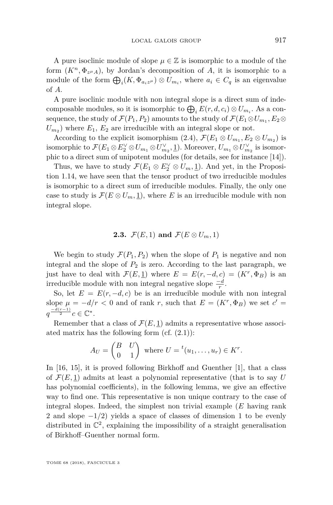A pure isoclinic module of slope  $\mu \in \mathbb{Z}$  is isomorphic to a module of the form  $(K^n, \Phi_{z^{\mu}A})$ , by Jordan's decomposition of *A*, it is isomorphic to a module of the form  $\bigoplus_i (K, \Phi_{a_i z^{\mu}}) \otimes U_{m_i}$ , where  $a_i \in C_q$  is an eigenvalue of *A*.

A pure isoclinic module with non integral slope is a direct sum of indecomposable modules, so it is isomorphic to  $\bigoplus_i E(r, d, c_i) \otimes U_{m_i}$ . As a consequence, the study of  $\mathcal{F}(P_1, P_2)$  amounts to the study of  $\mathcal{F}(E_1 \otimes U_{m_1}, E_2 \otimes$  $U_{m_2}$ ) where  $E_1, E_2$  are irreducible with an integral slope or not.

According to the explicit isomorphism  $(2.4)$ ,  $\mathcal{F}(E_1 \otimes U_{m_1}, E_2 \otimes U_{m_2})$  is isomorphic to  $\mathcal{F}(E_1 \otimes E_2^{\vee} \otimes U_{m_1} \otimes U_{m_2}^{\vee}, \underline{1})$ . Moreover,  $U_{m_1} \otimes U_{m_2}^{\vee}$  is isomorphic to a direct sum of unipotent modules (for details, see for instance [\[14\]](#page-64-0)).

Thus, we have to study  $\mathcal{F}(E_1 \otimes E_2^{\vee} \otimes U_m, \underline{1})$ . And yet, in the Proposition [1.14,](#page-9-1) we have seen that the tensor product of two irreducible modules is isomorphic to a direct sum of irreducible modules. Finally, the only one case to study is  $\mathcal{F}(E \otimes U_m, 1)$ , where *E* is an irreducible module with non integral slope.

#### **2.3.**  $\mathcal{F}(E,1)$  and  $\mathcal{F}(E \otimes U_m,1)$

We begin to study  $\mathcal{F}(P_1, P_2)$  when the slope of  $P_1$  is negative and non integral and the slope of  $P_2$  is zero. According to the last paragraph, we just have to deal with  $\mathcal{F}(E, \underline{1})$  where  $E = E(r, -d, c) = (K^r, \Phi_B)$  is an irreducible module with non integral negative slope  $\frac{-d}{r}$ .

So, let  $E = E(r, -d, c)$  be is an irreducible module with non integral slope  $\mu = -d/r < 0$  and of rank *r*, such that  $E = (K^r, \Phi_B)$  we set  $c' =$  $q^{\frac{-d(r-1)}{2}}c \in \mathbb{C}^*.$ 

Remember that a class of  $\mathcal{F}(E, 1)$  admits a representative whose associ-ated matrix has the following form (cf. [\(2.1\)](#page-12-1)):

$$
A_U = \begin{pmatrix} B & U \\ 0 & 1 \end{pmatrix} \text{ where } U = {}^t(u_1, \dots, u_r) \in K^r.
$$

In [\[16,](#page-64-1) [15\]](#page-64-2), it is proved following Birkhoff and Guenther [\[1\]](#page-63-0), that a class of  $\mathcal{F}(E, 1)$  admits at least a polynomial representative (that is to say U has polynomial coefficients), in the following lemma, we give an effective way to find one. This representative is non unique contrary to the case of integral slopes. Indeed, the simplest non trivial example (*E* having rank 2 and slope −1*/*2) yields a space of classes of dimension 1 to be evenly distributed in  $\mathbb{C}^2$ , explaining the impossibility of a straight generalisation of Birkhoff–Guenther normal form.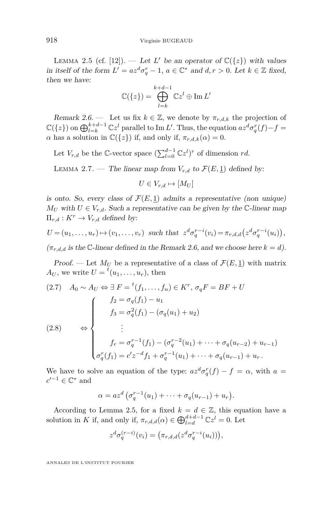<span id="page-18-1"></span>LEMMA 2.5 (cf. [\[12\]](#page-63-5)). — Let *L'* be an operator of  $\mathbb{C}({z})$  with values in itself of the form  $L' = az^d \sigma_q^r - 1$ ,  $a \in \mathbb{C}^*$  and  $d, r > 0$ . Let  $k \in \mathbb{Z}$  fixed, then we have:

$$
\mathbb{C}(\{z\}) = \bigoplus_{l=k}^{k+d-1} \mathbb{C}z^l \oplus \operatorname{Im} L'
$$

<span id="page-18-0"></span>Remark 2.6. — Let us fix  $k \in \mathbb{Z}$ , we denote by  $\pi_{r,d,k}$  the projection of  $\mathbb{C}(\{z\})$  on  $\bigoplus_{l=k}^{k+d-1} \mathbb{C}z^{l}$  parallel to Im *L'*. Thus, the equation  $az^{d}\sigma_{q}^{r}(f) - f =$ *α* has a solution in  $\mathbb{C}({z})$  if, and only if,  $\pi_{r,d,k}(\alpha) = 0$ .

Let  $V_{r,d}$  be the  $\mathbb{C}\text{-vector space } (\sum_{l=0}^{d-1} \mathbb{C}z^{l})^r$  of dimension *rd*.

<span id="page-18-2"></span>LEMMA 2.7. — The linear map from  $V_{r,d}$  to  $\mathcal{F}(E,1)$  defined by:

$$
U \in V_{r,d} \mapsto [M_U]
$$

is onto. So, every class of  $\mathcal{F}(E, 1)$  admits a representative (non unique)  $M_U$  with  $U \in V_{r,d}$ . Such a representative can be given by the C-linear map  $\Pi_{r,d}: K^r \to V_{r,d}$  defined by:

$$
U = (u_1, \dots, u_r) \mapsto (v_1, \dots, v_r)
$$
 such that  $z^d \sigma_q^{r-i}(v_i) = \pi_{r,d,d}(z^d \sigma_q^{r-i}(u_i)),$   
 $(\pi_{r,d,d} \text{ is the } \mathbb{C}\text{-linear defined in the Remark 2.6, and we choose here } k = d).$ 

Proof. — Let  $M_U$  be a representative of a class of  $\mathcal{F}(E, \underline{1})$  with matrix  $A_U$ , we write  $U = {}^t(u_1, \ldots, u_r)$ , then

<span id="page-18-3"></span>
$$
(2.7) \quad A_0 \sim A_U \Leftrightarrow \exists F = {}^t(f_1, \ldots, f_n) \in K^r, \ \sigma_q F = BF + U
$$
\n
$$
f_2 = \sigma_q(f_1) - u_1
$$
\n
$$
f_3 = \sigma_q^2(f_1) - (\sigma_q(u_1) + u_2)
$$
\n
$$
\vdots
$$
\n
$$
f_r = \sigma_q^{r-1}(f_1) - (\sigma_q^{r-2}(u_1) + \cdots + \sigma_q(u_{r-2}) + u_{r-1})
$$
\n
$$
\sigma_q^r(f_1) = c'z^{-d}f_1 + \sigma_q^{r-1}(u_1) + \cdots + \sigma_q(u_{r-1}) + u_r.
$$

We have to solve an equation of the type:  $az^d\sigma_q^r(f) - f = \alpha$ , with  $a =$  $c'^{-1} \in \mathbb{C}^*$  and

$$
\alpha = az^d \left( \sigma_q^{r-1}(u_1) + \cdots + \sigma_q(u_{r-1}) + u_r \right).
$$

According to Lemma [2.5,](#page-18-1) for a fixed  $k = d \in \mathbb{Z}$ , this equation have a solution in *K* if, and only if,  $\pi_{r,d,d}(\alpha) \in \bigoplus_{l=d}^{d+d-1} \mathbb{C}z^l = 0$ . Let

$$
z^d \sigma_q^{(r-i)}(v_i) = \left(\pi_{r,d,d}(z^d \sigma_q^{r-i}(u_i))\right),\,
$$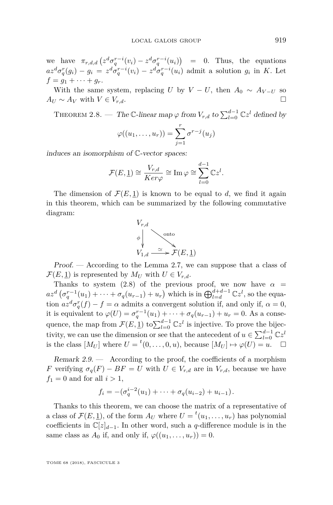we have  $\pi_{r,d,d} \left( z^d \sigma_q^{r-i}(v_i) - z^d \sigma_q^{r-i}(u_i) \right) = 0$ . Thus, the equations  $az^d\sigma_q^r(g_i) - g_i = z^d\sigma_q^{r-i}(v_i) - z^d\sigma_q^{r-i}(u_i)$  admit a solution  $g_i$  in K. Let  $f = g_1 + \cdots + g_r$ .

With the same system, replacing *U* by  $V - U$ , then  $A_0 \sim A_{V-U}$  so  $A_U \sim A_V$  with  $V \in V_{r,d}$ . □

<span id="page-19-0"></span>THEOREM 2.8. — The  $\mathbb{C}\text{-linear map } \varphi$  from  $V_{r,d}$  to  $\sum_{l=0}^{d-1} \mathbb{C}z^l$  defined by

$$
\varphi((u_1,\ldots,u_r))=\sum_{j=1}^r\sigma^{r-j}(u_j)
$$

induces an isomorphism of C-vector spaces:

$$
\mathcal{F}(E, \underline{1}) \cong \frac{V_{r,d}}{Ker\varphi} \cong \text{Im}\,\varphi \cong \sum_{l=0}^{d-1} \mathbb{C}z^l.
$$

The dimension of  $\mathcal{F}(E, 1)$  is known to be equal to *d*, we find it again in this theorem, which can be summarized by the following commutative diagram:



Proof. — According to the Lemma [2.7,](#page-18-2) we can suppose that a class of  $\mathcal{F}(E, \underline{1})$  is represented by  $M_U$  with  $U \in V_{r,d}$ .

Thanks to system [\(2.8\)](#page-18-3) of the previous proof, we now have  $\alpha =$  $az^d$   $(\sigma_q^{r-1}(u_1) + \cdots + \sigma_q(u_{r-1}) + u_r)$  which is in  $\bigoplus_{l=d}^{d+d-1} \mathbb{C}z^l$ , so the equation  $az^d \sigma_q^r(f) - f = \alpha$  admits a convergent solution if, and only if,  $\alpha = 0$ , it is equivalent to  $\varphi(U) = \sigma_q^{r-1}(u_1) + \cdots + \sigma_q(u_{r-1}) + u_r = 0$ . As a consequence, the map from  $\mathcal{F}(E, \underline{1})$  to  $\sum_{l=0}^{d-1} \mathbb{C}z^l$  is injective. To prove the bijectivity, we can use the dimension or see that the antecedent of  $u \in \sum_{l=0}^{d-1} \mathbb{C}z^l$ is the class  $[M_U]$  where  $U = {}^t(0, \ldots, 0, u)$ , because  $[M_U] \mapsto \varphi(U) = u$ .  $\Box$ 

<span id="page-19-1"></span>Remark  $2.9.$  — According to the proof, the coefficients of a morphism *F* verifying  $\sigma_q(F) - BF = U$  with  $U \in V_{r,d}$  are in  $V_{r,d}$ , because we have  $f_1 = 0$  and for all  $i > 1$ ,

$$
f_i = -(\sigma_q^{i-2}(u_1) + \cdots + \sigma_q(u_{i-2}) + u_{i-1}).
$$

Thanks to this theorem, we can choose the matrix of a representative of a class of  $\mathcal{F}(E, \underline{1})$ , of the form  $A_U$  where  $U = {}^t(u_1, \ldots, u_r)$  has polynomial coefficients in  $\mathbb{C}[z]_{d-1}$ . In other word, such a *q*-difference module is in the same class as  $A_0$  if, and only if,  $\varphi((u_1, \ldots, u_r)) = 0$ .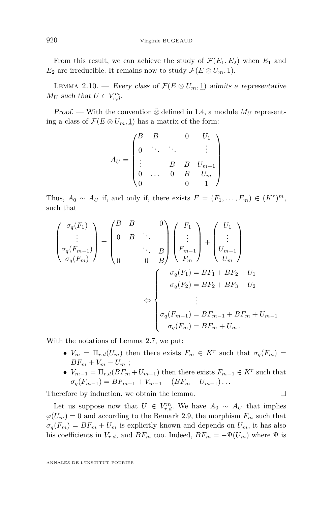From this result, we can achieve the study of  $\mathcal{F}(E_1, E_2)$  when  $E_1$  and *E*<sub>2</sub> are irreducible. It remains now to study  $\mathcal{F}(E \otimes U_m, \underline{1})$ .

LEMMA 2.10. — Every class of  $\mathcal{F}(E \otimes U_m, 1)$  admits a representative *M*<sup>*U*</sup> such that  $U \in V_{r,d}^m$ .

*Proof.* — With the convention  $\hat{\otimes}$  defined in [1.4,](#page-8-1) a module  $M_U$  representing a class of  $\mathcal{F}(E \otimes U_m, \underline{1})$  has a matrix of the form:

$$
A_U = \begin{pmatrix} B & B & 0 & U_1 \\ 0 & \ddots & \ddots & & \vdots \\ \vdots & & B & B & U_{m-1} \\ 0 & \dots & 0 & B & U_m \\ 0 & & & 0 & 1 \end{pmatrix}
$$

Thus,  $A_0 \sim A_U$  if, and only if, there exists  $F = (F_1, \ldots, F_m) \in (K^r)^m$ , such that

$$
\begin{pmatrix}\n\sigma_q(F_1) \\
\vdots \\
\sigma_q(F_{m-1}) \\
\sigma_q(F_m)\n\end{pmatrix} = \begin{pmatrix}\nB & B & & 0 \\
0 & B & \ddots & \\
\vdots & & \ddots & B \\
0 & & 0 & B\n\end{pmatrix} \begin{pmatrix}\nF_1 \\
\vdots \\
F_{m-1} \\
F_m\n\end{pmatrix} + \begin{pmatrix}\nU_1 \\
\vdots \\
U_{m-1} \\
U_m\n\end{pmatrix}
$$
\n
$$
\Leftrightarrow \begin{cases}\n\sigma_q(F_1) = BF_1 + BF_2 + U_1 \\
\sigma_q(F_2) = BF_2 + BF_3 + U_2 \\
\vdots \\
\sigma_q(F_{m-1}) = BF_{m-1} + BF_m + U_{m-1} \\
\sigma_q(F_m) = BF_m + U_m.\n\end{cases}
$$

With the notations of Lemma [2.7,](#page-18-2) we put:

- $V_m = \Pi_{r,d}(U_m)$  then there exists  $F_m \in K^r$  such that  $\sigma_q(F_m) =$  $BF_m + V_m - U_m$ ;
- $V_{m-1} = \prod_{r,d} (BF_m + U_{m-1})$  then there exists  $F_{m-1} \in K^r$  such that  $\sigma_q(F_{m-1}) = BF_{m-1} + V_{m-1} - (BF_m + U_{m-1}) \dots$

Therefore by induction, we obtain the lemma.  $\Box$ 

Let us suppose now that  $U \in V_{r,d}^m$ . We have  $A_0 \sim A_U$  that implies  $\varphi(U_m) = 0$  and according to the Remark [2.9,](#page-19-1) the morphism  $F_m$  such that  $\sigma_q(F_m) = BF_m + U_m$  is explicitly known and depends on  $U_m$ , it has also his coefficients in  $V_{r,d}$ , and  $BF_m$  too. Indeed,  $BF_m = -\Psi(U_m)$  where  $\Psi$  is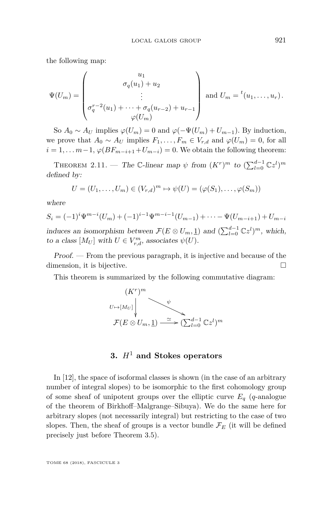the following map:

$$
\Psi(U_m) = \begin{pmatrix} u_1 \\ \sigma_q(u_1) + u_2 \\ \vdots \\ \sigma_q^{r-2}(u_1) + \dots + \sigma_q(u_{r-2}) + u_{r-1} \\ \varphi(U_m) \end{pmatrix} \text{ and } U_m = {}^t(u_1, \dots, u_r).
$$

So  $A_0 \sim A_U$  implies  $\varphi(U_m) = 0$  and  $\varphi(-\Psi(U_m) + U_{m-1})$ . By induction, we prove that  $A_0 \sim A_U$  implies  $F_1, \ldots, F_m \in V_{r,d}$  and  $\varphi(U_m) = 0$ , for all  $i = 1, \ldots, m-1$ ,  $\varphi(BF_{m-i+1} + U_{m-i}) = 0$ . We obtain the following theorem:

THEOREM 2.11. — The C-linear map  $\psi$  from  $(K^r)^m$  to  $(\sum_{l=0}^{d-1} \mathbb{C}z^l)^m$ defined by:

$$
U = (U_1, \ldots, U_m) \in (V_{r,d})^m \mapsto \psi(U) = (\varphi(S_1), \ldots, \varphi(S_m))
$$

where

$$
S_i = (-1)^i \Psi^{m-i}(U_m) + (-1)^{i-1} \Psi^{m-i-1}(U_{m-1}) + \cdots - \Psi(U_{m-i+1}) + U_{m-i}
$$
  
induces an isomorphism between  $\mathcal{F}(E \otimes U_m, \underline{1})$  and  $(\sum_{l=0}^{d-1} \mathbb{C}z^l)^m$ , which,  
to a class  $[M_U]$  with  $U \in V_{r,d}^m$ , associates  $\psi(U)$ .

Proof. — From the previous paragraph, it is injective and because of the dimension, it is bijective.

This theorem is summarized by the following commutative diagram:



### **3.** *H*<sup>1</sup> **and Stokes operators**

<span id="page-21-0"></span>In [\[12\]](#page-63-5), the space of isoformal classes is shown (in the case of an arbitrary number of integral slopes) to be isomorphic to the first cohomology group of some sheaf of unipotent groups over the elliptic curve  $E_q$  (*q*-analogue of the theorem of Birkhoff–Malgrange–Sibuya). We do the same here for arbitrary slopes (not necessarily integral) but restricting to the case of two slopes. Then, the sheaf of groups is a vector bundle  $\mathcal{F}_E$  (it will be defined precisely just before Theorem [3.5\)](#page-26-0).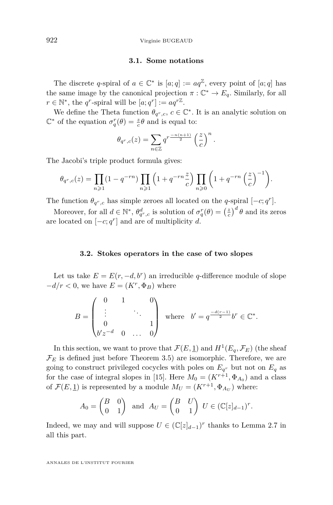922 Virginie BUGEAUD

#### **3.1. Some notations**

The discrete *q*-spiral of  $a \in \mathbb{C}^*$  is  $[a; q] := aq^{\mathbb{Z}}$ , every point of  $[a; q]$  has the same image by the canonical projection  $\pi : \mathbb{C}^* \to E_q$ . Similarly, for all  $r \in \mathbb{N}^*$ , the *q*<sup>r</sup>-spiral will be  $[a; q^r] := aq^{r\mathbb{Z}}$ .

We define the Theta function  $\theta_{q^r,c}$ ,  $c \in \mathbb{C}^*$ . It is an analytic solution on  $\mathbb{C}^*$  of the equation  $\sigma_q^r(\theta) = \frac{z}{c}\theta$  and is equal to:

$$
\theta_{q^r,c}(z) = \sum_{n \in \mathbb{Z}} q^{r \frac{-n(n+1)}{2}} \left(\frac{z}{c}\right)^n.
$$

The Jacobi's triple product formula gives:

$$
\theta_{q^r,c}(z) = \prod_{n\geqslant 1} (1-q^{-rn}) \prod_{n\geqslant 1} \left(1+q^{-rn}\frac{z}{c}\right) \prod_{n\geqslant 0} \left(1+q^{-rn}\left(\frac{z}{c}\right)^{-1}\right).
$$

The function  $\theta_{q^r,c}$  has simple zeroes all located on the *q*-spiral  $[-c; q^r]$ .

Moreover, for all  $d \in \mathbb{N}^*$ ,  $\theta_{q^r,c}^d$  is solution of  $\sigma_q^r(\theta) = \left(\frac{z}{c}\right)^d \theta$  and its zeros are located on  $[-c; q^r]$  and are of multiplicity *d*.

#### **3.2. Stokes operators in the case of two slopes**

Let us take  $E = E(r, -d, b^r)$  an irreducible *q*-difference module of slope  $-d/r < 0$ , we have  $E = (K^r, \Phi_B)$  where

$$
B = \begin{pmatrix} 0 & 1 & 0 \\ \vdots & & \ddots & \\ 0 & & & 1 \\ 0'z^{-d} & 0 & \dots & 0 \end{pmatrix} \text{ where } b' = q^{\frac{-d(r-1)}{2}}b^r \in \mathbb{C}^*.
$$

In this section, we want to prove that  $\mathcal{F}(E, \underline{1})$  and  $H^1(E_q, \mathcal{F}_E)$  (the sheaf  $\mathcal{F}_E$  is defined just before Theorem [3.5\)](#page-26-0) are isomorphic. Therefore, we are going to construct privileged cocycles with poles on  $E_q$ <sup>*r*</sup> but not on  $E_q$  as for the case of integral slopes in [\[15\]](#page-64-2). Here  $M_0 = (K^{r+1}, \Phi_{A_0})$  and a class of  $\mathcal{F}(E, \underline{1})$  is represented by a module  $M_U = (K^{r+1}, \Phi_{A_U})$  where:

$$
A_0 = \begin{pmatrix} B & 0 \\ 0 & 1 \end{pmatrix} \text{ and } A_U = \begin{pmatrix} B & U \\ 0 & 1 \end{pmatrix} U \in (\mathbb{C}[z]_{d-1})^r.
$$

Indeed, we may and will suppose  $U \in (\mathbb{C}[z]_{d-1})^r$  thanks to Lemma [2.7](#page-18-2) in all this part.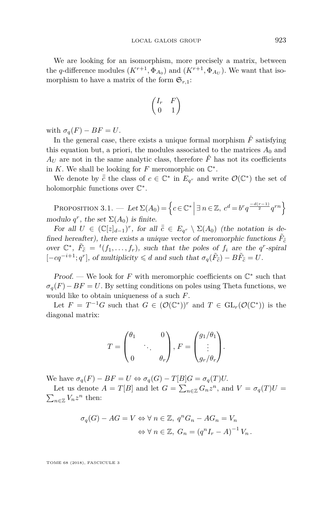We are looking for an isomorphism, more precisely a matrix, between the *q*-difference modules  $(K^{r+1}, \Phi_{A_0})$  and  $(K^{r+1}, \Phi_{A_U})$ . We want that isomorphism to have a matrix of the form  $\mathfrak{S}_{r,1}$ :

$$
\begin{pmatrix} I_r & F \\ 0 & 1 \end{pmatrix}
$$

with  $\sigma_q(F) - BF = U$ .

In the general case, there exists a unique formal morphism  $\hat{F}$  satisfying this equation but, a priori, the modules associated to the matrices  $A_0$  and  $A_U$  are not in the same analytic class, therefore  $\hat{F}$  has not its coefficients in  $K$ . We shall be looking for  $F$  meromorphic on  $\mathbb{C}^*$ .

We denote by  $\bar{\bar{c}}$  the class of  $c \in \mathbb{C}^*$  in  $E_{q^r}$  and write  $\mathcal{O}(\mathbb{C}^*)$  the set of holomorphic functions over  $\mathbb{C}^*$ .

<span id="page-23-0"></span>PROPOSITION 3.1. — Let  $\Sigma(A_0) = \left\{ c \in \mathbb{C}^* \mid \exists n \in \mathbb{Z}, c^d = b^r q^{\frac{-d(r-1)}{2}} q^{rn} \right\}$ modulo  $q^r$ , the set  $\Sigma(A_0)$  is finite.

For all  $U \in (\mathbb{C}[z]_{d-1})^r$ , for all  $\overline{c} \in E_{q^r} \setminus \Sigma(A_0)$  (the notation is defined hereafter), there exists a unique vector of meromorphic functions  $\tilde{F}_{\overline{c}}$ over  $\mathbb{C}^*$ ,  $\tilde{F}_{\bar{c}} = {}^t(f_1, \ldots, f_r)$ , such that the poles of  $f_i$  are the  $q^r$ -spiral  $[-cq^{-i+1}; q^r]$ , of multiplicity  $\leq d$  and such that  $\sigma_q(\tilde{F}_{\bar{c}}) - B\tilde{F}_{\bar{c}} = U$ .

*Proof.* — We look for  $F$  with meromorphic coefficients on  $\mathbb{C}^*$  such that  $\sigma_q(F) - BF = U$ . By setting conditions on poles using Theta functions, we would like to obtain uniqueness of a such *F*.

Let  $F = T^{-1}G$  such that  $G \in (\mathcal{O}(\mathbb{C}^*))^r$  and  $T \in GL_r(\mathcal{O}(\mathbb{C}^*))$  is the diagonal matrix:

$$
T = \begin{pmatrix} \theta_1 & 0 \\ & \ddots & \\ 0 & & \theta_r \end{pmatrix}, F = \begin{pmatrix} g_1/\theta_1 \\ \vdots \\ g_r/\theta_r \end{pmatrix}.
$$

We have  $\sigma_q(F) - BF = U \Leftrightarrow \sigma_q(G) - T[B]G = \sigma_q(T)U$ .

Let us denote  $A = T[B]$  and let  $G = \sum_{n \in \mathbb{Z}} G_n z^n$ , and  $V = \sigma_q(T)U =$  $\sum_{n\in\mathbb{Z}}V_nz^n$  then:

$$
\sigma_q(G) - AG = V \Leftrightarrow \forall n \in \mathbb{Z}, q^n G_n - AG_n = V_n
$$

$$
\Leftrightarrow \forall n \in \mathbb{Z}, G_n = (q^n I_r - A)^{-1} V_n.
$$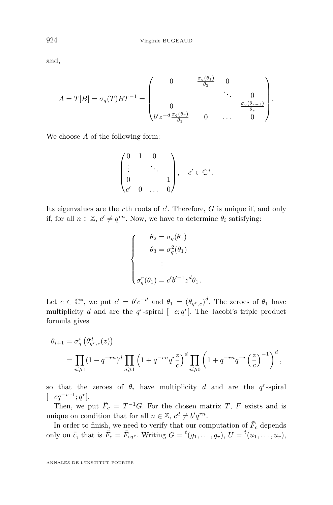and,

$$
A = T[B] = \sigma_q(T)BT^{-1} = \begin{pmatrix} 0 & \frac{\sigma_q(\theta_1)}{\theta_2} & 0 \\ & \ddots & 0 \\ 0 & & \frac{\sigma_q(\theta_{r-1})}{\theta_r} \\ b'z^{-d}\frac{\sigma_q(\theta_r)}{\theta_1} & 0 & \dots & 0 \end{pmatrix}.
$$

We choose *A* of the following form:

$$
\begin{pmatrix} 0 & 1 & 0 \\ \vdots & & \ddots & \\ 0 & & & 1 \\ c' & 0 & \dots & 0 \end{pmatrix}, \quad c' \in \mathbb{C}^*.
$$

Its eigenvalues are the *r*th roots of *c*'. Therefore, *G* is unique if, and only if, for all  $n \in \mathbb{Z}$ ,  $c' \neq q^{rn}$ . Now, we have to determine  $\theta_i$  satisfying:

$$
\begin{cases}\n\theta_2 = \sigma_q(\theta_1) \\
\theta_3 = \sigma_q^2(\theta_1) \\
\vdots \\
\sigma_q^r(\theta_1) = c'b'^{-1} z^d \theta_1.\n\end{cases}
$$

Let  $c \in \mathbb{C}^*$ , we put  $c' = b'c^{-d}$  and  $\theta_1 = (\theta_{q^r,c})^d$ . The zeroes of  $\theta_1$  have multiplicity *d* and are the  $q^r$ -spiral  $[-c; q^r]$ . The Jacobi's triple product formula gives

$$
\theta_{i+1} = \sigma_q^{i} \left( \theta_{q^r,c}^{d}(z) \right)
$$
  
= 
$$
\prod_{n \geq 1} (1 - q^{-rn})^d \prod_{n \geq 1} \left( 1 + q^{-rn} q^{i \frac{z}{c}} \right)^d \prod_{n \geq 0} \left( 1 + q^{-rn} q^{-i} \left( \frac{z}{c} \right)^{-1} \right)^d,
$$

so that the zeroes of  $\theta_i$  have multiplicity *d* and are the *q<sup>r</sup>*-spiral  $[-cq^{-i+1}; q^r].$ 

Then, we put  $\tilde{F}_c = T^{-1}G$ . For the chosen matrix *T*, *F* exists and is unique on condition that for all  $n \in \mathbb{Z}$ ,  $c^d \neq b'q^{rn}$ .

In order to finish, we need to verify that our computation of  $\tilde{F}_c$  depends only on  $\bar{\bar{c}}$ , that is  $\tilde{F}_c = \tilde{F}_{cq}$ . Writing  $G = {}^t(g_1, \ldots, g_r)$ ,  $U = {}^t(u_1, \ldots, u_r)$ ,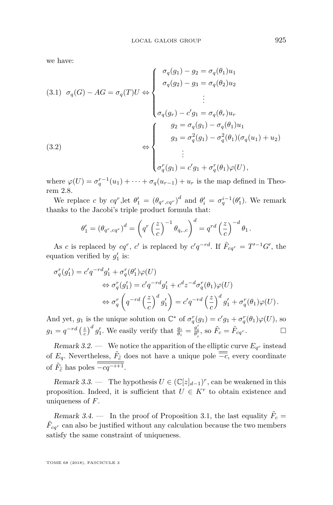we have:

(3.1) 
$$
\sigma_q(G) - AG = \sigma_q(T)U \Leftrightarrow \begin{cases} \sigma_q(g_1) - g_2 = \sigma_q(\theta_1)u_1 \\ \sigma_q(g_2) - g_3 = \sigma_q(\theta_2)u_2 \\ \vdots \\ \sigma_q(g_r) - c'g_1 = \sigma_q(\theta_r)u_r \\ \sigma_q(g_r) - c'g_1 = \sigma_q(\theta_r)u_1 \\ g_3 = \sigma_q^2(g_1) - \sigma_q^2(\theta_1)(\sigma_q(u_1) + u_2) \\ \vdots \\ \sigma_q^r(g_1) = c'g_1 + \sigma_q^r(\theta_1)\varphi(U), \end{cases}
$$

where  $\varphi(U) = \sigma_q^{r-1}(u_1) + \cdots + \sigma_q(u_{r-1}) + u_r$  is the map defined in Theorem [2.8.](#page-19-0)

We replace *c* by  $cq^r$ , let  $\theta'_1 = (\theta_{q^r, cq^r})^d$  and  $\theta'_i = \sigma_q^{i-1}(\theta'_1)$ . We remark thanks to the Jacobi's triple product formula that:

$$
\theta_1' = (\theta_{q^r, cq^r})^d = \left(q^r \left(\frac{z}{c}\right)^{-1} \theta_{q_r, c}\right)^d = q^{rd} \left(\frac{z}{c}\right)^{-d} \theta_1.
$$

As *c* is replaced by  $cq^r$ , *c*' is replaced by  $c'q^{-rd}$ . If  $\tilde{F}_{cq^r} = T'^{-1}G'$ , the equation verified by  $g'_1$  is:

$$
\begin{split} \sigma_q^r(g_1')&=c'q^{-rd}g_1'+\sigma_q^r(\theta_1')\varphi(U)\\ &\qquad \Leftrightarrow \sigma_q^r(g_1')=c'q^{-rd}g_1'+c^dz^{-d}\sigma_q^r(\theta_1)\varphi(U)\\ &\qquad \Leftrightarrow \sigma_q^r\left(q^{-rd}\left(\frac{z}{c}\right)^dg_1'\right)=c'q^{-rd}\left(\frac{z}{c}\right)^dg_1'+\sigma_q^r(\theta_1)\varphi(U)\,. \end{split}
$$

And yet,  $g_1$  is the unique solution on  $\mathbb{C}^*$  of  $\sigma_q^r(g_1) = c'g_1 + \sigma_q^r(\theta_1)\varphi(U)$ , so  $g_1 = q^{-rd} \left(\frac{z}{c}\right)^d g'_1$ . We easily verify that  $\frac{g_i}{\theta_i} = \frac{g'_i}{\theta'_i}$ , so  $\tilde{F}_c = \tilde{F}_{cq}$ .

Remark 3.2. — We notice the apparition of the elliptic curve  $E_{q^r}$  instead of  $E_q$ . Nevertheless,  $\tilde{F}_{\bar{c}}$  does not have a unique pole  $\overline{-c}$ , every coordinate of  $\tilde{F}_{\bar{c}}$  has poles  $\overline{-cq^{-i+1}}$ .

<span id="page-25-0"></span>Remark 3.3. — The hypothesis  $U \in (\mathbb{C}[z]_{d-1})^r$ , can be weakened in this proposition. Indeed, it is sufficient that  $U \in K^r$  to obtain existence and uniqueness of *F*.

Remark 3.4. — In the proof of Proposition [3.1,](#page-23-0) the last equality  $\tilde{F}_c =$  $\tilde{F}_{cq}$ <sup>r</sup> can also be justified without any calculation because the two members satisfy the same constraint of uniqueness.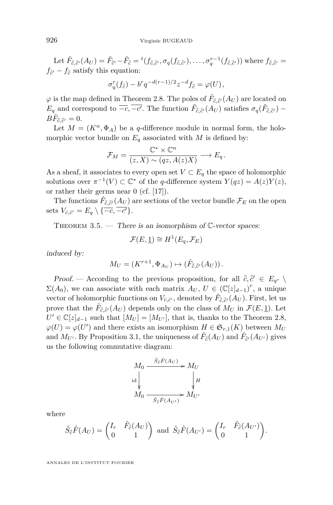Let  $\tilde{F}_{\bar{\bar{c}},\bar{\bar{c}}'}(A_U) = \tilde{F}_{\bar{\bar{c}}'} - \tilde{F}_{\bar{\bar{c}}} = {}^t(f_{\bar{\bar{c}},\bar{\bar{c}}'},\sigma_q(f_{\bar{\bar{c}},\bar{\bar{c}}'}),\ldots,\sigma_q^{r-1}(f_{\bar{\bar{c}},\bar{\bar{c}}'})$  where  $f_{\bar{\bar{c}},\bar{\bar{c}}'} =$  $f_{\bar{\bar{c}}'} - f_{\bar{\bar{c}}}$  satisfy this equation:

$$
\sigma_q^r(f_{\bar{c}}) - b^r q^{-d(r-1)/2} z^{-d} f_{\bar{c}} = \varphi(U),
$$

 $\varphi$  is the map defined in Theorem [2.8.](#page-19-0) The poles of  $\tilde{F}_{\bar{c},\bar{c}'}(A_U)$  are located on *E*<sup>*q*</sup> and correspond to  $\overline{-c}$ ,  $\overline{-c'}$ . The function  $\tilde{F}_{\bar{c},\bar{c}'}(A_U)$  satisfies  $\sigma_q(\tilde{F}_{\bar{c},\bar{c}'} )$  –  $B\tilde{F}_{\bar{\bar{c}},\bar{\bar{c}}'}=0.$ 

Let  $M = (K^n, \Phi_A)$  be a *q*-difference module in normal form, the holomorphic vector bundle on  $E_q$  associated with *M* is defined by:

$$
\mathcal{F}_M = \frac{\mathbb{C}^* \times \mathbb{C}^n}{(z, X) \sim (qz, A(z)X)} \longrightarrow E_q.
$$

As a sheaf, it associates to every open set  $V \subset E_q$  the space of holomorphic solutions over  $\pi^{-1}(V) \subset \mathbb{C}^*$  of the *q*-difference system  $Y(qz) = A(z)Y(z)$ , or rather their germs near 0 (cf. [\[17\]](#page-64-3)).

The functions  $\tilde{F}_{\bar{\bar{c}},\bar{\bar{c}}'}(A_U)$  are sections of the vector bundle  $\mathcal{F}_E$  on the open sets  $V_{\bar{c}, \bar{c}'} = E_q \setminus \{ \overline{-c}, \overline{-c'} \}.$ 

<span id="page-26-0"></span>THEOREM  $3.5.$  — There is an isomorphism of  $\mathbb{C}\text{-vector spaces:}$ 

$$
\mathcal{F}(E, \underline{1}) \cong H^1(E_q, \mathcal{F}_E)
$$

induced by:

$$
M_U = (K^{r+1}, \Phi_{A_U}) \mapsto (\tilde{F}_{\bar{\bar{c}}, \bar{\bar{c}}'}(A_U)).
$$

Proof. — According to the previous proposition, for all  $\bar{\bar{c}}, \bar{\bar{c}}' \in E_{q^r} \setminus$  $\Sigma(A_0)$ , we can associate with each matrix  $A_U$ ,  $U \in (\mathbb{C}[z]_{d-1})^r$ , a unique vector of holomorphic functions on  $V_{\bar{c},\bar{c}'}$ , denoted by  $\tilde{F}_{\bar{\bar{c}},\bar{c}'}(A_U)$ . First, let us prove that the  $\tilde{F}_{\bar{\bar{c}},\bar{\bar{c}}'}(A_U)$  depends only on the class of  $M_U$  in  $\mathcal{F}(E,\underline{1})$ . Let  $U' \in \mathbb{C}[z]_{d-1}$  such that  $[M_U] = [M_{U'}]$ , that is, thanks to the Theorem [2.8,](#page-19-0)  $\varphi(U) = \varphi(U')$  and there exists an isomorphism  $H \in \mathfrak{S}_{r,1}(K)$  between  $M_U$ and  $M_{U'}$ . By Proposition [3.1,](#page-23-0) the uniqueness of  $\tilde{F}_{\bar{\bar{c}}}(A_U)$  and  $\tilde{F}_{\bar{c}'}(A_{U'})$  gives us the following commutative diagram:

$$
M_0 \xrightarrow{\tilde{S}_{\bar{e}}\hat{F}(A_U)} M_U
$$
  
id  

$$
M_0 \xrightarrow{\tilde{S}_{\bar{e}}\hat{F}(A_{U'})} M_{U'}
$$

where

$$
\tilde{S}_{\bar{c}}\hat{F}(A_U) = \begin{pmatrix} I_r & \tilde{F}_{\bar{c}}(A_U) \\ 0 & 1 \end{pmatrix} \text{ and } \tilde{S}_{\bar{c}}\hat{F}(A_{U'}) = \begin{pmatrix} I_r & \tilde{F}_{\bar{c}}(A_{U'}) \\ 0 & 1 \end{pmatrix}.
$$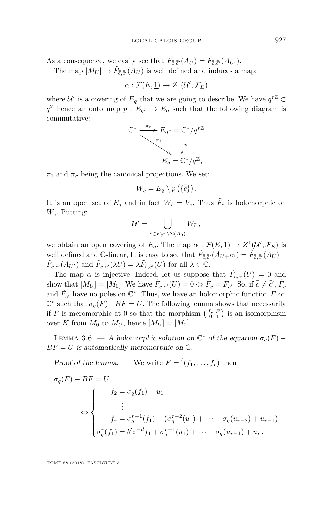As a consequence, we easily see that  $\tilde{F}_{\bar{c},\bar{c}'}(A_U) = \tilde{F}_{\bar{c},\bar{c}'}(A_{U'})$ .

The map  $[M_U] \mapsto \tilde{F}_{\bar{c},\bar{c}'}(A_U)$  is well defined and induces a map:

$$
\alpha: \mathcal{F}(E,\underline{1}) \to Z^1(\mathcal{U}',\mathcal{F}_E)
$$

where  $\mathcal{U}'$  is a covering of  $E_q$  that we are going to describe. We have  $q^{r\mathbb{Z}} \subset$  $q^{\mathbb{Z}}$  hence an onto map  $p: E_{q^r} \to E_q$  such that the following diagram is commutative:

$$
\mathbb{C}^* \xrightarrow{\pi_r} E_{q^r} = \mathbb{C}^*/q^{r\mathbb{Z}}
$$
\n
$$
F_q = \mathbb{C}^*/q\mathbb{Z},
$$

 $\pi_1$  and  $\pi_r$  being the canonical projections. We set:

$$
W_{\overline{c}}=E_q\setminus p(\{\overline{c}\}).
$$

It is an open set of  $E_q$  and in fact  $W_{\bar{\bar{c}}} = V_{\bar{c}}$ . Thus  $\tilde{F}_{\bar{\bar{c}}}$  is holomorphic on  $W_{\bar{c}}$ . Putting:

$$
\mathcal{U}' = \bigcup_{\bar{\bar{c}} \in E_{q^r} \setminus \Sigma(A_0)} W_{\bar{\bar{c}}},
$$

we obtain an open covering of  $E_q$ . The map  $\alpha : \mathcal{F}(E, \underline{1}) \to Z^1(\mathcal{U}', \mathcal{F}_E)$  is well defined and C-linear, It is easy to see that  $\tilde{F}_{\bar{c},\bar{c}'}(A_{U+U'}) = \tilde{F}_{\bar{c},\bar{c}'}(A_U) +$  $\tilde{F}_{\bar{\bar{c}},\bar{\bar{c}}'}(A_{U'})$  and  $\tilde{F}_{\bar{\bar{c}},\bar{\bar{c}}'}(\lambda U) = \lambda \tilde{F}_{\bar{\bar{c}},\bar{\bar{c}}'}(U)$  for all  $\lambda \in \mathbb{C}$ .

The map  $\alpha$  is injective. Indeed, let us suppose that  $\tilde{F}_{\bar{c},\bar{c}'}(U) = 0$  and show that  $[M_U] = [M_0]$ . We have  $\tilde{F}_{\bar{c},\bar{c}'}(U) = 0 \Leftrightarrow \tilde{F}_{\bar{c}} = \tilde{F}_{\bar{c}'}$ . So, if  $\bar{c} \neq \bar{c}'$ ,  $\tilde{F}_{\bar{c}}$ and  $\tilde{F}_{\bar{c}'}$  have no poles on  $\mathbb{C}^*$ . Thus, we have an holomorphic function  $F$  on  $\mathbb{C}^*$  such that  $\sigma_q(F) - BF = U$ . The following lemma shows that necessarily if *F* is meromorphic at 0 so that the morphism  $\begin{pmatrix} I_r & F \\ 0 & 1 \end{pmatrix}$  is an isomorphism over *K* from  $M_0$  to  $M_U$ , hence  $[M_U] = [M_0]$ .

LEMMA 3.6. — A holomorphic solution on  $\mathbb{C}^*$  of the equation  $\sigma_q(F)$  –  $BF = U$  is automatically meromorphic on  $\mathbb{C}$ .

Proof of the lemma. — We write  $F = {}^{t}(f_1, \ldots, f_r)$  then

$$
\sigma_q(F) - BF = U
$$
  
\n
$$
\Leftrightarrow \begin{cases}\nf_2 = \sigma_q(f_1) - u_1 \\
\vdots \\
f_r = \sigma_q^{r-1}(f_1) - (\sigma_q^{r-2}(u_1) + \dots + \sigma_q(u_{r-2}) + u_{r-1}) \\
\sigma_q^r(f_1) = b'z^{-d}f_1 + \sigma_q^{r-1}(u_1) + \dots + \sigma_q(u_{r-1}) + u_r.\n\end{cases}
$$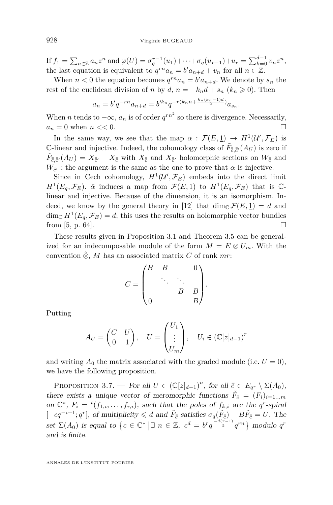If  $f_1 = \sum_{n \in \mathbb{Z}} a_n z^n$  and  $\varphi(U) = \sigma_q^{r-1}(u_1) + \cdots + \sigma_q(u_{r-1}) + u_r = \sum_{k=0}^{d-1} v_n z^n$ , the last equation is equivalent to  $q^{rn}a_n = b'a_{n+d} + v_n$  for all  $n \in \mathbb{Z}$ .

When  $n < 0$  the equation becomes  $q^{rn}a_n = b'a_{n+d}$ . We denote by  $s_n$  the rest of the euclidean division of *n* by *d*,  $n = -k_n d + s_n$  ( $k_n \ge 0$ ). Then

$$
a_n = b'q^{-rn}a_{n+d} = b'^{k_n}q^{-r(k_n n + \frac{k_n(k_n-1)d}{2})}a_{s_n}.
$$

When *n* tends to  $-\infty$ ,  $a_n$  is of order  $q^{rn^2}$  so there is divergence. Necessarily,  $a_n = 0$  when  $n \ll 0$ .

In the same way, we see that the map  $\bar{\alpha}$  :  $\mathcal{F}(E, \underline{1}) \to H^1(\mathcal{U}', \mathcal{F}_E)$  is C-linear and injective. Indeed, the cohomology class of  $\tilde{F}_{\bar{c},\bar{c}'}(A_U)$  is zero if  $\tilde{F}_{\bar{c},\bar{c}'}(A_U) = X_{\bar{c}'} - X_{\bar{c}}$  with  $X_{\bar{c}}$  and  $X_{\bar{c}'}$  holomorphic sections on  $W_{\bar{c}}$  and  $W_{\bar{c}'}$ ; the argument is the same as the one to prove that  $\alpha$  is injective.

Since in Cech cohomology,  $H^1(\mathcal{U}', \mathcal{F}_E)$  embeds into the direct limit *H*<sup>1</sup>(*E<sub>q</sub>*,  $\mathcal{F}_E$ ).  $\bar{\alpha}$  induces a map from  $\mathcal{F}(E, \underline{1})$  to  $H^1(E_q, \mathcal{F}_E)$  that is  $\mathbb{C}$ linear and injective. Because of the dimension, it is an isomorphism. In-deed, we know by the general theory in [\[12\]](#page-63-5) that  $\dim_{\mathbb{C}} \mathcal{F}(E, 1) = d$  and  $\dim_{\mathbb{C}} H^1(E_q, \mathcal{F}_E) = d$ ; this uses the results on holomorphic vector bundles from [\[5,](#page-63-8) p. 64].

These results given in Proposition [3.1](#page-23-0) and Theorem [3.5](#page-26-0) can be generalized for an indecomposable module of the form  $M = E \otimes U_m$ . With the convention  $\hat{\otimes}$ , *M* has an associated matrix *C* of rank *mr*:

$$
C = \begin{pmatrix} B & B & & 0 \\ & \ddots & \ddots & \\ & & B & B \\ 0 & & & B \end{pmatrix}.
$$

Putting

$$
A_U = \begin{pmatrix} C & U \\ 0 & 1 \end{pmatrix}, \quad U = \begin{pmatrix} U_1 \\ \vdots \\ U_m \end{pmatrix}, \quad U_i \in (\mathbb{C}[z]_{d-1})^r
$$

and writing  $A_0$  the matrix associated with the graded module (i.e.  $U = 0$ ), we have the following proposition.

PROPOSITION 3.7. — For all  $U \in (\mathbb{C}[z]_{d-1})^n$ , for all  $\overline{\overline{c}} \in E_{q^r} \setminus \Sigma(A_0)$ , there exists a unique vector of meromorphic functions  $\tilde{F}_{\bar{c}} = (F_i)_{i=1...m}$ on  $\mathbb{C}^*$ ,  $F_i = {}^t(f_{1,i}, \ldots, f_{r,i})$ , such that the poles of  $f_{k,i}$  are the  $q^r$ -spiral  $[-cq^{-i+1}; q^r]$ , of multiplicity  $\leq d$  and  $\tilde{F}_{\bar{c}}$  satisfies  $\sigma_q(\tilde{F}_{\bar{c}}) - B\tilde{F}_{\bar{c}} = U$ . The set  $\Sigma(A_0)$  is equal to  $\{c \in \mathbb{C}^* \mid \exists n \in \mathbb{Z}, c^d = b^r q^{\frac{-d(r-1)}{2}} q^{rn}\}\$  modulo  $q^r$ and is finite.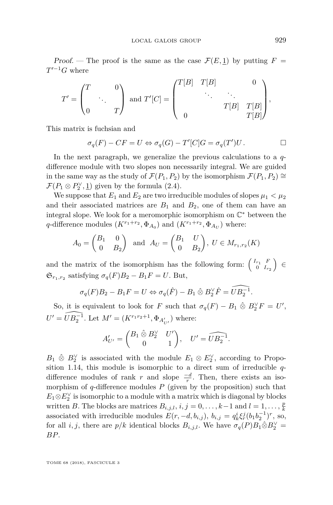Proof. — The proof is the same as the case  $\mathcal{F}(E,1)$  by putting  $F =$  $T'^{-1}G$  where

$$
T' = \begin{pmatrix} T & 0 \\ & \ddots & \\ 0 & T \end{pmatrix} \text{ and } T'[C] = \begin{pmatrix} T[B] & T[B] & 0 \\ & \ddots & \ddots & \\ & T[B] & T[B] \\ 0 & T[B] \end{pmatrix},
$$

This matrix is fuchsian and

$$
\sigma_q(F) - CF = U \Leftrightarrow \sigma_q(G) - T'[C]G = \sigma_q(T')U. \qquad \Box
$$

In the next paragraph, we generalize the previous calculations to a *q*difference module with two slopes non necessarily integral. We are guided in the same way as the study of  $\mathcal{F}(P_1, P_2)$  by the isomorphism  $\mathcal{F}(P_1, P_2) \cong$  $\mathcal{F}(P_1 \otimes P_2^{\vee}, \underline{1})$  given by the formula [\(2.4\)](#page-14-0).

We suppose that  $E_1$  and  $E_2$  are two irreducible modules of slopes  $\mu_1 < \mu_2$ and their associated matrices are  $B_1$  and  $B_2$ , one of them can have an integral slope. We look for a meromorphic isomorphism on  $\mathbb{C}^*$  between the *q*-difference modules  $(K^{r_1+r_2}, \Phi_{A_0})$  and  $(K^{r_1+r_2}, \Phi_{A_U})$  where:

$$
A_0 = \begin{pmatrix} B_1 & 0 \\ 0 & B_2 \end{pmatrix} \text{ and } A_U = \begin{pmatrix} B_1 & U \\ 0 & B_2 \end{pmatrix}, U \in M_{r_1, r_2}(K)
$$

and the matrix of the isomorphism has the following form:  $\begin{pmatrix} I_{r_1} & F \\ 0 & I_r \end{pmatrix}$ 0  $I_{r_2}$ ) ∈  $\mathfrak{S}_{r_1,r_2}$  satisfying  $\sigma_q(F)B_2 - B_1F = U$ . But,

$$
\sigma_q(F)B_2 - B_1F = U \Leftrightarrow \sigma_q(\hat{F}) - B_1 \hat{\otimes} B_2^{\vee} \hat{F} = \widehat{UB_2^{-1}}.
$$

So, it is equivalent to look for *F* such that  $\sigma_q(F) - B_1 \otimes B_2^{\vee} F = U'$ ,  $U' = \widehat{UB_2^{-1}}$ . Let  $M' = (K^{r_1r_2+1}, \Phi_{A'_{U'}})$  where:

$$
A'_{U'} = \begin{pmatrix} B_1 \hat{\otimes} B_2^{\vee} & U' \\ 0 & 1 \end{pmatrix}, \quad U' = \widehat{UB_2^{-1}}.
$$

 $B_1 \, \hat{\otimes} B_2^{\vee}$  is associated with the module  $E_1 \otimes E_2^{\vee}$ , according to Proposition [1.14,](#page-9-1) this module is isomorphic to a direct sum of irreducible *q*difference modules of rank *r* and slope  $\frac{-d}{r}$ . Then, there exists an isomorphism of *q*-difference modules *P* (given by the proposition) such that  $E_1 \otimes E_2^{\vee}$  is isomorphic to a module with a matrix which is diagonal by blocks written *B*. The blocks are matrices  $B_{i,j,l}$ ,  $i, j = 0, \ldots, k-1$  and  $l = 1, \ldots, \frac{p}{k}$ associated with irreducible modules  $E(r, -d, b_{i,j})$ ,  $b_{i,j} = q_k^i \xi_r^j (b_1 b_2^{-1})^r$ , so, for all *i, j,* there are  $p/k$  identical blocks  $B_{i,j,l}$ . We have  $\sigma_q(P)B_1\hat{\otimes}B_2^{\vee} =$ *BP*.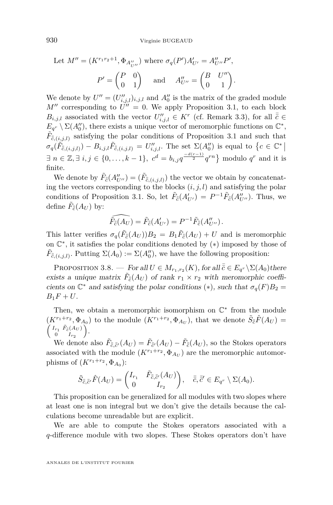Let 
$$
M'' = (K^{r_1 r_2 + 1}, \Phi_{A''_{U''}})
$$
 where  $\sigma_q(P')A'_{U'} = A''_{U''}P',$   
 $P' = \begin{pmatrix} P & 0 \\ 0 & 1 \end{pmatrix}$  and  $A''_{U''} = \begin{pmatrix} B & U'' \\ 0 & 1 \end{pmatrix}.$ 

We denote by  $U'' = (U''_{i,j,l})_{i,j,l}$  and  $A''_0$  is the matrix of the graded module  $M''$  corresponding to  $U'' = 0$ . We apply Proposition [3.1,](#page-23-0) to each block  $B_{i,j,l}$  associated with the vector  $U''_{i,j,l} \in K^r$  (cf. Remark [3.3\)](#page-25-0), for all  $\bar{c} \in$  $E_{q}$ <sup>*r*</sup> \  $\Sigma(A_0'')$ , there exists a unique vector of meromorphic functions on  $\mathbb{C}^*$ ,  $\tilde{F}_{\bar{\bar{c}},(i,j,l)}$  satisfying the polar conditions of Proposition [3.1](#page-23-0) and such that  $\sigma_q(\tilde{F}_{\bar{c},(i,j,l)}) - B_{i,j,l}\tilde{F}_{\bar{c},(i,j,l)} = U''_{i,j,l}.$  The set  $\Sigma(A''_0)$  is equal to  $\{c \in \mathbb{C}^* |$ ∃  $n \in \mathbb{Z}, \exists i, j \in \{0, \ldots, k-1\}, c^d = b_{i,j}q^{\frac{-d(r-1)}{2}}q^{rn}\}\$  modulo  $q^r$  and it is finite.

We denote by  $\tilde{F}_{\bar{c}}(A_{U''}''') = (\tilde{F}_{\bar{c},(i,j,l)})$  the vector we obtain by concatenating the vectors corresponding to the blocks  $(i, j, l)$  and satisfying the polar conditions of Proposition [3.1.](#page-23-0) So, let  $\tilde{F}_{\bar{c}}(A'_{U'}) = P^{-1}\tilde{F}_{\bar{c}}(A''_{U''})$ . Thus, we define  $\tilde{F}_{\bar{\bar{c}}}(A_U)$  by:

$$
\widehat{\tilde{F}_{\overline{\tilde{c}}}}(\widehat{A_U})=\tilde{F}_{\overline{\tilde{c}}}(A'_{U'})=P^{-1}\tilde{F}_{\overline{\tilde{c}}}(A''_{U''}).
$$

This latter verifies  $\sigma_q(\tilde{F}_{\bar{c}}(A_U))B_2 = B_1\tilde{F}_{\bar{c}}(A_U) + U$  and is meromorphic on C ∗ , it satisfies the polar conditions denoted by (∗) imposed by those of  $\tilde{F}_{\bar{\bar{c}},(i,j,l)}$ . Putting  $\Sigma(A_0) := \Sigma(A_0'')$ , we have the following proposition:

PROPOSITION 3.8. — For all  $U \in M_{r_1,r_2}(K)$ , for all  $\overline{\overline{c}} \in E_{q^r} \backslash \Sigma(A_0)$  there exists a unique matrix  $\tilde{F}_{\bar{c}}(A_U)$  of rank  $r_1 \times r_2$  with meromorphic coefficients on  $\mathbb{C}^*$  and satisfying the polar conditions (\*), such that  $\sigma_q(F)B_2 =$  $B_1F + U$ .

Then, we obtain a meromorphic isomorphism on  $\mathbb{C}^*$  from the module  $(K^{r_1+r_2}, \Phi_{A_0})$  to the module  $(K^{r_1+r_2}, \Phi_{A_U})$ , that we denote  $\tilde{S}_{\bar{c}}\hat{F}(A_U)$  =  $\int I_{r_1} \tilde{F}_{\bar{c}}(A_U)$ 0  $I_{r_2}$ .

We denote also  $\tilde{F}_{\bar{c},\bar{c}'}(A_U) = \tilde{F}_{\bar{c}'}(A_U) - \tilde{F}_{\bar{c}}(A_U)$ , so the Stokes operators associated with the module  $(K^{r_1+r_2}, \Phi_{A_U})$  are the meromorphic automorphisms of  $(K^{r_1+r_2}, \Phi_{A_0})$ :

$$
\tilde{S}_{\bar{\bar{c}},\bar{\bar{c}'}}\hat{F}(A_U) = \begin{pmatrix} I_{r_1} & \tilde{F}_{\bar{\bar{c}},\bar{\bar{c}'}}(A_U) \\ 0 & I_{r_2} \end{pmatrix}, \quad \bar{\bar{c}}, \bar{\bar{c}}' \in E_{q^r} \setminus \Sigma(A_0).
$$

This proposition can be generalized for all modules with two slopes where at least one is non integral but we don't give the details because the calculations become unreadable but are explicit.

We are able to compute the Stokes operators associated with a *q*-difference module with two slopes. These Stokes operators don't have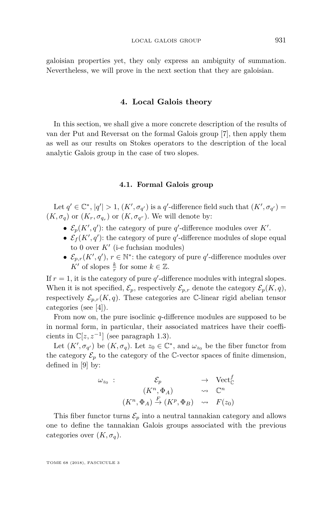galoisian properties yet, they only express an ambiguity of summation. Nevertheless, we will prove in the next section that they are galoisian.

#### **4. Local Galois theory**

In this section, we shall give a more concrete description of the results of van der Put and Reversat on the formal Galois group [\[7\]](#page-63-2), then apply them as well as our results on Stokes operators to the description of the local analytic Galois group in the case of two slopes.

#### **4.1. Formal Galois group**

Let  $q' \in \mathbb{C}^*$ ,  $|q'| > 1$ ,  $(K', \sigma_{q'})$  is a *q*'-difference field such that  $(K', \sigma_{q'}) =$  $(K, \sigma_q)$  or  $(K_r, \sigma_{q_r})$  or  $(K, \sigma_{q^r})$ . We will denote by:

- $\mathcal{E}_p(K', q')$ : the category of pure *q*'-difference modules over *K'*.
- $\mathcal{E}_f(K', q')$ : the category of pure  $q'$ -difference modules of slope equal to 0 over  $K'$  (i-e fuchsian modules)
- $\mathcal{E}_{p,r}(K', q'), r \in \mathbb{N}^*$ : the category of pure *q*'-difference modules over *K*<sup> $\prime$ </sup> of slopes  $\frac{k}{r}$  for some  $k \in \mathbb{Z}$ .

If  $r = 1$ , it is the category of pure  $q'$ -difference modules with integral slopes. When it is not specified,  $\mathcal{E}_p$ , respectively  $\mathcal{E}_{p,r}$  denote the category  $\mathcal{E}_p(K,q)$ , respectively  $\mathcal{E}_{p,r}(K,q)$ . These categories are C-linear rigid abelian tensor categories (see [\[4\]](#page-63-9)).

From now on, the pure isoclinic *q*-difference modules are supposed to be in normal form, in particular, their associated matrices have their coefficients in  $\mathbb{C}[z, z^{-1}]$  (see paragraph [1.3\)](#page-6-0).

Let  $(K', \sigma_{q'})$  be  $(K, \sigma_q)$ . Let  $z_0 \in \mathbb{C}^*$ , and  $\omega_{z_0}$  be the fiber functor from the category  $\mathcal{E}_p$  to the category of the C-vector spaces of finite dimension, defined in [\[9\]](#page-63-10) by:

$$
\omega_{z_0} : \n\begin{array}{rcl}\n\mathcal{E}_p & \to & \text{Vect}_{\mathbb{C}}^f \\
(K^n, \Phi_A) & \leadsto & \mathbb{C}^n \\
(K^n, \Phi_A) \xrightarrow{F} (K^p, \Phi_B) & \leadsto & F(z_0)\n\end{array}
$$

This fiber functor turns  $\mathcal{E}_p$  into a neutral tannakian category and allows one to define the tannakian Galois groups associated with the previous categories over  $(K, \sigma_q)$ .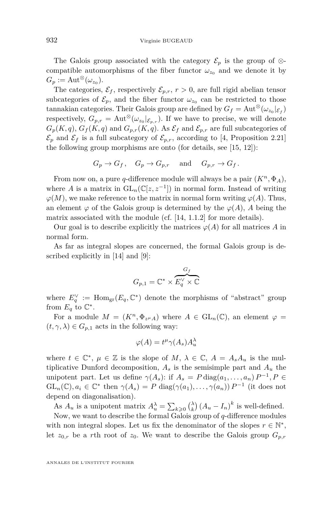The Galois group associated with the category  $\mathcal{E}_p$  is the group of ⊗compatible automorphisms of the fiber functor  $\omega_{z_0}$  and we denote it by  $G_p := \text{Aut}^{\otimes}(\omega_{z_0}).$ 

The categories,  $\mathcal{E}_f$ , respectively  $\mathcal{E}_{p,r}$ ,  $r > 0$ , are full rigid abelian tensor subcategories of  $\mathcal{E}_p$ , and the fiber functor  $\omega_{z_0}$  can be restricted to those tannakian categories. Their Galois group are defined by  $G_f = \text{Aut}^{\otimes}(\omega_{z_0}|_{\mathcal{E}_f})$ respectively,  $G_{p,r} = \text{Aut}^{\otimes}(\omega_{z_0}|_{\mathcal{E}_{p,r}})$ . If we have to precise, we will denote  $G_p(K, q)$ ,  $G_f(K, q)$  and  $G_{p,r}(K, q)$ . As  $\mathcal{E}_f$  and  $\mathcal{E}_{p,r}$  are full subcategories of  $\mathcal{E}_p$  and  $\mathcal{E}_f$  is a full subcategory of  $\mathcal{E}_{p,r}$ , according to [\[4,](#page-63-9) Proposition 2.21] the following group morphisms are onto (for details, see [\[15,](#page-64-2) [12\]](#page-63-5)):

$$
G_p \to G_f
$$
,  $G_p \to G_{p,r}$  and  $G_{p,r} \to G_f$ .

From now on, a pure *q*-difference module will always be a pair  $(K^n, \Phi_A)$ , where *A* is a matrix in  $GL_n(\mathbb{C}[z, z^{-1}])$  in normal form. Instead of writing  $\varphi(M)$ , we make reference to the matrix in normal form writing  $\varphi(A)$ . Thus, an element  $\varphi$  of the Galois group is determined by the  $\varphi(A)$ , *A* being the matrix associated with the module (cf. [\[14,](#page-64-0) 1.1.2] for more details).

Our goal is to describe explicitly the matrices  $\varphi(A)$  for all matrices *A* in normal form.

As far as integral slopes are concerned, the formal Galois group is described explicitly in [\[14\]](#page-64-0) and [\[9\]](#page-63-10):

$$
G_{p,1}=\mathbb{C}^*\times \overbrace{E_q^{\vee}\times \mathbb{C}}^{G_f}
$$

where  $E_q^{\vee} := \text{Hom}_{\text{gr}}(E_q, \mathbb{C}^*)$  denote the morphisms of "abstract" group from  $E_q$  to  $\mathbb{C}^*$ .

For a module  $M = (K^n, \Phi_{z^{\mu}A})$  where  $A \in GL_n(\mathbb{C})$ , an element  $\varphi =$  $(t, \gamma, \lambda) \in G_{p,1}$  acts in the following way:

$$
\varphi(A) = t^{\mu} \gamma(A_s) A_u^{\lambda}
$$

where  $t \in \mathbb{C}^*$ ,  $\mu \in \mathbb{Z}$  is the slope of  $M$ ,  $\lambda \in \mathbb{C}$ ,  $A = A_s A_u$  is the multiplicative Dunford decomposition,  $A_s$  is the semisimple part and  $A_u$  the unipotent part. Let us define  $\gamma(A_s)$ : if  $A_s = P \text{diag}(a_1, \ldots, a_n) P^{-1}, P \in$  $GL_n(\mathbb{C}), a_i \in \mathbb{C}^*$  then  $\gamma(A_s) = P$  diag( $\gamma(a_1), \ldots, \gamma(a_n)$ )  $P^{-1}$  (it does not depend on diagonalisation).

As  $A_u$  is a unipotent matrix  $A_u^{\lambda} = \sum_{k \geq 0} {(\lambda) \choose k} (A_u - I_n)^k$  is well-defined.

Now, we want to describe the formal Galois group of *q*-difference modules with non integral slopes. Let us fix the denominator of the slopes  $r \in \mathbb{N}^*$ , let  $z_{0,r}$  be a *r*th root of  $z_0$ . We want to describe the Galois group  $G_{p,r}$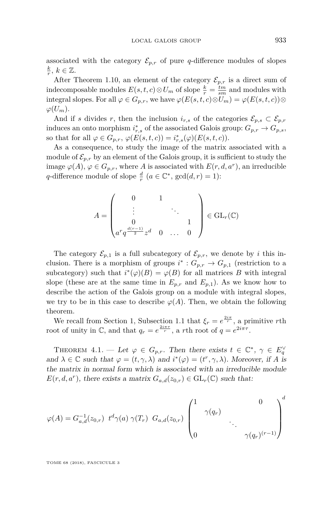associated with the category  $\mathcal{E}_{p,r}$  of pure *q*-difference modules of slopes  $\frac{k}{r}, k \in \mathbb{Z}$ .

After Theorem [1.10,](#page-8-0) an element of the category  $\mathcal{E}_{p,r}$  is a direct sum of indecomposable modules  $E(s, t, c) \otimes U_m$  of slope  $\frac{k}{r} = \frac{tm}{sm}$  and modules with integral slopes. For all  $\varphi \in G_{p,r}$ , we have  $\varphi(E(s,t,c) \otimes U_m) = \varphi(E(s,t,c)) \otimes$  $\varphi(U_m)$ .

And if *s* divides *r*, then the inclusion  $i_{r,s}$  of the categories  $\mathcal{E}_{p,s} \subset \mathcal{E}_{p,r}$ induces an onto morphism  $i_{r,s}^*$  of the associated Galois group:  $G_{p,r} \to G_{p,s}$ , so that for all  $\varphi \in G_{p,r}$ ,  $\varphi(E(s,t,c)) = i_{r,s}^*(\varphi)(E(s,t,c))$ .

As a consequence, to study the image of the matrix associated with a module of  $\mathcal{E}_{p,r}$  by an element of the Galois group, it is sufficient to study the image  $\varphi(A)$ ,  $\varphi \in G_{p,r}$ , where *A* is associated with  $E(r, d, a^r)$ , an irreducible *q*-difference module of slope  $\frac{d}{r}$  ( $a \in \mathbb{C}^*$ , gcd( $d, r$ ) = 1):

$$
A = \begin{pmatrix} 0 & 1 \\ \vdots & & \ddots \\ 0 & & & 1 \\ a^r q^{\frac{d(r-1)}{2}} z^d & 0 & \dots & 0 \end{pmatrix} \in GL_r(\mathbb{C})
$$

The category  $\mathcal{E}_{p,1}$  is a full subcategory of  $\mathcal{E}_{p,r}$ , we denote by *i* this inclusion. There is a morphism of groups  $i^*$ :  $G_{p,r} \to G_{p,1}$  (restriction to a subcategory) such that  $i^*(\varphi)(B) = \varphi(B)$  for all matrices *B* with integral slope (these are at the same time in  $E_{p,r}$  and  $E_{p,1}$ ). As we know how to describe the action of the Galois group on a module with integral slopes, we try to be in this case to describe  $\varphi(A)$ . Then, we obtain the following theorem.

We recall from Section [1,](#page-4-0) Subsection [1.1](#page-4-1) that  $\xi_r = e^{\frac{2i\pi}{r}}$ , a primitive *r*th root of unity in  $\mathbb{C}$ , and that  $q_r = e^{\frac{2i\pi\tau}{r}}$ , a *r*th root of  $q = e^{2i\pi\tau}$ .

<span id="page-33-0"></span>THEOREM  $4.1.$  — Let  $\varphi \in G_{p,r}$ . Then there exists  $t \in \mathbb{C}^*, \gamma \in E_q^{\vee}$ and  $\lambda \in \mathbb{C}$  such that  $\varphi = (t, \gamma, \lambda)$  and  $i^*(\varphi) = (t^r, \gamma, \lambda)$ . Moreover, if *A* is the matrix in normal form which is associated with an irreducible module  $E(r, d, a^r)$ , there exists a matrix  $G_{a,d}(z_{0,r}) \in GL_r(\mathbb{C})$  such that:

$$
\varphi(A) = G_{a,d}^{-1}(z_{0,r}) \ t^d \gamma(a) \ \gamma(T_r) \ G_{a,d}(z_{0,r}) \begin{pmatrix} 1 & 0 \\ & \gamma(q_r) & \\ & & \ddots & \\ 0 & & & \gamma(q_r)^{(r-1)} \end{pmatrix}^d
$$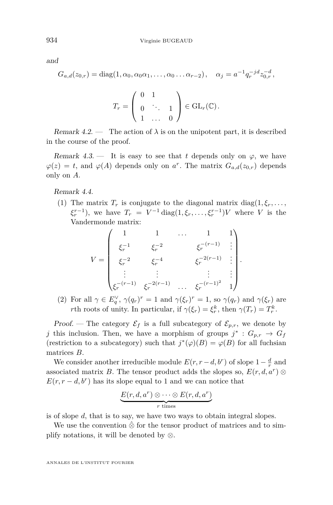and

$$
G_{a,d}(z_{0,r}) = \text{diag}(1, \alpha_0, \alpha_0 \alpha_1, \dots, \alpha_0 \dots \alpha_{r-2}), \quad \alpha_j = a^{-1} q_r^{-jd} z_{0,r}^{-d},
$$

$$
T_r = \left(\begin{array}{ccc} 0 & 1 \\ 0 & \ddots & 1 \\ 1 & \dots & 0 \end{array}\right) \in \operatorname{GL}_r(\mathbb{C}).
$$

Remark  $4.2$ . — The action of  $\lambda$  is on the unipotent part, it is described in the course of the proof.

Remark 4.3. — It is easy to see that *t* depends only on  $\varphi$ , we have  $\varphi(z) = t$ , and  $\varphi(A)$  depends only on *a*<sup>*r*</sup>. The matrix  $G_{a,d}(z_{0,r})$  depends only on *A*.

Remark 4.4.

(1) The matrix  $T_r$  is conjugate to the diagonal matrix diag( $1, \xi_r, \ldots$ ,  $\xi_r^{r-1}$ ), we have  $T_r = V^{-1} \text{diag}(1, \xi_r, \dots, \xi_r^{r-1})V$  where *V* is the Vandermonde matrix:

$$
V = \begin{pmatrix} 1 & 1 & \dots & 1 & 1 \\ \xi_r^{-1} & \xi_r^{-2} & \xi_r^{-(r-1)} & \vdots \\ \xi_r^{-2} & \xi_r^{-4} & \xi_r^{-2(r-1)} & \vdots \\ \vdots & \vdots & \vdots & \vdots \\ \xi_r^{-(r-1)} & \xi_r^{-2(r-1)} & \dots & \xi_r^{-(r-1)^2} & 1 \end{pmatrix}.
$$

(2) For all  $\gamma \in E_q^{\vee}$ ,  $\gamma(q_r)^r = 1$  and  $\gamma(\xi_r)^r = 1$ , so  $\gamma(q_r)$  and  $\gamma(\xi_r)$  are *r*th roots of unity. In particular, if  $\gamma(\xi_r) = \xi_r^k$ , then  $\gamma(T_r) = T_r^k$ .

Proof. — The category  $\mathcal{E}_f$  is a full subcategory of  $\mathcal{E}_{p,r}$ , we denote by *j* this inclusion. Then, we have a morphism of groups  $j^*$ :  $G_{p,r} \to G_f$ (restriction to a subcategory) such that  $j^*(\varphi)(B) = \varphi(B)$  for all fuchsian matrices *B*.

We consider another irreducible module  $E(r, r - d, b^r)$  of slope  $1 - \frac{d}{r}$  and associated matrix *B*. The tensor product adds the slopes so,  $E(r, d, a^r)$  ⊗  $E(r, r - d, b^r)$  has its slope equal to 1 and we can notice that

$$
\underbrace{E(r, d, a^r) \otimes \cdots \otimes E(r, d, a^r)}_{r \text{ times}}
$$

is of slope *d*, that is to say, we have two ways to obtain integral slopes.

We use the convention  $\hat{\otimes}$  for the tensor product of matrices and to simplify notations, it will be denoted by ⊗.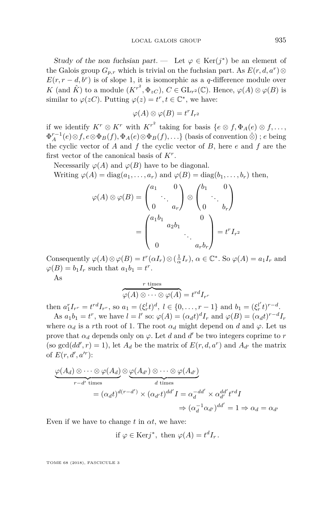Study of the non fuchsian part. — Let  $\varphi \in \text{Ker}(j^*)$  be an element of the Galois group  $G_{p,r}$  which is trivial on the fuchsian part. As  $E(r, d, a^r)$  $E(r, r - d, b^r)$  is of slope 1, it is isomorphic as a *q*-difference module over *K* (and  $\hat{K}$ ) to a module  $(K^{r^2}, \Phi_{zC})$ ,  $C \in GL_{r^2}(\mathbb{C})$ . Hence,  $\varphi(A) \otimes \varphi(B)$  is similar to  $\varphi(zC)$ . Putting  $\varphi(z) = t^r, t \in \mathbb{C}^*$ , we have:

$$
\varphi(A) \otimes \varphi(B) = t^r I_{r^2}
$$

if we identify  $K^r \otimes K^r$  with  $K^{r^2}$  taking for basis  $\{e \otimes f, \Phi_A(e) \otimes f, \ldots, \Phi(A) \otimes f\}$  $\Phi_A^{r-1}(e) \otimes f, e \otimes \Phi_B(f), \Phi_A(e) \otimes \Phi_B(f), \ldots$ } (basis of convention  $\hat{\otimes}$ ) ; *e* being the cyclic vector of *A* and *f* the cyclic vector of *B*, here *e* and *f* are the first vector of the canonical basis of *K<sup>r</sup>* .

Necessarily  $\varphi(A)$  and  $\varphi(B)$  have to be diagonal.

Writing  $\varphi(A) = \text{diag}(a_1, \ldots, a_r)$  and  $\varphi(B) = \text{diag}(b_1, \ldots, b_r)$  then,

$$
\varphi(A) \otimes \varphi(B) = \begin{pmatrix} a_1 & 0 \\ & \ddots & \\ 0 & a_r \end{pmatrix} \otimes \begin{pmatrix} b_1 & 0 \\ & \ddots & \\ 0 & b_r \end{pmatrix}
$$
\n
$$
= \begin{pmatrix} a_1 b_1 & 0 \\ & a_2 b_1 & 0 \\ & \ddots & \\ 0 & & a_r b_r \end{pmatrix} = t^r I_{r^2}
$$

Consequently  $\varphi(A) \otimes \varphi(B) = t^r(\alpha I_r) \otimes (\frac{1}{\alpha} I_r)$ ,  $\alpha \in \mathbb{C}^*$ . So  $\varphi(A) = a_1 I_r$  and  $\varphi(B) = b_1 I_r$  such that  $a_1 b_1 = t^r$ .

As

$$
\overbrace{\varphi(A) \otimes \cdots \otimes \varphi(A)}^{r \text{ times}} = t^{rd} I_{r^r}
$$

then  $a_1^r I_{r^r} = t^{rd} I_{r^r}$ , so  $a_1 = (\xi_r^l t)^d$ ,  $l \in \{0, ..., r-1\}$  and  $b_1 = (\xi_r^{l'} t)^{r-d}$ .

As  $a_1b_1 = t^r$ , we have  $l = l'$  so:  $\varphi(A) = (\alpha_d t)^d I_r$  and  $\varphi(B) = (\alpha_d t)^{r-d} I_r$ where  $\alpha_d$  is a *r*th root of 1. The root  $\alpha_d$  might depend on *d* and  $\varphi$ . Let us prove that  $\alpha_d$  depends only on  $\varphi$ . Let *d* and *d'* be two integers coprime to *r* (so  $gcd(dd', r) = 1$ ), let  $A_d$  be the matrix of  $E(r, d, a^r)$  and  $A_{d'}$  the matrix of  $E(r, d', a'^{r})$ :

$$
\underbrace{\varphi(A_d) \otimes \cdots \otimes \varphi(A_d)}_{r-d' \text{ times}} \otimes \underbrace{\varphi(A_{d'}) \otimes \cdots \otimes \varphi(A_{d'})}_{d \text{ times}}
$$
\n
$$
= (\alpha_d t)^{d(r-d')} \times (\alpha_{d'} t)^{dd'} I = \alpha_d^{-dd'} \times \alpha_{d'}^{dd'} t^{rd} I
$$
\n
$$
\Rightarrow (\alpha_d^{-1} \alpha_{d'})^{dd'} = 1 \Rightarrow \alpha_d = \alpha_{d'}
$$

Even if we have to change  $t$  in  $\alpha t$ , we have:

if 
$$
\varphi \in \text{Ker}j^*
$$
, then  $\varphi(A) = t^d I_r$ .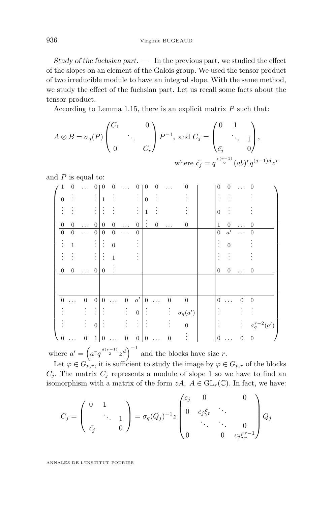936 Virginie BUGEAUD

Study of the fuchsian part.  $\qquad$  In the previous part, we studied the effect of the slopes on an element of the Galois group. We used the tensor product of two irreducible module to have an integral slope. With the same method, we study the effect of the fuchsian part. Let us recall some facts about the tensor product.

According to Lemma [1.15,](#page-10-0) there is an explicit matrix *P* such that:

$$
A \otimes B = \sigma_q(P) \begin{pmatrix} C_1 & 0 \\ & \ddots & \\ 0 & & C_r \end{pmatrix} P^{-1}, \text{ and } C_j = \begin{pmatrix} 0 & 1 \\ & \ddots & \\ & \ddots & \\ c_j & & 0 \end{pmatrix},
$$
\n
$$
\text{where } \tilde{c}_j = q^{\frac{r(r-1)}{2}} (ab)^r q^{(j-1)d} z^r
$$

and *P* is equal to:

|                  | $\boldsymbol{0}$ | $\ldots$         | 0                                     | $\theta$          | 0                |                  | 0              | $\theta$        | 0                | $\cdots$         | $\theta$         | 0                | 0                |                  | $\overline{0}$         |
|------------------|------------------|------------------|---------------------------------------|-------------------|------------------|------------------|----------------|-----------------|------------------|------------------|------------------|------------------|------------------|------------------|------------------------|
| $\Omega$         |                  |                  |                                       | $\frac{1}{2}$   1 |                  |                  | $\vdots$       | $\vert 0 \vert$ |                  |                  |                  |                  |                  |                  |                        |
|                  |                  |                  |                                       | B                 |                  |                  |                | $\,1\,$         |                  |                  |                  | $\overline{0}$   |                  |                  |                        |
| $\boldsymbol{0}$ | $\boldsymbol{0}$ | $\ldots$         | 0 <sup>1</sup>                        | $\overline{0}$    | $\overline{0}$   | $\cdots$         | $\mathbf{0}$   | ÷               | $\boldsymbol{0}$ | $\ldots$         | $\boldsymbol{0}$ | $\mathbf{1}$     | $\boldsymbol{0}$ |                  | $\mathbf{0}$           |
| $\boldsymbol{0}$ | $\boldsymbol{0}$ | $\cdots$         | $\mathbf{0}$                          | $\boldsymbol{0}$  | $\boldsymbol{0}$ | .                | 0              |                 |                  |                  |                  | $\boldsymbol{0}$ | a'               |                  | $\mathbf{0}$           |
|                  | $\mathbf{1}$     |                  |                                       | $: \mathsf{I}:$   | $\overline{0}$   |                  |                |                 |                  |                  |                  |                  | $\overline{0}$   |                  |                        |
|                  |                  |                  |                                       | $\vdots$          | $\overline{1}$   |                  |                |                 |                  |                  |                  |                  |                  |                  |                        |
| $\theta$         | $\boldsymbol{0}$ | $\ldots$         | $\overline{0}$                        | $\overline{0}$    | $\vdots$         |                  |                |                 |                  |                  |                  | $\boldsymbol{0}$ | $\boldsymbol{0}$ | $\ldots$         | $\overline{0}$         |
|                  |                  |                  |                                       |                   |                  |                  |                |                 |                  |                  |                  |                  |                  |                  |                        |
| $\Omega$         | $\cdots$         | $\mathbf{0}$     | $\mathbf{0}$                          | $\mathbf{0}$      | $\cdots$         | $\boldsymbol{0}$ | $a^\prime$     | $\overline{0}$  | $\ddotsc$        | $\boldsymbol{0}$ | $\boldsymbol{0}$ | $\mathbf{0}$     | $\ldots$         | $\boldsymbol{0}$ | $\boldsymbol{0}$       |
|                  |                  |                  | $\vdots$                              |                   |                  |                  | $\colon 0$     |                 |                  |                  | $\sigma_q(a')$   |                  |                  |                  |                        |
|                  |                  |                  | $\begin{bmatrix} 1 & 0 \end{bmatrix}$ |                   |                  |                  | $\sim$ 11      |                 |                  |                  | $\boldsymbol{0}$ |                  |                  |                  | : $\sigma_q^{r-2}(a')$ |
| $\boldsymbol{0}$ |                  | $\boldsymbol{0}$ |                                       | 1 0               |                  | $\boldsymbol{0}$ | 0 <sup>1</sup> | $\overline{0}$  |                  | $\overline{0}$   |                  | $\overline{0}$   |                  | $\mathbf{0}$     | $\boldsymbol{0}$       |

where  $a' = \left(a^r q^{\frac{d(r-1)}{2}} z^d\right)^{-1}$  and the blocks have size *r*.

Let  $\varphi \in G_{p,r}$ , it is sufficient to study the image by  $\varphi \in G_{p,r}$  of the blocks  $C_i$ . The matrix  $C_i$  represents a module of slope 1 so we have to find an isomorphism with a matrix of the form  $zA$ ,  $A \in GL_r(\mathbb{C})$ . In fact, we have:

$$
C_j = \begin{pmatrix} 0 & 1 & & \\ & \ddots & 1 \\ & & 0 & 0 \end{pmatrix} = \sigma_q(Q_j)^{-1} z \begin{pmatrix} c_j & 0 & & 0 \\ 0 & c_j \xi_r & \ddots & \\ & \ddots & \ddots & 0 \\ 0 & & 0 & c_j \xi_r^{r-1} \end{pmatrix} Q_j
$$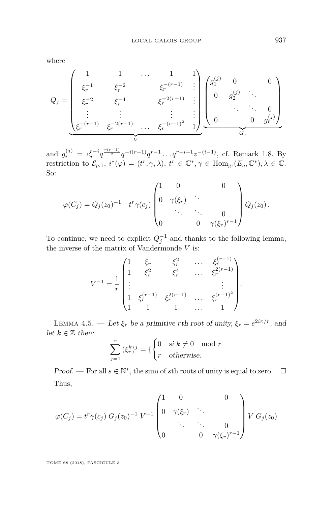where

$$
Q_j = \begin{pmatrix} 1 & 1 & \cdots & 1 & 1 \\ \xi_r^{-1} & \xi_r^{-2} & \xi_r^{-(r-1)} & \vdots \\ \xi_r^{-2} & \xi_r^{-4} & \xi_r^{-2(r-1)} & \vdots \\ \vdots & \vdots & \vdots & \vdots \\ \xi_r^{-(r-1)} & \xi_r^{-2(r-1)} & \cdots & \xi_r^{-(r-1)^2} & 1 \end{pmatrix} \begin{pmatrix} g_1^{(j)} & 0 & 0 \\ 0 & g_2^{(j)} & \ddots \\ & \ddots & \ddots & 0 \\ 0 & 0 & g_r^{(j)} \end{pmatrix}
$$

and  $g_i^{(j)} = c_j^{r-i} q^{\frac{r(r-1)}{2}} q^{-i(r-1)} q^{r-1} \dots q^{r-i+1} z^{-(i-1)}$ , cf. Remark [1.8.](#page-7-0) By restriction to  $\mathcal{E}_{p,1}$ ,  $i^*(\varphi) = (t^r, \gamma, \lambda)$ ,  $t^r \in \mathbb{C}^*, \gamma \in \text{Hom}_{\text{gr}}(E_q, \mathbb{C}^*), \lambda \in \mathbb{C}$ . So:

$$
\varphi(C_j) = Q_j(z_0)^{-1} \t t^r \gamma(c_j) \begin{pmatrix} 1 & 0 & 0 \\ 0 & \gamma(\xi_r) & \ddots & 0 \\ & \ddots & \ddots & 0 \\ 0 & 0 & \gamma(\xi_r)^{r-1} \end{pmatrix} Q_j(z_0).
$$

To continue, we need to explicit  $Q_j^{-1}$  and thanks to the following lemma, the inverse of the matrix of Vandermonde *V* is:

$$
V^{-1} = \frac{1}{r} \begin{pmatrix} 1 & \xi_r & \xi_r^2 & \dots & \xi_r^{(r-1)} \\ 1 & \xi_r^2 & \xi_r^4 & \dots & \xi_r^{2(r-1)} \\ \vdots & & & & \vdots \\ 1 & \xi_r^{(r-1)} & \xi_r^{2(r-1)} & \dots & \xi_r^{(r-1)^2} \\ 1 & 1 & 1 & \dots & 1 \end{pmatrix}.
$$

<span id="page-37-0"></span>LEMMA 4.5. — Let  $\xi_r$  be a primitive *r*th root of unity,  $\xi_r = e^{2i\pi/r}$ , and let  $k \in \mathbb{Z}$  then:

$$
\sum_{j=1}^{r} (\xi_r^k)^j = \{ \begin{cases} 0 & \text{si } k \neq 0 \mod r \\ r & \text{otherwise.} \end{cases}
$$

Proof. — For all  $s \in \mathbb{N}^*$ , the sum of *s*th roots of unity is equal to zero.  $\Box$ Thus,

$$
\varphi(C_j) = t^r \gamma(c_j) G_j(z_0)^{-1} V^{-1} \begin{pmatrix} 1 & 0 & 0 \\ 0 & \gamma(\xi_r) & \ddots & \\ & \ddots & \ddots & 0 \\ 0 & 0 & \gamma(\xi_r)^{r-1} \end{pmatrix} V G_j(z_0)
$$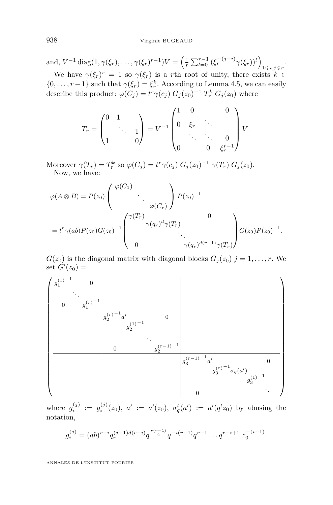and,  $V^{-1} \text{diag}(1, \gamma(\xi_r), \dots, \gamma(\xi_r)^{r-1})V = \left(\frac{1}{r} \sum_{l=0}^{r-1} (\xi_r^{-(j-i)} \gamma(\xi_r))^l\right)$  $1\leqslant i,j\leqslant r$ <sup>.</sup>

We have  $\gamma(\xi_r)^r = 1$  so  $\gamma(\xi_r)$  is a *r*th root of unity, there exists  $k \in$  $\{0, \ldots, r-1\}$  such that  $\gamma(\xi_r) = \xi_r^k$ . According to Lemma [4.5,](#page-37-0) we can easily describe this product:  $\varphi(C_j) = t^r \gamma(c_j) G_j(z_0)^{-1} T_r^k G_j(z_0)$  where

$$
T_r = \begin{pmatrix} 0 & 1 & & \\ & \ddots & 1 \\ 1 & & 0 \end{pmatrix} = V^{-1} \begin{pmatrix} 1 & 0 & & 0 \\ 0 & \xi_r & \ddots & \\ & \ddots & \ddots & 0 \\ 0 & & 0 & \xi_r^{r-1} \end{pmatrix} V.
$$

Moreover  $\gamma(T_r) = T_r^k$  so  $\varphi(C_j) = t^r \gamma(c_j) G_j(z_0)^{-1} \gamma(T_r) G_j(z_0)$ . Now, we have:

$$
\varphi(A \otimes B) = P(z_0) \begin{pmatrix} \varphi(C_1) & & \\ & \ddots & \\ & & \varphi(C_r) \end{pmatrix} P(z_0)^{-1}
$$

$$
= t^r \gamma(ab) P(z_0) G(z_0)^{-1} \begin{pmatrix} \gamma(T_r) & & & 0 \\ & \gamma(q_r)^d \gamma(T_r) & \\ & & \ddots & \\ 0 & & & \gamma(q_r)^{d(r-1)} \gamma(T_r) \end{pmatrix} G(z_0) P(z_0)^{-1}.
$$

 $G(z_0)$  is the diagonal matrix with diagonal blocks  $G_j(z_0)$   $j = 1, \ldots, r$ . We  $\operatorname{set} G'(z_0) =$ 



where  $g_i^{(j)} := g_i^{(j)}(z_0)$ ,  $a' := a'(z_0)$ ,  $\sigma_q^l(a') := a'(q^l z_0)$  by abusing the notation,

$$
g_i^{(j)} = (ab)^{r-i} q_r^{(j-1)d(r-i)} q^{\frac{r(r-1)}{2}} q^{-i(r-1)} q^{r-1} \dots q^{r-i+1} z_0^{-(i-1)}.
$$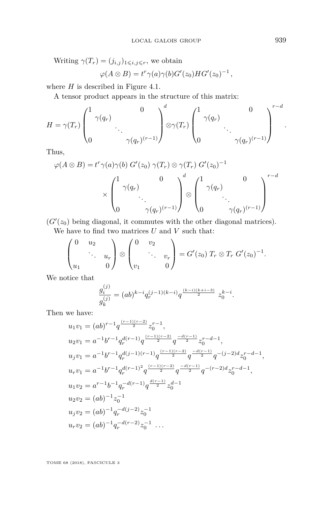Writing  $\gamma(T_r) = (j_{i,j})_{1 \leqslant i,j \leqslant r}$ , we obtain

$$
\varphi(A\otimes B)=t^r\gamma(a)\gamma(b)G'(z_0)HG'(z_0)^{-1},
$$

where *H* is described in Figure [4.1.](#page-40-0)

A tensor product appears in the structure of this matrix:

$$
H = \gamma(T_r) \begin{pmatrix} 1 & 0 & 0 \\ 0 & \ddots & 0 \\ 0 & \gamma(q_r)^{(r-1)} \end{pmatrix} \otimes \gamma(T_r) \begin{pmatrix} 1 & 0 & 0 \\ 0 & \ddots & 0 \\ 0 & \gamma(q_r)^{(r-1)} \end{pmatrix}^{r-d}.
$$

Thus,

$$
\varphi(A \otimes B) = t^r \gamma(a) \gamma(b) G'(z_0) \gamma(T_r) \otimes \gamma(T_r) G'(z_0)^{-1}
$$

$$
\times \begin{pmatrix} 1 & 0 \\ \gamma(q_r) & \cdot \\ \cdot & \cdot \\ 0 & \gamma(q_r)^{(r-1)} \end{pmatrix} \otimes \begin{pmatrix} 1 & 0 \\ \gamma(q_r) & \cdot \\ \cdot & \cdot \\ 0 & \gamma(q_r)^{(r-1)} \end{pmatrix}^{r-d}
$$

 $(G'(z_0)$  being diagonal, it commutes with the other diagonal matrices). We have to find two matrices  $U$  and  $V$  such that:

$$
\begin{pmatrix} 0 & u_2 \\ \cdots & u_r \\ u_1 & 0 \end{pmatrix} \otimes \begin{pmatrix} 0 & v_2 \\ \cdots & v_r \\ v_1 & 0 \end{pmatrix} = G'(z_0) T_r \otimes T_r G'(z_0)^{-1}.
$$

We notice that

$$
\frac{g_i^{(j)}}{g_k^{(j)}} = (ab)^{k-i} q_r^{(j-1)(k-i)} q^{\frac{(k-i)(k+i-3)}{2}} z_0^{k-i}.
$$

Then we have:

$$
u_1v_1 = (ab)^{r-1}q^{\frac{(r-1)(r-2)}{2}}z_0^{r-1},
$$
  
\n
$$
u_2v_1 = a^{-1}b^{r-1}q_r^{d(r-1)}q^{\frac{(r-1)(r-2)}{2}}q^{\frac{-d(r-1)}{2}}z_0^{r-d-1},
$$
  
\n
$$
u_jv_1 = a^{-1}b^{r-1}q_r^{d(j-1)(r-1)}q^{\frac{(r-1)(r-2)}{2}}q^{\frac{-d(r-1)}{2}}q^{-(j-2)d}z_0^{r-d-1},
$$
  
\n
$$
u_rv_1 = a^{-1}b^{r-1}q_r^{d(r-1)^2}q^{\frac{(r-1)(r-2)}{2}}q^{\frac{-d(r-1)}{2}}q^{-(r-2)d}z_0^{r-d-1},
$$
  
\n
$$
u_1v_2 = a^{r-1}b^{-1}q_r^{-d(r-1)}q^{\frac{d(r-1)}{2}}z_0^{d-1}
$$
  
\n
$$
u_2v_2 = (ab)^{-1}z_0^{-1}
$$
  
\n
$$
u_jv_2 = (ab)^{-1}q_r^{-d(j-2)}z_0^{-1}
$$
  
\n
$$
u_rv_2 = (ab)^{-1}q_r^{-d(r-2)}z_0^{-1}...
$$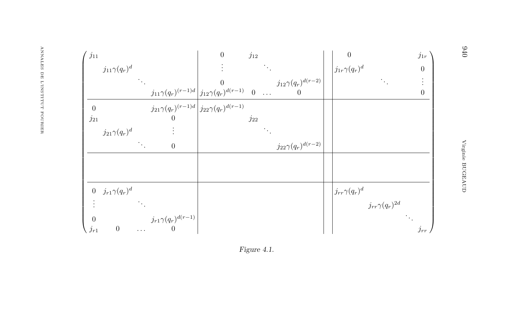<span id="page-40-0"></span>

| $j_{11}$         |                       |                            |                                                               | $\theta$                                                                                                                                                                                                                       | $j_{12}$ |                              | $\theta$                   | $j_{1r}$         |  |
|------------------|-----------------------|----------------------------|---------------------------------------------------------------|--------------------------------------------------------------------------------------------------------------------------------------------------------------------------------------------------------------------------------|----------|------------------------------|----------------------------|------------------|--|
|                  | $j_{11}\gamma(q_r)^d$ |                            |                                                               |                                                                                                                                                                                                                                |          |                              | $\int j_{1r}\gamma(q_r)^d$ | $\boldsymbol{0}$ |  |
|                  |                       |                            |                                                               | $\frac{j_{11}\gamma(q_r)^{(r-1)d}}{j_{12}\gamma(q_r)^{d(r-1)}}\Big _{\substack{j_1\\0\leq r\leq r}}\Big _0^0\cdots\Big _{\substack{j_1\\0\leq r\leq r}}\Big _0^0\cdots\Big _0^0\Big _{\substack{j_1\\0\leq r\leq r}}\Big _0^0$ |          |                              |                            | ÷.               |  |
|                  |                       |                            |                                                               |                                                                                                                                                                                                                                |          |                              |                            | $\boldsymbol{0}$ |  |
| $\Omega$         |                       |                            | $j_{21}\gamma(q_r)^{(r-1)d} \Big  j_{22}\gamma(q_r)^{d(r-1)}$ |                                                                                                                                                                                                                                |          |                              |                            |                  |  |
| $j_{21}$         |                       |                            | $\overline{0}$                                                |                                                                                                                                                                                                                                | $j_{22}$ |                              |                            |                  |  |
|                  | $j_{21}\gamma(q_r)^d$ |                            |                                                               |                                                                                                                                                                                                                                |          |                              |                            |                  |  |
|                  |                       | $\mathcal{L}_{\text{max}}$ | $\boldsymbol{0}$                                              |                                                                                                                                                                                                                                |          | $j_{22}\gamma(q_r)^{d(r-2)}$ |                            |                  |  |
|                  |                       |                            |                                                               |                                                                                                                                                                                                                                |          |                              |                            |                  |  |
|                  |                       |                            |                                                               |                                                                                                                                                                                                                                |          |                              |                            |                  |  |
| $\boldsymbol{0}$ | $j_{r1}\gamma(q_r)^d$ |                            |                                                               |                                                                                                                                                                                                                                |          |                              | $\int j_{rr}\gamma(q_r)^d$ |                  |  |
|                  |                       |                            |                                                               |                                                                                                                                                                                                                                |          |                              | $j_{rr}\gamma(q_r)^{2d}$   |                  |  |
| $\Omega$         |                       |                            | $j_{r1}\gamma(q_r)^{d(r-1)}$                                  |                                                                                                                                                                                                                                |          |                              |                            |                  |  |
| $j_{r1}$         | $\boldsymbol{0}$      | $\ldots$                   | $\overline{0}$                                                |                                                                                                                                                                                                                                |          |                              |                            | $j_{rr}$         |  |

Figure 4.1.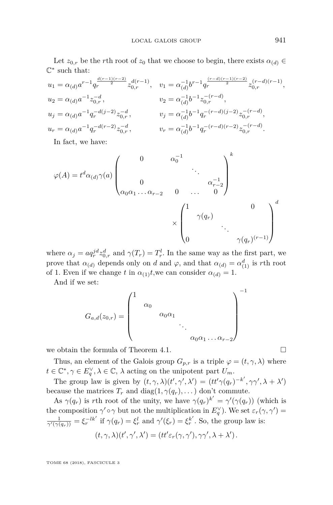Let  $z_{0,r}$  be the *r*th root of  $z_0$  that we choose to begin, there exists  $\alpha_{(d)} \in$  $\mathbb{C}^*$  such that:

$$
\begin{aligned} &u_1=\alpha_{(d)}a^{r-1}q_r^{\frac{d(r-1)(r-2)}{2}}z_{0,r}^{d(r-1)},\quad &v_1=\alpha_{(d)}^{-1}b^{r-1}q_r^{\frac{(r-d)(r-1)(r-2)}{2}}z_{0,r}^{(r-d)(r-1)},\\ &u_2=\alpha_{(d)}a^{-1}z_{0,r}^{-d},\qquad &v_2=\alpha_{(d)}^{-1}b^{-1}z_{0,r}^{-(r-d)},\\ &u_j=\alpha_{(d)}a^{-1}q_r^{-d(j-2)}z_{0,r}^{-d},\qquad &v_j=\alpha_{(d)}^{-1}b^{-1}q_r^{-(r-d)(j-2)}z_{0,r}^{-(r-d)},\\ &u_r=\alpha_{(d)}a^{-1}q_r^{-d(r-2)}z_{0,r}^{-d},\qquad &v_r=\alpha_{(d)}^{-1}b^{-1}q_r^{-(r-d)(r-2)}z_{0,r}^{-(r-d)}. \end{aligned}
$$

In fact, we have:

$$
\varphi(A) = t^d \alpha_{(d)} \gamma(a) \begin{pmatrix} 0 & \alpha_0^{-1} & & \\ & & \ddots & \\ 0 & & & \alpha_{r-2}^{-1} \\ \alpha_0 \alpha_1 \dots \alpha_{r-2} & 0 & \dots & 0 \end{pmatrix}^k
$$

$$
\times \begin{pmatrix} 1 & & & 0 \\ & \gamma(q_r) & & \\ & & \ddots & \\ 0 & & & \gamma(q_r)^{(r-1)} \end{pmatrix}^d
$$

where  $\alpha_j = a q_r^{jd} z_{0,r}^d$  and  $\gamma(T_r) = T_r^l$ . In the same way as the first part, we prove that  $\alpha_{(d)}$  depends only on *d* and  $\varphi$ , and that  $\alpha_{(d)} = \alpha_{(1)}^d$  is *r*th root of 1. Even if we change *t* in  $\alpha_{(1)}$ *t*, we can consider  $\alpha_{(d)} = 1$ .

And if we set:

*Ga,d*(*z*0*,r*) = 1 *α*0 *α*0*α*<sup>1</sup> . . . *α*0*α*<sup>1</sup> *. . . αr*−<sup>2</sup> −1

we obtain the formula of Theorem [4.1.](#page-33-0)  $\Box$ 

Thus, an element of the Galois group  $G_{p,r}$  is a triple  $\varphi = (t, \gamma, \lambda)$  where  $t \in \mathbb{C}^*, \gamma \in E_q^{\vee}, \lambda \in \mathbb{C}, \lambda$  acting on the unipotent part  $U_m$ .

The group law is given by  $(t, \gamma, \lambda)(t', \gamma', \lambda') = (tt'\gamma(q_r)^{-k'}, \gamma\gamma', \lambda + \lambda')$ because the matrices  $T_r$  and diag( $1, \gamma(q_r), \ldots$ ) don't commute.

As  $\gamma(q_r)$  is *r*th root of the unity, we have  $\gamma(q_r)^{k'} = \gamma'(\gamma(q_r))$  (which is the composition  $\gamma' \circ \gamma$  but not the multiplication in  $E_q^{\vee}$ ). We set  $\varepsilon_r(\gamma, \gamma') =$  $\frac{1}{\gamma'(\gamma(q_r))} = \xi_r^{-lk'}$  if  $\gamma(q_r) = \xi_r^l$  and  $\gamma'(\xi_r) = \xi_r^{k'}$ . So, the group law is:

$$
(t,\gamma,\lambda)(t',\gamma',\lambda')=(tt'\varepsilon_r(\gamma,\gamma'),\gamma\gamma',\lambda+\lambda')\,.
$$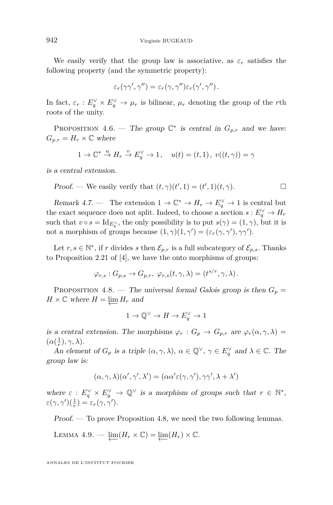We easily verify that the group law is associative, as  $\varepsilon_r$  satisfies the following property (and the symmetric property):

$$
\varepsilon_r(\gamma\gamma',\gamma'')=\varepsilon_r(\gamma,\gamma'')\varepsilon_r(\gamma',\gamma'').
$$

In fact,  $\varepsilon_r$ :  $E_q^{\vee} \times E_q^{\vee} \to \mu_r$  is bilinear,  $\mu_r$  denoting the group of the *r*th roots of the unity.

PROPOSITION 4.6. — The group  $\mathbb{C}^*$  is central in  $G_{p,r}$  and we have:  $G_{p,r} = H_r \times \mathbb{C}$  where

$$
1 \to \mathbb{C}^* \stackrel{u}{\to} H_r \stackrel{v}{\to} E_q^{\vee} \to 1, \quad u(t) = (t, 1), \ v((t, \gamma)) = \gamma
$$

is a central extension.

Proof. — We easily verify that 
$$
(t, \gamma)(t', 1) = (t', 1)(t, \gamma)
$$
.

Remark 4.7. — The extension  $1 \to \mathbb{C}^* \to H_r \to E_q^{\vee} \to 1$  is central but the exact sequence does not split. Indeed, to choose a section  $s: E_q^{\vee} \to H_r$ such that  $v \circ s = \text{Id}_{E_q^{\vee}}$ , the only possibility is to put  $s(\gamma) = (1, \gamma)$ , but it is not a morphism of groups because  $(1, \gamma)(1, \gamma') = (\varepsilon_r(\gamma, \gamma'), \gamma\gamma').$ 

Let  $r, s \in \mathbb{N}^*$ , if  $r$  divides  $s$  then  $\mathcal{E}_{p,r}$  is a full subcategory of  $\mathcal{E}_{p,s}$ . Thanks to Proposition 2.21 of [\[4\]](#page-63-9), we have the onto morphisms of groups:

$$
\varphi_{r,s}: G_{p,s} \to G_{p,r}, \ \varphi_{r,s}(t,\gamma,\lambda)=(t^{s/r},\gamma,\lambda).
$$

<span id="page-42-0"></span>PROPOSITION 4.8. — The universal formal Galois group is then  $G_p =$  $H \times \mathbb{C}$  where  $H = \varprojlim H_r$  and

$$
1 \to \mathbb{Q}^{\vee} \to H \to E_q^{\vee} \to 1
$$

is a central extension. The morphisms  $\varphi_r : G_p \to G_{p,r}$  are  $\varphi_r(\alpha, \gamma, \lambda) =$  $(\alpha(\frac{1}{r}), \gamma, \lambda).$ 

An element of  $G_p$  is a triple  $(\alpha, \gamma, \lambda)$ ,  $\alpha \in \mathbb{Q}^{\vee}$ ,  $\gamma \in E_q^{\vee}$  and  $\lambda \in \mathbb{C}$ . The group law is:

$$
(\alpha, \gamma, \lambda)(\alpha', \gamma', \lambda') = (\alpha \alpha' \varepsilon(\gamma, \gamma'), \gamma \gamma', \lambda + \lambda')
$$

where  $\varepsilon : E_q^{\vee} \times E_q^{\vee} \to \mathbb{Q}^{\vee}$  is a morphism of groups such that  $r \in \mathbb{N}^*$ ,  $\varepsilon(\gamma, \gamma')(\frac{1}{r}) = \varepsilon_r(\gamma, \gamma').$ 

Proof. — To prove Proposition [4.8,](#page-42-0) we need the two following lemmas.

LEMMA 4.9. 
$$
\lim_{\longleftarrow} (H_r \times \mathbb{C}) = \lim_{\longleftarrow} (H_r) \times \mathbb{C}.
$$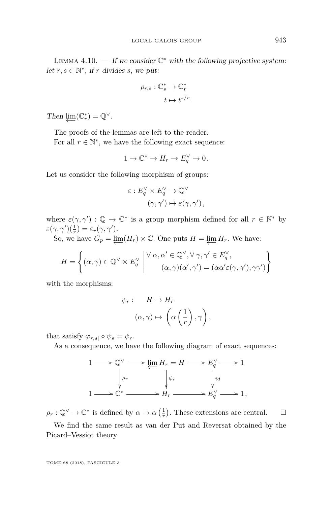LEMMA  $4.10.$  – If we consider  $\mathbb{C}^*$  with the following projective system: let  $r, s \in \mathbb{N}^*$ , if  $r$  divides  $s$ , we put:

$$
\rho_{r,s} : \mathbb{C}_s^* \to \mathbb{C}_r^*
$$

$$
t \mapsto t^{s/r}.
$$

Then  $\underline{\lim}(\mathbb{C}_r^*) = \mathbb{Q}^{\vee}$ .

The proofs of the lemmas are left to the reader.

For all  $r \in \mathbb{N}^*$ , we have the following exact sequence:

$$
1 \to \mathbb{C}^* \to H_r \to E_q^{\vee} \to 0\,.
$$

Let us consider the following morphism of groups:

$$
\varepsilon: E_q^{\vee} \times E_q^{\vee} \to \mathbb{Q}^{\vee}
$$

$$
(\gamma, \gamma') \mapsto \varepsilon(\gamma, \gamma'),
$$

where  $\varepsilon(\gamma, \gamma') : \mathbb{Q} \to \mathbb{C}^*$  is a group morphism defined for all  $r \in \mathbb{N}^*$  by  $\varepsilon(\gamma, \gamma')(\frac{1}{r}) = \varepsilon_r(\gamma, \gamma').$ 

So, we have  $G_p = \varprojlim(H_r) \times \mathbb{C}$ . One puts  $H = \varprojlim H_r$ . We have:

$$
H = \left\{ (\alpha, \gamma) \in \mathbb{Q}^{\vee} \times E_q^{\vee} \middle| \begin{array}{c} \forall \alpha, \alpha' \in \mathbb{Q}^{\vee}, \forall \gamma, \gamma' \in E_q^{\vee}, \\ (\alpha, \gamma)(\alpha', \gamma') = (\alpha \alpha' \varepsilon(\gamma, \gamma'), \gamma \gamma') \end{array} \right\}
$$

with the morphisms:

$$
\psi_r: \quad H \to H_r
$$

$$
(\alpha, \gamma) \mapsto \left(\alpha \left(\frac{1}{r}\right), \gamma\right),
$$

that satisfy  $\varphi_{r,s} \circ \psi_s = \psi_r$ .

As a consequence, we have the following diagram of exact sequences:



 $\rho_r: \mathbb{Q}^{\vee} \to \mathbb{C}^*$  is defined by  $\alpha \mapsto \alpha\left(\frac{1}{r}\right)$ . These extensions are central.  $\Box$ 

We find the same result as van der Put and Reversat obtained by the Picard–Vessiot theory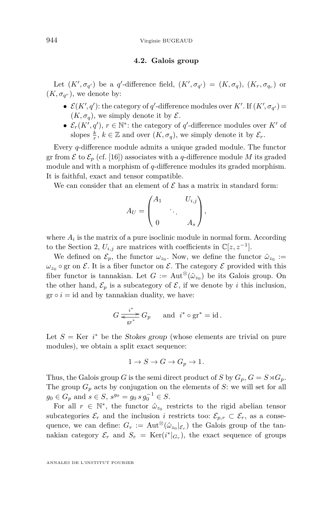#### 944 Virginie BUGEAUD

#### **4.2. Galois group**

Let  $(K', \sigma_{q'})$  be a *q*'-difference field,  $(K', \sigma_{q'}) = (K, \sigma_q)$ ,  $(K_r, \sigma_{q_r})$  or  $(K, \sigma_{q^r})$ , we denote by:

- $\mathcal{E}(K', q')$ : the category of *q'*-difference modules over *K'*. If  $(K', \sigma_{q'})$  =  $(K, \sigma_q)$ , we simply denote it by  $\mathcal{E}$ .
- $\mathcal{E}_r(K', q'), r \in \mathbb{N}^*$ : the category of *q*'-difference modules over *K'* of slopes  $\frac{k}{r}$ ,  $k \in \mathbb{Z}$  and over  $(K, \sigma_q)$ , we simply denote it by  $\mathcal{E}_r$ .

Every *q*-difference module admits a unique graded module. The functor gr from  $\mathcal E$  to  $\mathcal E_p$  (cf. [\[16\]](#page-64-1)) associates with a *q*-difference module *M* its graded module and with a morphism of *q*-difference modules its graded morphism. It is faithful, exact and tensor compatible.

We can consider that an element of  $\mathcal E$  has a matrix in standard form:

$$
A_U = \begin{pmatrix} A_1 & & U_{i,j} \\ & \ddots & \\ 0 & & A_s \end{pmatrix},
$$

where  $A_i$  is the matrix of a pure isoclinic module in normal form. According to the Section [2,](#page-11-0)  $U_{i,j}$  are matrices with coefficients in  $\mathbb{C}[z, z^{-1}]$ .

We defined on  $\mathcal{E}_p$ , the functor  $\omega_{z_0}$ . Now, we define the functor  $\hat{\omega}_{z_0} :=$  $\omega_{z_0}$  o gr on  $\mathcal{E}$ . It is a fiber functor on  $\mathcal{E}$ . The category  $\mathcal{E}$  provided with this fiber functor is tannakian. Let  $G := \text{Aut}^{\otimes}(\hat{\omega}_{z_0})$  be its Galois group. On the other hand,  $\mathcal{E}_p$  is a subcategory of  $\mathcal{E}$ , if we denote by *i* this inclusion,  $gr \circ i = id$  and by tannakian duality, we have:

$$
G \xrightarrow[{\text{gr}^*]{i^*}} G_p \quad \text{and} \quad i^* \circ \text{gr}^* = \text{id} \, .
$$

Let  $S = \text{Ker } i^*$  be the Stokes group (whose elements are trivial on pure modules), we obtain a split exact sequence:

$$
1 \to S \to G \to G_p \to 1.
$$

Thus, the Galois group *G* is the semi direct product of *S* by  $G_p$ ,  $G = S \rtimes G_p$ . The group  $G_p$  acts by conjugation on the elements of  $S$ : we will set for all  $g_0 \in G_p$  and  $s \in S$ ,  $s^{g_0} = g_0 s g_0^{-1} \in S$ .

For all  $r \in \mathbb{N}^*$ , the functor  $\hat{\omega}_{z_0}$  restricts to the rigid abelian tensor subcategories  $\mathcal{E}_r$  and the inclusion *i* restricts too:  $\mathcal{E}_{p,r} \subset \mathcal{E}_r$ , as a consequence, we can define:  $G_r := \text{Aut}^{\otimes}(\hat{\omega}_{z_0}|_{\mathcal{E}_r})$  the Galois group of the tannakian category  $\mathcal{E}_r$  and  $S_r = \text{Ker}(i^*|_{G_r})$ , the exact sequence of groups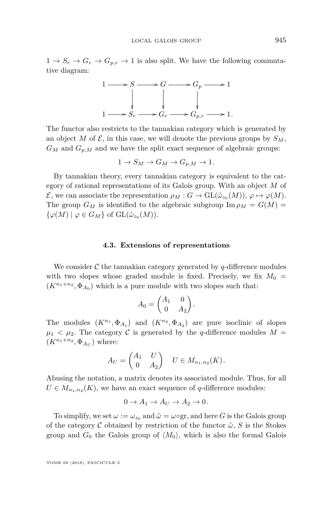$1 \rightarrow S_r \rightarrow G_r \rightarrow G_{p,r} \rightarrow 1$  is also split. We have the following commutative diagram:



The functor also restricts to the tannakian category which is generated by an object *M* of  $\mathcal{E}$ , in this case, we will denote the previous groups by  $S_M$ ,  $G_M$  and  $G_{p,M}$  and we have the split exact sequence of algebraic groups:

$$
1 \to S_M \to G_M \to G_{p,M} \to 1.
$$

By tannakian theory, every tannakian category is equivalent to the category of rational representations of its Galois group. With an object *M* of E, we can associate the representation  $\rho_M : G \to \text{GL}(\hat{\omega}_{z_0}(M)), \varphi \mapsto \varphi(M)$ . The group  $G_M$  is identified to the algebraic subgroup  $\text{Im } \rho_M = G(M)$  $\{\varphi(M) \mid \varphi \in G_M\}$  of  $\text{GL}(\hat{\omega}_{z_0}(M)).$ 

#### **4.3. Extensions of representations**

We consider  $\mathcal C$  the tannakian category generated by  $q$ -difference modules with two slopes whose graded module is fixed. Precisely, we fix  $M_0 =$  $(K^{n_1+n_2}, \Phi_{A_0})$  which is a pure module with two slopes such that:

$$
A_0 = \begin{pmatrix} A_1 & 0 \\ 0 & A_2 \end{pmatrix}.
$$

The modules  $(K^{n_1}, \Phi_{A_1})$  and  $(K^{n_2}, \Phi_{A_2})$  are pure isoclinic of slopes  $\mu_1$  <  $\mu_2$ . The category C is generated by the *q*-difference modules M =  $(K^{n_1+n_2}, \Phi_{A_U})$  where:

$$
A_U = \begin{pmatrix} A_1 & U \\ 0 & A_2 \end{pmatrix} \quad U \in M_{n_1, n_2}(K).
$$

Abusing the notation, a matrix denotes its associated module. Thus, for all  $U \in M_{n_1,n_2}(K)$ , we have an exact sequence of *q*-difference modules:

$$
0 \to A_1 \to A_U \to A_2 \to 0.
$$

To simplify, we set  $\omega := \omega_{z_0}$  and  $\hat{\omega} = \omega \circ \text{gr}$ , and here *G* is the Galois group of the category C obtained by restriction of the functor  $\hat{\omega}$ , S is the Stokes group and  $G_0$  the Galois group of  $\langle M_0 \rangle$ , which is also the formal Galois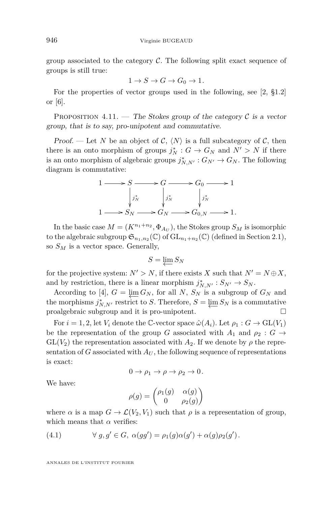group associated to the category  $\mathcal C$ . The following split exact sequence of groups is still true:

$$
1 \to S \to G \to G_0 \to 1.
$$

For the properties of vector groups used in the following, see [\[2,](#page-63-11) §1.2] or [\[6\]](#page-63-12).

PROPOSITION 4.11. — The Stokes group of the category  $\mathcal C$  is a vector group, that is to say, pro-unipotent and commutative.

Proof. — Let *N* be an object of C,  $\langle N \rangle$  is a full subcategory of C, then there is an onto morphism of groups  $j_N^*$  :  $G \to G_N$  and  $N' > N$  if there is an onto morphism of algebraic groups  $j_{N,N'}^* : G_{N'} \to G_N$ . The following diagram is commutative:



In the basic case  $M = (K^{n_1+n_2}, \Phi_{A_U})$ , the Stokes group  $S_M$  is isomorphic to the algebraic subgroup  $\mathfrak{S}_{n_1,n_2}(\mathbb{C})$  of  $\mathrm{GL}_{n_1+n_2}(\mathbb{C})$  (defined in Section [2.1\)](#page-12-2), so *S<sup>M</sup>* is a vector space. Generally,

$$
S=\varprojlim S_N
$$

for the projective system:  $N' > N$ , if there exists *X* such that  $N' = N \oplus X$ , and by restriction, there is a linear morphism  $j_{N,N'}^* : S_{N'} \to S_N$ .

According to [\[4\]](#page-63-9),  $G = \varprojlim_{N} G_N$ , for all *N*,  $S_N$  is a subgroup of  $G_N$  and the morphisms  $j_{N,N'}^*$  restrict to *S*. Therefore,  $S = \varprojlim S_N$  is a commutative proalgebraic subgroup and it is pro-unipotent.

For  $i = 1, 2$ , let  $V_i$  denote the C-vector space  $\hat{\omega}(A_i)$ . Let  $\rho_1 : G \to GL(V_1)$ be the representation of the group *G* associated with  $A_1$  and  $\rho_2$  :  $G \rightarrow$  $GL(V_2)$  the representation associated with  $A_2$ . If we denote by  $\rho$  the representation of *G* associated with  $A_U$ , the following sequence of representations is exact:

$$
0 \to \rho_1 \to \rho \to \rho_2 \to 0.
$$

We have:

$$
\rho(g) = \begin{pmatrix} \rho_1(g) & \alpha(g) \\ 0 & \rho_2(g) \end{pmatrix}
$$

where  $\alpha$  is a map  $G \to \mathcal{L}(V_2, V_1)$  such that  $\rho$  is a representation of group, which means that  $\alpha$  verifies:

<span id="page-46-0"></span>(4.1) 
$$
\forall g, g' \in G, \ \alpha(gg') = \rho_1(g)\alpha(g') + \alpha(g)\rho_2(g').
$$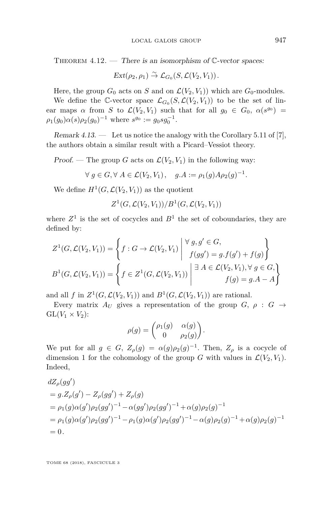<span id="page-47-0"></span>THEOREM  $4.12.$  — There is an isomorphism of  $\mathbb{C}\text{-vector spaces:}$ 

$$
Ext(\rho_2,\rho_1) \overset{\sim}{\rightarrow} \mathcal{L}_{G_0}(S,\mathcal{L}(V_2,V_1)).
$$

Here, the group  $G_0$  acts on *S* and on  $\mathcal{L}(V_2, V_1)$  which are  $G_0$ -modules.

We define the C-vector space  $\mathcal{L}_{G_0}(S, \mathcal{L}(V_2, V_1))$  to be the set of linear maps  $\alpha$  from *S* to  $\mathcal{L}(V_2, V_1)$  such that for all  $g_0 \in G_0$ ,  $\alpha(s^{g_0}) =$  $\rho_1(g_0)\alpha(s)\rho_2(g_0)^{-1}$  where  $s^{g_0} := g_0sg_0^{-1}$ .

Remark 4.13. — Let us notice the analogy with the Corollary 5.11 of [\[7\]](#page-63-2), the authors obtain a similar result with a Picard–Vessiot theory.

Proof. — The group *G* acts on  $\mathcal{L}(V_2, V_1)$  in the following way:

 $\forall g \in G, \forall A \in \mathcal{L}(V_2, V_1), \quad g.A := \rho_1(g) A \rho_2(g)^{-1}.$ 

We define  $H^1(G, \mathcal{L}(V_2, V_1))$  as the quotient

 $Z^1(G,\mathcal{L}(V_2,V_1))/B^1(G,\mathcal{L}(V_2,V_1))$ 

where  $Z^1$  is the set of cocycles and  $B^1$  the set of coboundaries, they are defined by:

$$
Z^1(G, \mathcal{L}(V_2, V_1)) = \left\{ f : G \to \mathcal{L}(V_2, V_1) \middle| \begin{array}{l} \forall g, g' \in G, \\ f(gg') = g.f(g') + f(g) \end{array} \right\}
$$

$$
B^1(G, \mathcal{L}(V_2, V_1)) = \left\{ f \in Z^1(G, \mathcal{L}(V_2, V_1)) \middle| \begin{array}{l} \exists A \in \mathcal{L}(V_2, V_1), \forall g \in G, \\ f(g) = g.A - A \end{array} \right\}
$$

and all *f* in  $Z^1(G, \mathcal{L}(V_2, V_1))$  and  $B^1(G, \mathcal{L}(V_2, V_1))$  are rational.

Every matrix  $A_U$  gives a representation of the group  $G$ ,  $\rho : G \rightarrow$  $GL(V_1 \times V_2)$ :

$$
\rho(g) = \begin{pmatrix} \rho_1(g) & \alpha(g) \\ 0 & \rho_2(g) \end{pmatrix}.
$$

We put for all  $g \in G$ ,  $Z_{\rho}(g) = \alpha(g)\rho_2(g)^{-1}$ . Then,  $Z_{\rho}$  is a cocycle of dimension 1 for the cohomology of the group *G* with values in  $\mathcal{L}(V_2, V_1)$ . Indeed,

$$
dZ_{\rho}(gg')
$$
  
=  $g.Z_{\rho}(g') - Z_{\rho}(gg') + Z_{\rho}(g)$   
=  $\rho_1(g)\alpha(g')\rho_2(gg')^{-1} - \alpha(gg')\rho_2(gg')^{-1} + \alpha(g)\rho_2(g)^{-1}$   
=  $\rho_1(g)\alpha(g')\rho_2(gg')^{-1} - \rho_1(g)\alpha(g')\rho_2(gg')^{-1} - \alpha(g)\rho_2(g)^{-1} + \alpha(g)\rho_2(g)^{-1}$   
= 0.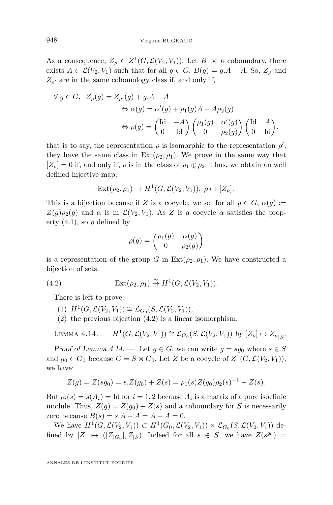As a consequence,  $Z_{\rho} \in Z^1(G, \mathcal{L}(V_2, V_1))$ . Let *B* be a coboundary, there exists  $A \in \mathcal{L}(V_2, V_1)$  such that for all  $g \in G$ ,  $B(g) = g.A - A$ . So,  $Z_o$  and  $Z_{\rho}$  are in the same cohomology class if, and only if,

$$
\begin{aligned}\n\forall g \in G, \ Z_{\rho}(g) &= Z_{\rho'}(g) + g.A - A \\
&\Leftrightarrow \alpha(g) = \alpha'(g) + \rho_1(g)A - A\rho_2(g) \\
&\Leftrightarrow \rho(g) = \begin{pmatrix} \text{Id} & -A \\ 0 & \text{Id} \end{pmatrix} \begin{pmatrix} \rho_1(g) & \alpha'(g) \\ 0 & \rho_2(g) \end{pmatrix} \begin{pmatrix} \text{Id} & A \\ 0 & \text{Id} \end{pmatrix},\n\end{aligned}
$$

that is to say, the representation  $\rho$  is isomorphic to the representation  $\rho'$ , they have the same class in  $Ext(\rho_2, \rho_1)$ . We prove in the same way that  $[Z_\rho] = 0$  if, and only if,  $\rho$  is in the class of  $\rho_1 \oplus \rho_2$ . Thus, we obtain an well defined injective map:

$$
Ext(\rho_2, \rho_1) \to H^1(G, \mathcal{L}(V_2, V_1)), \ \rho \mapsto [Z_{\rho}].
$$

This is a bijection because if *Z* is a cocycle, we set for all  $q \in G$ ,  $\alpha(q) :=$  $Z(q)\rho_2(q)$  and  $\alpha$  is in  $\mathcal{L}(V_2, V_1)$ . As *Z* is a cocycle  $\alpha$  satisfies the property  $(4.1)$ , so  $\rho$  defined by

<span id="page-48-0"></span>
$$
\rho(g) = \begin{pmatrix} \rho_1(g) & \alpha(g) \\ 0 & \rho_2(g) \end{pmatrix}
$$

is a representation of the group *G* in  $\text{Ext}(\rho_2, \rho_1)$ . We have constructed a bijection of sets:

(4.2) 
$$
\operatorname{Ext}(\rho_2, \rho_1) \overset{\sim}{\to} H^1(G, \mathcal{L}(V_2, V_1)).
$$

There is left to prove:

- $(H^1(G, \mathcal{L}(V_2, V_1)) \cong \mathcal{L}_{G_0}(S, \mathcal{L}(V_2, V_1)),$
- (2) the previous bijection [\(4.2\)](#page-48-0) is a linear isomorphism.

<span id="page-48-1"></span>LEMMA 4.14. —  $H^1(G, \mathcal{L}(V_2, V_1)) \cong \mathcal{L}_{G_0}(S, \mathcal{L}(V_2, V_1))$  by  $[Z_\rho] \mapsto Z_{\rho|S}$ .

Proof of Lemma [4.14.](#page-48-1) — Let  $g \in G$ , we can write  $g = sg_0$  where  $s \in S$ and  $g_0 \in G_0$  because  $G = S \rtimes G_0$ . Let *Z* be a cocycle of  $Z^1(G, \mathcal{L}(V_2, V_1)),$ we have:

$$
Z(g) = Z(sg_0) = s.Z(g_0) + Z(s) = \rho_1(s)Z(g_0)\rho_2(s)^{-1} + Z(s).
$$

But  $\rho_i(s) = s(A_i) = \text{Id}$  for  $i = 1, 2$  because  $A_i$  is a matrix of a pure isoclinic module. Thus,  $Z(g) = Z(g_0) + Z(s)$  and a coboundary for *S* is necessarily zero because  $B(s) = s \cdot A - A = A - A = 0$ .

We have  $H^1(G, \mathcal{L}(V_2, V_1))$  ⊂  $H^1(G_0, \mathcal{L}(V_2, V_1)) \times \mathcal{L}_{G_0}(S, \mathcal{L}(V_2, V_1))$  defined by  $[Z] \mapsto ([Z_{|G_0}], Z_{|S})$ . Indeed for all  $s \in S$ , we have  $Z(s^{g_0}) =$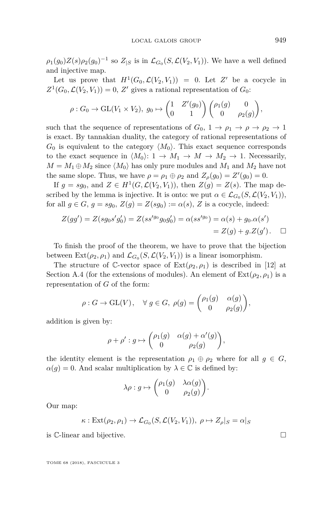$\rho_1(g_0)Z(s)\rho_2(g_0)^{-1}$  so  $Z_{|S}$  is in  $\mathcal{L}_{G_0}(S,\mathcal{L}(V_2,V_1))$ . We have a well defined and injective map.

Let us prove that  $H^1(G_0, \mathcal{L}(V_2, V_1)) = 0$ . Let  $Z'$  be a cocycle in  $Z^1(G_0, \mathcal{L}(V_2, V_1)) = 0, Z'$  gives a rational representation of  $G_0$ :

$$
\rho: G_0 \to \mathrm{GL}(V_1 \times V_2), g_0 \mapsto \begin{pmatrix} 1 & Z'(g_0) \\ 0 & 1 \end{pmatrix} \begin{pmatrix} \rho_1(g) & 0 \\ 0 & \rho_2(g) \end{pmatrix},
$$

such that the sequence of representations of  $G_0$ ,  $1 \rightarrow \rho_1 \rightarrow \rho \rightarrow \rho_2 \rightarrow 1$ is exact. By tannakian duality, the category of rational representations of  $G_0$  is equivalent to the category  $\langle M_0 \rangle$ . This exact sequence corresponds to the exact sequence in  $\langle M_0 \rangle: 1 \to M_1 \to M \to M_2 \to 1$ . Necessarily,  $M = M_1 \oplus M_2$  since  $\langle M_0 \rangle$  has only pure modules and  $M_1$  and  $M_2$  have not the same slope. Thus, we have  $\rho = \rho_1 \oplus \rho_2$  and  $Z_{\rho}(g_0) = Z'(g_0) = 0$ .

If  $g = sg_0$ , and  $Z \in H^1(G, \mathcal{L}(V_2, V_1))$ , then  $Z(g) = Z(s)$ . The map described by the lemma is injective. It is onto: we put  $\alpha \in \mathcal{L}_{G_0}(S, \mathcal{L}(V_2, V_1)),$ for all  $g \in G$ ,  $g = sg_0$ ,  $Z(g) = Z(sg_0) := \alpha(s)$ ,  $Z$  is a cocycle, indeed:

$$
Z(gg') = Z(sg_0s'g'_0) = Z(ss'^{g_0}g_0g'_0) = \alpha(ss'^{g_0}) = \alpha(s) + g_0.\alpha(s')
$$
  
=  $Z(g) + g.Z(g')$ .  $\square$ 

To finish the proof of the theorem, we have to prove that the bijection between  $\text{Ext}(\rho_2, \rho_1)$  and  $\mathcal{L}_{G_0}(S, \mathcal{L}(V_2, V_1))$  is a linear isomorphism.

The structure of C-vector space of  $Ext(\rho_2, \rho_1)$  is described in [\[12\]](#page-63-5) at Section A.4 (for the extensions of modules). An element of  $\text{Ext}(\rho_2, \rho_1)$  is a representation of *G* of the form:

$$
\rho: G \to \mathrm{GL}(V), \quad \forall g \in G, \ \rho(g) = \begin{pmatrix} \rho_1(g) & \alpha(g) \\ 0 & \rho_2(g) \end{pmatrix},
$$

addition is given by:

$$
\rho + \rho' : g \mapsto \begin{pmatrix} \rho_1(g) & \alpha(g) + \alpha'(g) \\ 0 & \rho_2(g) \end{pmatrix},
$$

the identity element is the representation  $\rho_1 \oplus \rho_2$  where for all  $g \in G$ ,  $\alpha(g) = 0$ . And scalar multiplication by  $\lambda \in \mathbb{C}$  is defined by:

$$
\lambda \rho : g \mapsto \begin{pmatrix} \rho_1(g) & \lambda \alpha(g) \\ 0 & \rho_2(g) \end{pmatrix}.
$$

Our map:

$$
\kappa: \text{Ext}(\rho_2, \rho_1) \to \mathcal{L}_{G_0}(S, \mathcal{L}(V_2, V_1)), \ \rho \mapsto Z_{\rho}|_S = \alpha|_S
$$

is C-linear and bijective.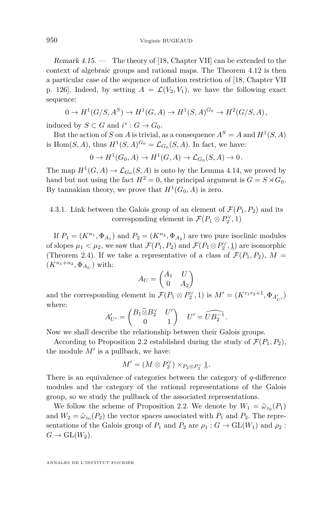Remark  $4.15.$  — The theory of [\[18,](#page-64-4) Chapter VII] can be extended to the context of algebraic groups and rational maps. The Theorem [4.12](#page-47-0) is then a particular case of the sequence of inflation restriction of [\[18,](#page-64-4) Chapter VII p. 126. Indeed, by setting  $A = \mathcal{L}(V_2, V_1)$ , we have the following exact sequence:

$$
0 \to H^1(G/S, A^S) \to H^1(G, A) \to H^1(S, A)^{G_0} \to H^2(G/S, A),
$$

induced by  $S \subset G$  and  $i^* : G \to G_0$ .

But the action of *S* on *A* is trivial, as a consequence  $A^S = A$  and  $H^1(S, A)$ is Hom $(S, A)$ , thus  $H^1(S, A)^{G_0} = \mathcal{L}_{G_0}(S, A)$ . In fact, we have:

$$
0 \to H^1(G_0, A) \to H^1(G, A) \to \mathcal{L}_{G_0}(S, A) \to 0.
$$

The map  $H^1(G, A) \to \mathcal{L}_{G_0}(S, A)$  is onto by the Lemma [4.14,](#page-48-1) we proved by hand but not using the fact  $H^2 = 0$ , the principal argument is  $G = S \rtimes G_0$ . By tannakian theory, we prove that  $H^1(G_0, A)$  is zero.

### 4.3.1. Link between the Galois group of an element of  $\mathcal{F}(P_1, P_2)$  and its corresponding element in  $\mathcal{F}(P_1 \otimes P_2^{\vee}, 1)$

If  $P_1 = (K^{n_1}, \Phi_{A_1})$  and  $P_2 = (K^{n_2}, \Phi_{A_2})$  are two pure isoclinic modules of slopes  $\mu_1 < \mu_2$ , we saw that  $\mathcal{F}(P_1, P_2)$  and  $\mathcal{F}(P_1 \otimes P_2^{\vee}, \underline{1})$  are isomorphic (Theorem [2.4\)](#page-14-0). If we take a representative of a class of  $\mathcal{F}(P_1, P_2)$ ,  $M =$  $(K^{n_1+n_2}, \Phi_{A_U})$  with:

$$
A_U = \begin{pmatrix} A_1 & U \\ 0 & A_2 \end{pmatrix}
$$

and the corresponding element in  $\mathcal{F}(P_1 \otimes P_2^{\vee}, 1)$  is  $M' = (K^{r_1 r_2 + 1}, \Phi_{A'_{U'}})$ where:

$$
A'_{U'} = \begin{pmatrix} B_1 \widehat{\otimes} B_2^{\vee} & U' \\ 0 & 1 \end{pmatrix} \quad U' = \widehat{UB_2^{-1}}.
$$

Now we shall describe the relationship between their Galois groups.

According to Proposition [2.2](#page-14-1) established during the study of  $\mathcal{F}(P_1, P_2)$ , the module  $M'$  is a pullback, we have:

$$
M' = (M \otimes P_2^{\vee}) \times_{P_2 \otimes P_2^{\vee}} \underline{1}.
$$

There is an equivalence of categories between the category of *q*-difference modules and the category of the rational representations of the Galois group, so we study the pullback of the associated representations.

We follow the scheme of Proposition [2.2.](#page-14-1) We denote by  $W_1 = \hat{\omega}_{z_0}(P_1)$ and  $W_2 = \hat{\omega}_{z_0}(P_2)$  the vector spaces associated with  $P_1$  and  $P_2$ . The representations of the Galois group of  $P_1$  and  $P_2$  are  $\rho_1 : G \to GL(W_1)$  and  $\rho_2 :$  $G \to GL(W_2)$ .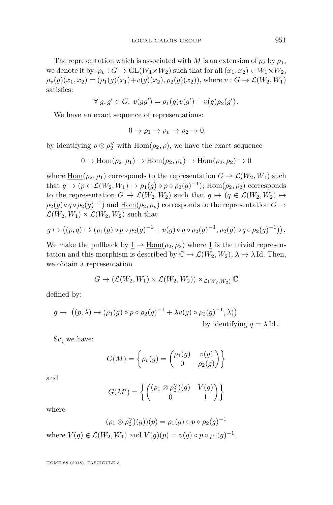The representation which is associated with *M* is an extension of  $\rho_2$  by  $\rho_1$ , we denote it by:  $\rho_v : G \to \text{GL}(W_1 \times W_2)$  such that for all  $(x_1, x_2) \in W_1 \times W_2$ ,  $\rho_v(g)(x_1, x_2) = (\rho_1(g)(x_1) + v(g)(x_2), \rho_2(g)(x_2))$ , where  $v : G \to \mathcal{L}(W_2, W_1)$ satisfies:

$$
\forall g, g' \in G, \ v(gg') = \rho_1(g)v(g') + v(g)\rho_2(g').
$$

We have an exact sequence of representations:

$$
0 \to \rho_1 \to \rho_v \to \rho_2 \to 0
$$

by identifying  $\rho \otimes \rho_2^{\vee}$  with  $\text{Hom}(\rho_2, \rho)$ , we have the exact sequence

$$
0\to \underline{\mathrm{Hom}}(\rho_2,\rho_1)\to \underline{\mathrm{Hom}}(\rho_2,\rho_v)\to \underline{\mathrm{Hom}}(\rho_2,\rho_2)\to 0
$$

where  $\underline{\text{Hom}}(\rho_2, \rho_1)$  corresponds to the representation  $G \to \mathcal{L}(W_2, W_1)$  such that  $g \mapsto (p \in \mathcal{L}(W_2, W_1) \mapsto \rho_1(g) \circ p \circ \rho_2(g)^{-1})$ ; <u>Hom</u>( $\rho_2, \rho_2$ ) corresponds to the representation  $G \to \mathcal{L}(W_2, W_2)$  such that  $g \mapsto (g \in \mathcal{L}(W_2, W_2) \mapsto$  $\rho_2(g) \circ q \circ \rho_2(g)^{-1}$  and  $\underline{\text{Hom}}(\rho_2, \rho_v)$  corresponds to the representation  $G \to$  $\mathcal{L}(W_2, W_1) \times \mathcal{L}(W_2, W_2)$  such that

$$
g \mapsto ((p,q) \mapsto (\rho_1(g) \circ p \circ \rho_2(g)^{-1} + v(g) \circ q \circ \rho_2(g)^{-1}, \rho_2(g) \circ q \circ \rho_2(g)^{-1})).
$$

We make the pullback by  $1 \rightarrow \text{Hom}(\rho_2, \rho_2)$  where 1 is the trivial representation and this morphism is described by  $\mathbb{C} \to \mathcal{L}(W_2, W_2)$ ,  $\lambda \mapsto \lambda$  Id. Then, we obtain a representation

$$
G \to (\mathcal{L}(W_2, W_1) \times \mathcal{L}(W_2, W_2)) \times_{\mathcal{L}(W_2, W_2)} \mathbb{C}
$$

defined by:

$$
g \mapsto ((p, \lambda) \mapsto (\rho_1(g) \circ p \circ \rho_2(g)^{-1} + \lambda v(g) \circ \rho_2(g)^{-1}, \lambda))
$$
  
by identifying  $q = \lambda \operatorname{Id}.$ 

So, we have:

$$
G(M) = \left\{ \rho_v(g) = \begin{pmatrix} \rho_1(g) & v(g) \\ 0 & \rho_2(g) \end{pmatrix} \right\}
$$

and

$$
G(M') = \left\{ \begin{pmatrix} (\rho_1 \otimes \rho_2^{\vee})(g) & V(g) \\ 0 & 1 \end{pmatrix} \right\}
$$

where

$$
(\rho_1 \otimes \rho_2^{\vee})(g))(p) = \rho_1(g) \circ p \circ \rho_2(g)^{-1}
$$

where  $V(g) \in \mathcal{L}(W_2, W_1)$  and  $V(g)(p) = v(g) \circ p \circ \rho_2(g)^{-1}$ .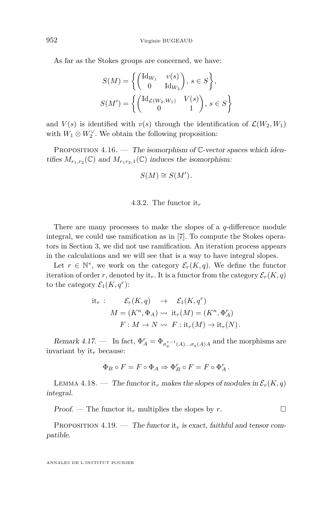As far as the Stokes groups are concerned, we have:

$$
S(M) = \left\{ \begin{pmatrix} \mathrm{Id}_{W_1} & v(s) \\ 0 & \mathrm{Id}_{W_2} \end{pmatrix}, s \in S \right\},
$$
  

$$
S(M') = \left\{ \begin{pmatrix} \mathrm{Id}_{\mathcal{L}(W_2, W_1)} & V(s) \\ 0 & 1 \end{pmatrix}, s \in S \right\}
$$

and  $V(s)$  is identified with  $v(s)$  through the identification of  $\mathcal{L}(W_2, W_1)$ with  $W_1 \otimes W_2^{\vee}$ . We obtain the following proposition:

<span id="page-52-0"></span>PROPOSITION 4.16. — The isomorphism of  $\mathbb{C}\text{-vector spaces which iden-}$ tifies  $M_{r_1,r_2}(\mathbb{C})$  and  $M_{r_1r_2,1}(\mathbb{C})$  induces the isomorphism:

$$
S(M) \cong S(M').
$$

#### 4.3.2. The functor it*<sup>r</sup>*

There are many processes to make the slopes of a *q*-difference module integral, we could use ramification as in [\[7\]](#page-63-2). To compute the Stokes operators in Section [3,](#page-21-0) we did not use ramification. An iteration process appears in the calculations and we will see that is a way to have integral slopes.

Let  $r \in \mathbb{N}^*$ , we work on the category  $\mathcal{E}_r(K,q)$ . We define the functor iteration of order *r*, denoted by it<sub>*r*</sub>. It is a functor from the category  $\mathcal{E}_r(K, q)$ to the category  $\mathcal{E}_1(K, q^r)$ :

$$
\begin{aligned}\n\text{it}_{r} : \quad & \mathcal{E}_{r}(K, q) \quad \to \quad \mathcal{E}_{1}(K, q^{r}) \\
M &= (K^{n}, \Phi_{A}) \rightsquigarrow \text{it}_{r}(M) = (K^{n}, \Phi_{A}^{r}) \\
F : M \to N \rightsquigarrow F : \text{it}_{r}(M) \to \text{it}_{r}(N).\n\end{aligned}
$$

Remark 4.17. — In fact,  $\Phi_A^r = \Phi_{\sigma_q^{r-1}(A)\dots\sigma_q(A)A}$  and the morphisms are invariant by it*<sup>r</sup>* because:

$$
\Phi_B \circ F = F \circ \Phi_A \Rightarrow \Phi_B^r \circ F = F \circ \Phi_A^r.
$$

LEMMA 4.18. — The functor it<sub>r</sub> makes the slopes of modules in  $\mathcal{E}_r(K,q)$ integral.

Proof. — The functor it<sub>r</sub> multiplies the slopes by *r*.

PROPOSITION 4.19. — The functor it<sub>r</sub> is exact, faithful and tensor compatible.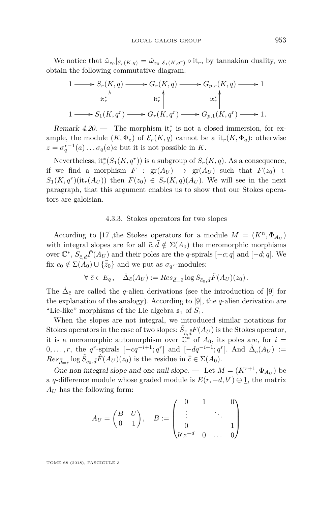We notice that  $\hat{\omega}_{z_0}|_{\mathcal{E}_r(K,q)} = \hat{\omega}_{z_0}|_{\mathcal{E}_1(K,q^r)} \circ \mathrm{it}_r$ , by tannakian duality, we obtain the following commutative diagram:

$$
1 \longrightarrow S_r(K, q) \longrightarrow G_r(K, q) \longrightarrow G_{p,r}(K, q) \longrightarrow 1
$$
  
\n
$$
\begin{array}{c}\n \operatorname{it}_r^* \Big\backslash \begin{array}{c}\n \operatorname{it}_r^* \Big\backslash \begin{array}{c}\n \operatorname{it}_r^* \Big\backslash \begin{array}{c}\n \operatorname{it}_r^* \Big\backslash \n \end{array} \\
 1 \longrightarrow S_1(K, q^r) \longrightarrow G_r(K, q^r) \longrightarrow G_{p,1}(K, q^r) \longrightarrow 1.\n\end{array}\n\end{array}
$$

Remark  $4.20.$  — The morphism it<sup>\*</sup><sub>*r*</sub> is not a closed immersion, for example, the module  $(K, \Phi_z)$  of  $\mathcal{E}_r(K,q)$  cannot be a it<sub>r</sub> $(K, \Phi_a)$ : otherwise  $z = \sigma_q^{r-1}(a) \dots \sigma_q(a) a$  but it is not possible in *K*.

Nevertheless,  $it_r^*(S_1(K, q^r))$  is a subgroup of  $S_r(K, q)$ . As a consequence, if we find a morphism  $F : gr(A_U) \rightarrow gr(A_U)$  such that  $F(z_0) \in$  $S_1(K, q^r)(\text{it}_{r}(A_U))$  then  $F(z_0) \in S_r(K, q)(A_U)$ . We will see in the next paragraph, that this argument enables us to show that our Stokes operators are galoisian.

#### 4.3.3. Stokes operators for two slopes

According to [\[17\]](#page-64-3), the Stokes operators for a module  $M = (K^n, \Phi_{A_U})$ with integral slopes are for all  $\bar{c}, \bar{d} \notin \Sigma(A_0)$  the meromorphic morphisms over  $\mathbb{C}^*$ ,  $S_{\bar{c},\bar{d}}\hat{F}(A_U)$  and their poles are the *q*-spirals  $[-c;q]$  and  $[-d;q]$ . We fix  $c_0 \notin \Sigma(A_0) \cup {\{\overline{\overline{z}}_0\}}$  and we put as  $\sigma_{q^r}$ -modules:

$$
\forall \ \bar{c} \in E_q, \quad \dot{\Delta}_{\bar{c}}(A_U) := Res_{\bar{d} = \bar{c}} \log S_{\bar{c}_0, \bar{d}} \hat{F}(A_U)(z_0).
$$

The  $\dot{\Delta}_{\bar{c}}$  are called the *q*-alien derivations (see the introduction of [\[9\]](#page-63-10) for the explanation of the analogy). According to [\[9\]](#page-63-10), the *q*-alien derivation are "Lie-like" morphisms of the Lie algebra  $\mathfrak{s}_1$  of  $S_1$ .

When the slopes are not integral, we introduced similar notations for Stokes operators in the case of two slopes:  $\tilde{S}_{\bar{\bar{c}},\bar{\bar{d}}}F(A_U)$  is the Stokes operator, it is a meromorphic automorphism over  $\check{C}^*$  of  $A_0$ , its poles are, for  $i =$ 0,...,r, the *q*<sup>r</sup>-spirals  $[-cq^{-i+1}; q<sup>r</sup>]$  and  $[-dq^{-i+1}; q<sup>r</sup>]$ . And  $\tilde{\Delta}_{\bar{c}}(A_U) :=$  $Res_{\bar{d}=\bar{\bar{c}}} \log \tilde{S}_{\bar{c}_0,\bar{d}}\hat{F}(A_U)(z_0)$  is the residue in  $\bar{\bar{c}} \in \Sigma(A_0)$ .

One non integral slope and one null slope. — Let  $M = (K^{r+1}, \Phi_{A_U})$  be a *q*-difference module whose graded module is  $E(r, -d, b^r) \oplus \underline{1}$ , the matrix *A<sup>U</sup>* has the following form:

$$
A_U = \begin{pmatrix} B & U \\ 0 & 1 \end{pmatrix}, \quad B := \begin{pmatrix} 0 & 1 & 0 \\ \vdots & & \ddots & \\ 0 & & & 1 \\ b'z^{-d} & 0 & \dots & 0 \end{pmatrix}
$$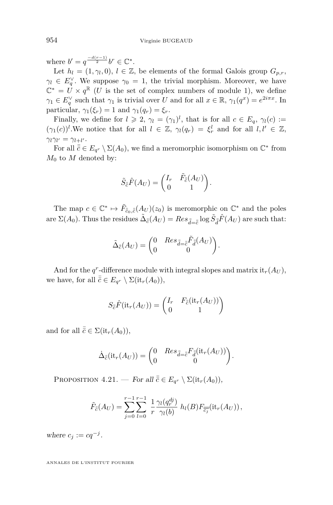where  $b' = q^{\frac{-d(r-1)}{2}}b^r \in \mathbb{C}^*$ .

Let  $h_l = (1, \gamma_l, 0), l \in \mathbb{Z}$ , be elements of the formal Galois group  $G_{p,r}$ ,  $\gamma_l \in E_q^{\vee}$ . We suppose  $\gamma_0 = 1$ , the trivial morphism. Moreover, we have  $\mathbb{C}^* = U \times q^{\mathbb{R}}$  (*U* is the set of complex numbers of module 1), we define  $\gamma_1 \in E_q^{\vee}$  such that  $\gamma_1$  is trivial over *U* and for all  $x \in \mathbb{R}$ ,  $\gamma_1(q^x) = e^{2i\pi x}$ . In particular,  $\gamma_1(\xi_r) = 1$  and  $\gamma_1(q_r) = \xi_r$ .

Finally, we define for  $l \ge 2$ ,  $\gamma_l = (\gamma_1)^l$ , that is for all  $c \in E_q$ ,  $\gamma_l(c) :=$  $(\gamma_1(c))^l$ . We notice that for all  $l \in \mathbb{Z}$ ,  $\gamma_l(q_r) = \xi_r^l$  and for all  $l, l' \in \mathbb{Z}$ ,  $\gamma_l \gamma_{l'} = \gamma_{l+l'}$ .

For all  $\bar{\bar{c}} \in E_{q^r} \setminus \Sigma(A_0)$ , we find a meromorphic isomorphism on  $\mathbb{C}^*$  from  $M_0$  to  $M$  denoted by:

$$
\tilde{S}_{\bar{c}}\hat{F}(A_U) = \begin{pmatrix} I_r & \tilde{F}_{\bar{c}}(A_U) \\ 0 & 1 \end{pmatrix}.
$$

The map  $c \in \mathbb{C}^* \mapsto \tilde{F}_{\bar{c}_0,\bar{c}}(A_U)(z_0)$  is meromorphic on  $\mathbb{C}^*$  and the poles  $\Delta \bar{\epsilon}(A_U) = Res_{\bar{d} = \bar{c}} \log \tilde{S}_{\bar{d}} \hat{F}(A_U)$  are such that:

$$
\tilde{\Delta}_{\bar{\bar{c}}}(A_U)=\begin{pmatrix}0 & Res_{\bar{\bar{d}}=\bar{\bar{c}}}\tilde{F}_{\bar{\bar{d}}}(A_U)\\0 & 0\end{pmatrix}.
$$

And for the  $q^r$ -difference module with integral slopes and matrix it<sub>r</sub>( $A_U$ ), we have, for all  $\bar{\bar{c}} \in E_{q^r} \setminus \Sigma(\mathrm{it}_r(A_0)),$ 

$$
S_{\overline{c}}\hat{F}(\mathrm{it}_r(A_U)) = \begin{pmatrix} I_r & F_{\overline{c}}(\mathrm{it}_r(A_U)) \\ 0 & 1 \end{pmatrix}
$$

and for all  $\bar{\bar{c}} \in \Sigma(\text{it}_r(A_0)),$ 

$$
\dot{\Delta}_{\bar{\bar{e}}}(\mathrm{it}_r(A_U)) = \begin{pmatrix} 0 & Res_{\bar{d} = \bar{\bar{e}}} F_{\bar{d}}(\mathrm{it}_r(A_U)) \\ 0 & 0 \end{pmatrix}.
$$

<span id="page-54-0"></span>PROPOSITION  $4.21$ . — For all  $\bar{\bar{c}} \in E_{q^r} \setminus \Sigma(\mathrm{it}_r(A_0)),$ 

$$
\tilde{F}_{\overline{c}}(A_U) = \sum_{j=0}^{r-1} \sum_{l=0}^{r-1} \frac{1}{r} \frac{\gamma_l(q_r^{dj})}{\gamma_l(b)} h_l(B) F_{\overline{c_j}}(\text{it}_r(A_U)),
$$

where  $c_j := cq^{-j}$ .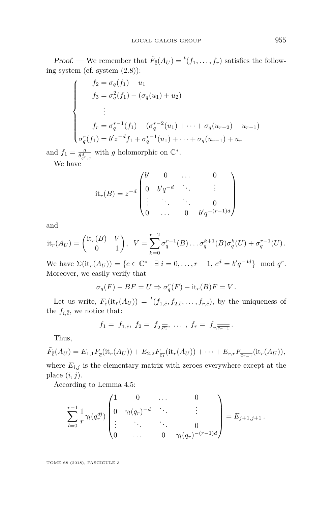Proof. — We remember that  $\tilde{F}_{\bar{c}}(A_U) = {}^t(f_1, \ldots, f_r)$  satisfies the following system (cf. system [\(2.8\)](#page-18-3)):

$$
\begin{cases}\nf_2 = \sigma_q(f_1) - u_1 \\
f_3 = \sigma_q^2(f_1) - (\sigma_q(u_1) + u_2) \\
\vdots \\
f_r = \sigma_q^{r-1}(f_1) - (\sigma_q^{r-2}(u_1) + \dots + \sigma_q(u_{r-2}) + u_{r-1}) \\
\sigma_q^r(f_1) = b'z^{-d}f_1 + \sigma_q^{r-1}(u_1) + \dots + \sigma_q(u_{r-1}) + u_r\n\end{cases}
$$

and  $f_1 = \frac{g}{\theta^d}$  $\frac{g}{\theta_{q^r,c}^d}$  with *g* holomorphic on  $\mathbb{C}^*$ . We have

$$
it_r(B) = z^{-d} \begin{pmatrix} b' & 0 & \dots & 0 \\ 0 & b'q^{-d} & \ddots & \vdots \\ \vdots & \ddots & \ddots & 0 \\ 0 & \dots & 0 & b'q^{-(r-1)d} \end{pmatrix}
$$

and

$$
it_r(A_U) = \begin{pmatrix} it_r(B) & V \\ 0 & 1 \end{pmatrix}, \ \ V = \sum_{k=0}^{r-2} \sigma_q^{r-1}(B) \dots \sigma_q^{k+1}(B) \sigma_q^k(U) + \sigma_q^{r-1}(U).
$$

We have  $\Sigma(\text{it}_r(A_U)) = \{c \in \mathbb{C}^* \mid \exists i = 0, ..., r - 1, c^d = b'q^{-id}\} \mod q^r$ . Moreover, we easily verify that

$$
\sigma_q(F) - BF = U \Rightarrow \sigma_q^r(F) - \text{it}_r(B)F = V.
$$

Let us write,  $F_{\bar{c}}(\text{it}_r(A_U)) = {}^{t}(f_{1,\bar{c}}, f_{2,\bar{c}}, \ldots, f_{r,\bar{c}}),$  by the uniqueness of the  $f_{i,\bar{\bar{c}}}$ , we notice that:

$$
f_1 = f_{1,\bar{c}}, f_2 = f_{2,\overline{c_1}}, \ldots, f_r = f_{r,\overline{c_{r-1}}}
$$

Thus,

$$
\tilde{F}_{\overline{c}}(A_U)=E_{1,1}F_{\overline{c}}(\mathrm{it}_r(A_U))+E_{2,2}F_{\overline{c_1}}(\mathrm{it}_r(A_U))+\cdots+E_{r,r}F_{\overline{\overline{c_{r-1}}}}(\mathrm{it}_r(A_U)),
$$

where  $E_{i,j}$  is the elementary matrix with zeroes everywhere except at the place  $(i, j)$ .

According to Lemma [4.5:](#page-37-0)

$$
\sum_{l=0}^{r-1} \frac{1}{r} \gamma_l(q_r^{dj}) \begin{pmatrix} 1 & 0 & \dots & 0 \\ 0 & \gamma_l(q_r)^{-d} & \ddots & \vdots \\ \vdots & \ddots & \ddots & 0 \\ 0 & \dots & 0 & \gamma_l(q_r)^{-(r-1)d} \end{pmatrix} = E_{j+1,j+1}.
$$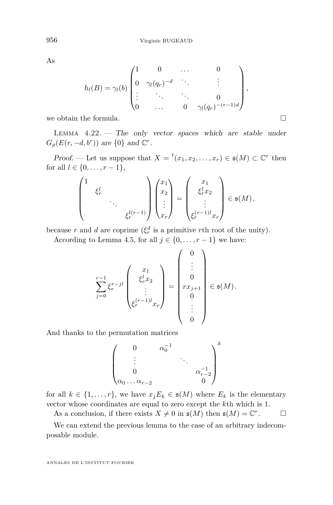As

$$
h_l(B) = \gamma_l(b) \begin{pmatrix} 1 & 0 & \dots & 0 \\ 0 & \gamma_l(q_r)^{-d} & \ddots & \vdots \\ \vdots & \ddots & \ddots & 0 \\ 0 & \dots & 0 & \gamma_l(q_r)^{-(r-1)d} \end{pmatrix},
$$

we obtain the formula.

LEMMA  $4.22.$  – The only vector spaces which are stable under  $G_p(E(r, -d, b^r))$  are  $\{0\}$  and  $\mathbb{C}^r$ .

Proof. — Let us suppose that  $X = {}^t(x_1, x_2, \ldots, x_r) \in \mathfrak{s}(M) \subset \mathbb{C}^r$  then for all  $l \in \{0, \ldots, r-1\},\$ 

$$
\begin{pmatrix} 1 & & & \\ & \xi_r^l & & \\ & & \ddots & \\ & & & \xi_r^{l(r-1)} \end{pmatrix} \begin{pmatrix} x_1 \\ x_2 \\ \vdots \\ x_r \end{pmatrix} = \begin{pmatrix} x_1 \\ \xi_r^l x_2 \\ \vdots \\ \xi_r^{(r-1)l} x_r \end{pmatrix} \in \mathfrak{s}(M),
$$

because *r* and *d* are coprime  $(\xi_r^d$  is a primitive *r*th root of the unity).

According to Lemma [4.5,](#page-37-0) for all  $j \in \{0, \ldots, r-1\}$  we have:

$$
\sum_{j=0}^{r-1} \xi_r^{r-jl}\begin{pmatrix} x_1 \\ \xi_r^l x_2 \\ \vdots \\ \xi_r^{(r-1)l} x_r \end{pmatrix} = \begin{pmatrix} 0 \\ \vdots \\ 0 \\ rx_{j+1} \\ 0 \\ \vdots \\ 0 \end{pmatrix} \in \mathfrak{s}(M).
$$

And thanks to the permutation matrices

$$
\begin{pmatrix}\n0 & \alpha_0^{-1} \\
\vdots & \ddots & \vdots \\
0 & & \alpha_{r-2}^{-1} \\
\alpha_0 \dots \alpha_{r-2} & & 0\n\end{pmatrix}^k
$$

for all  $k \in \{1, \ldots, r\}$ , we have  $x_j E_k \in \mathfrak{s}(M)$  where  $E_k$  is the elementary vector whose coordinates are equal to zero except the *k*th which is 1.

As a conclusion, if there exists  $X \neq 0$  in  $\mathfrak{s}(M)$  then  $\mathfrak{s}(M) = \mathbb{C}^r$  $\Box$ 

We can extend the previous lemma to the case of an arbitrary indecomposable module.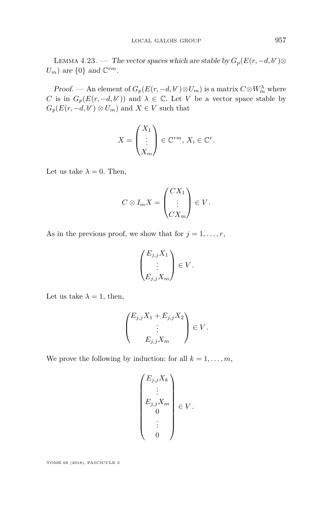<span id="page-57-0"></span>LEMMA 4.23. — The vector spaces which are stable by  $G_p(E(r, -d, b^r) \otimes$  $U_m$ ) are  $\{0\}$  and  $\mathbb{C}^{rm}$ .

Proof. — An element of  $G_p(E(r, -d, b^r) \otimes U_m)$  is a matrix  $C \otimes W_m^{\lambda}$  where *C* is in  $G_p(E(r, -d, b^r))$  and  $\lambda \in \mathbb{C}$ . Let *V* be a vector space stable by  $G_p(E(r, -d, b^r) \otimes U_m)$  and  $X \in V$  such that

$$
X = \begin{pmatrix} X_1 \\ \vdots \\ X_m \end{pmatrix} \in \mathbb{C}^{rm}, X_i \in \mathbb{C}^r.
$$

Let us take  $\lambda = 0$ . Then,

$$
C \otimes I_m X = \begin{pmatrix} CX_1 \\ \vdots \\ CX_m \end{pmatrix} \in V.
$$

As in the previous proof, we show that for  $j = 1, \ldots, r$ ,

$$
\begin{pmatrix} E_{j,j}X_1 \\ \vdots \\ E_{j,j}X_m \end{pmatrix} \in V.
$$

Let us take  $\lambda = 1$ , then,

$$
\begin{pmatrix} E_{j,j}X_1 + E_{j,j}X_2 \ \vdots \ E_{j,j}X_m \end{pmatrix} \in V.
$$

We prove the following by induction: for all  $k = 1, \ldots, m$ ,

$$
\begin{pmatrix} E_{j,j}X_k \\ \vdots \\ E_{j,j}X_m \\ 0 \\ \vdots \\ 0 \end{pmatrix} \in V.
$$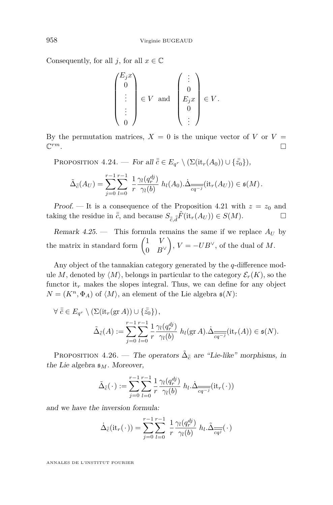Consequently, for all *j*, for all  $x \in \mathbb{C}$ 

$$
\begin{pmatrix} E_j x \\ 0 \\ \vdots \\ \vdots \\ 0 \end{pmatrix} \in V \text{ and } \begin{pmatrix} \vdots \\ 0 \\ E_j x \\ 0 \\ \vdots \end{pmatrix} \in V.
$$

By the permutation matrices,  $X = 0$  is the unique vector of *V* or  $V =$  $\mathbb{C}^{rm}$ . *rm*.

PROPOSITION  $4.24$ . — For all  $\bar{\bar{c}} \in E_{q^r} \setminus (\Sigma(\mathrm{it}_r(A_0)) \cup \{\bar{\bar{z_0}}\}),$ 

$$
\tilde{\Delta}_{\bar{c}}(A_U) = \sum_{j=0}^{r-1} \sum_{l=0}^{r-1} \frac{1}{r} \frac{\gamma_l(q_r^{dj})}{\gamma_l(b)} h_l(A_0) \Delta_{\overline{cq^{-j}}}(\mathrm{it}_r(A_U)) \in \mathfrak{s}(M).
$$

Proof. — It is a consequence of the Proposition [4.21](#page-54-0) with  $z = z_0$  and taking the residue in  $\bar{\bar{c}}$ , and because  $S_{\bar{\bar{c}},\bar{\bar{d}}} \hat{F}(\text{it}_r(A_U)) \in S(M)$ .

Remark  $4.25$ . — This formula remains the same if we replace  $A_U$  by the matrix in standard form  $\begin{pmatrix} 1 & V \\ 0 & R \end{pmatrix}$ 0 *B*<sup>∨</sup>  $\bigg), V = -UB^{\vee},$  of the dual of M.

Any object of the tannakian category generated by the *q*-difference module *M*, denoted by  $\langle M \rangle$ , belongs in particular to the category  $\mathcal{E}_r(K)$ , so the functor it<sub>r</sub> makes the slopes integral. Thus, we can define for any object  $N = (K^n, \Phi_A)$  of  $\langle M \rangle$ , an element of the Lie algebra  $\mathfrak{s}(N)$ :

$$
\forall \bar{c} \in E_{q^r} \setminus (\Sigma(\text{it}_r(\text{gr }A)) \cup \{\bar{z}_0\}),
$$
  

$$
\tilde{\Delta}_{\bar{c}}(A) := \sum_{j=0}^{r-1} \sum_{l=0}^{r-1} \frac{1}{r} \frac{\gamma_l(q_r^{dj})}{\gamma_l(b)} h_l(\text{gr }A). \Delta_{\overline{cq^{-j}}}(\text{it}_r(A)) \in \mathfrak{s}(N).
$$

<span id="page-58-0"></span>PROPOSITION 4.26. — The operators  $\tilde{\Delta}_{\bar{\bar{c}}}$  are "Lie-like" morphisms, in the Lie algebra  $\mathfrak{s}_M$ . Moreover,

$$
\tilde{\Delta}_{\bar{\bar{c}}}(\cdot) := \sum_{j=0}^{r-1} \sum_{l=0}^{r-1} \frac{1}{r} \frac{\gamma_l(q_r^{dj})}{\gamma_l(b)} h_l \cdot \dot{\Delta}_{\overline{cq^{-j}}}(\text{it}_r(\cdot))
$$

and we have the inversion formula:

$$
\dot{\Delta}_{\bar{e}}(\mathrm{it}_r(\cdot)) = \sum_{j=0}^{r-1} \sum_{l=0}^{r-1} \frac{1}{r} \frac{\gamma_l(q_r^{dj})}{\gamma_l(b)} h_l \cdot \tilde{\Delta}_{\overline{cq}^j}(\cdot)
$$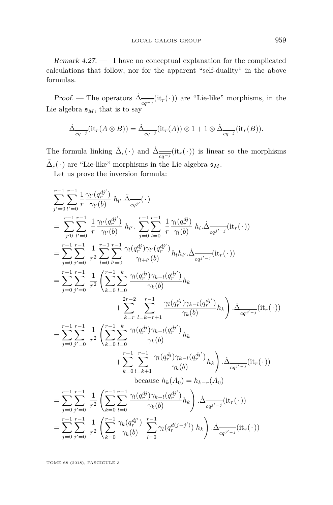Remark 4.27. — I have no conceptual explanation for the complicated calculations that follow, nor for the apparent "self-duality" in the above formulas.

*Proof.* — The operators  $\Delta_{\overline{cq^{-j}}}(\text{it}_r(\cdot))$  are "Lie-like" morphisms, in the Lie algebra  $\mathfrak{s}_M$ , that is to say

$$
\dot{\Delta}_{\overline{cq^{-j}}}(\text{it}_r(A \otimes B)) = \dot{\Delta}_{\overline{cq^{-j}}}(\text{it}_r(A)) \otimes 1 + 1 \otimes \dot{\Delta}_{\overline{cq^{-j}}}(\text{it}_r(B)).
$$

The formula linking  $\tilde{\Delta}_{\bar{\tilde{c}}}(\cdot)$  and  $\tilde{\Delta}_{\overline{cq^{-j}}}(\text{it}_r(\cdot))$  is linear so the morphisms  $\tilde{\Delta}_{\bar{\bar{e}}}(\,\cdot\,)$  are "Lie-like" morphisms in the Lie algebra  $\mathfrak{s}_M.$ 

Let us prove the inversion formula:

$$
\sum_{j'=0}^{r-1} \sum_{l'=0}^{r-1} \frac{1}{r} \frac{\gamma_{l'}(q_r^{dj'})}{\gamma_{l'}(b)} h_{l'} \cdot \tilde{\Delta}_{\overline{cq^{j'}}}(.)
$$
\n
$$
= \sum_{j'=0}^{r-1} \sum_{l'=0}^{r-1} \frac{1}{r} \frac{\gamma_{l'}(q_r^{dj'})}{\gamma_{l'}(b)} h_{l'} \cdot \sum_{j=0}^{r-1} \sum_{l=0}^{r-1} \frac{1}{r} \frac{\gamma_{l}(q_r^{dj})}{\gamma_{l}(b)} h_{l} \cdot \tilde{\Delta}_{\overline{cq^{j'-j}}}(it_r(.))
$$
\n
$$
= \sum_{j=0}^{r-1} \sum_{j'=0}^{r-1} \frac{1}{r^2} \sum_{l=0}^{r-1} \sum_{l'=0}^{r-1} \frac{\gamma_{l}(q_r^{dj}) \gamma_{l'}(q_r^{dj'})}{\gamma_{l+l'}(b)} h_{l} h_{l'} \cdot \tilde{\Delta}_{\overline{cq^{j'-j}}}(it_r(.))
$$
\n
$$
= \sum_{j=0}^{r-1} \sum_{j'=0}^{r-1} \frac{1}{r^2} \left( \sum_{k=0}^{r-1} \sum_{l=0}^{k} \frac{\gamma_{l}(q_r^{dj}) \gamma_{k-l}(q_r^{dj'})}{\gamma_k(b)} h_k \right. \left. \Delta_{\overline{cq^{j'-j}}}(it_r(.))
$$
\n
$$
+ \sum_{k=r}^{2r-2} \sum_{l=k-r+1}^{r-1} \frac{\gamma_{l}(q_r^{dj}) \gamma_{k-l}(q_r^{dj'})}{\gamma_k(b)} h_k \right) \cdot \tilde{\Delta}_{\overline{cq^{j'-j}}} (it_r(.))
$$
\n
$$
= \sum_{j=0}^{r-1} \sum_{j'=0}^{r-1} \frac{1}{r^2} \left( \sum_{k=0}^{r-1} \sum_{l=0}^{k} \frac{\gamma_{l}(q_r^{dj}) \gamma_{k-l}(q_r^{dj'})}{\gamma_k(b)} h_k \right) \cdot \tilde{\Delta}_{\overline{cq^{j'-j}}} (it_r(.))
$$
\nbecause  $h_k(A_0) = h_{k-r}(A_0)$   
\n
$$
= \sum_{j=0}^{r-1} \sum_{j'=0}^{r-1} \
$$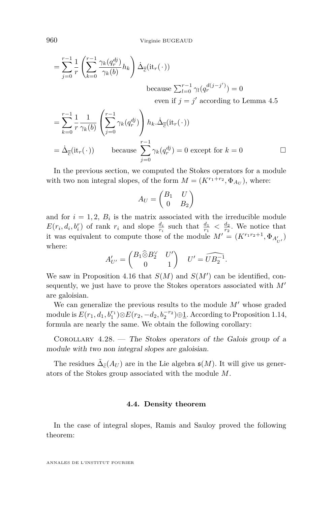$$
= \sum_{j=0}^{r-1} \frac{1}{r} \left( \sum_{k=0}^{r-1} \frac{\gamma_k(q_r^{dj})}{\gamma_k(b)} h_k \right) \dot{\Delta}_{\overline{c}}(\text{it}_r(\cdot))
$$
  
because  $\sum_{l=0}^{r-1} \gamma_l(q_r^{d(j-j')}) = 0$   
even if  $j = j'$  according to Lemma 4.5

$$
= \sum_{k=0}^{r-1} \frac{1}{r} \frac{1}{\gamma_k(b)} \left( \sum_{j=0}^{r-1} \gamma_k(q_r^{dj}) \right) h_k \dot{\Delta}_{\overline{c}}(\text{it}_r(\cdot))
$$
  
=  $\dot{\Delta}_{\overline{c}}(\text{it}_r(\cdot))$  because  $\sum_{j=0}^{r-1} \gamma_k(q_r^{dj}) = 0$  except for  $k = 0$ 

In the previous section, we computed the Stokes operators for a module with two non integral slopes, of the form  $M = (K^{r_1+r_2}, \Phi_{A_U})$ , where:

$$
A_U = \begin{pmatrix} B_1 & U \\ 0 & B_2 \end{pmatrix}
$$

and for  $i = 1, 2, B_i$  is the matrix associated with the irreducible module  $E(r_i, d_i, b_i^r)$  of rank  $r_i$  and slope  $\frac{d_i}{r_i}$  such that  $\frac{d_1}{r_1} < \frac{d_2}{r_2}$ . We notice that it was equivalent to compute those of the module  $M' = (K^{r_1 r_2 + 1}, \Phi_{A'_{U'}})$ where:

$$
A'_{U'} = \begin{pmatrix} B_1 \widehat{\otimes} B_2^{\vee} & U' \\ 0 & 1 \end{pmatrix} \quad U' = \widehat{UB_2^{-1}}.
$$

We saw in Proposition [4.16](#page-52-0) that  $S(M)$  and  $S(M')$  can be identified, consequently, we just have to prove the Stokes operators associated with  $M'$ are galoisian.

We can generalize the previous results to the module  $M'$  whose graded module is  $E(r_1, d_1, b_1^{r_1})$ ⊗ $E(r_2, -d_2, b_2^{-r_2}) \oplus \underline{1}$ . According to Proposition [1.14,](#page-9-1) formula are nearly the same. We obtain the following corollary:

COROLLARY  $4.28.$  – The Stokes operators of the Galois group of a module with two non integral slopes are galoisian.

The residues  $\tilde{\Delta}_{\bar{c}}(A_U)$  are in the Lie algebra  $\mathfrak{s}(M)$ . It will give us generators of the Stokes group associated with the module *M*.

#### **4.4. Density theorem**

In the case of integral slopes, Ramis and Sauloy proved the following theorem: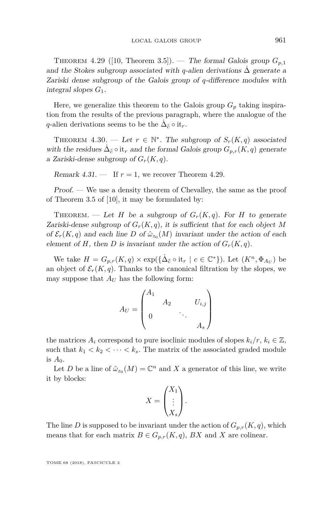<span id="page-61-1"></span>THEOREM 4.29 ([\[10,](#page-63-3) Theorem 3.5]). — The formal Galois group  $G_{p,1}$ and the Stokes subgroup associated with *q*-alien derivations  $\Delta$  generate a Zariski dense subgroup of the Galois group of *q*-difference modules with integral slopes *G*1.

Here, we generalize this theorem to the Galois group  $G_p$  taking inspiration from the results of the previous paragraph, where the analogue of the *q*-alien derivations seems to be the  $\dot{\Delta}_{\bar{\bar{c}}} \circ i t_r$ .

<span id="page-61-0"></span>THEOREM 4.30. — Let  $r \in \mathbb{N}^*$ . The subgroup of  $S_r(K,q)$  associated with the residues  $\Delta_{\bar{\bar{c}}} \circ \text{it}_r$  and the formal Galois group  $G_{p,r}(K,q)$  generate a Zariski-dense subgroup of  $G_r(K, q)$ .

Remark  $4.31.$  — If  $r = 1$ , we recover Theorem [4.29.](#page-61-1)

Proof. — We use a density theorem of Chevalley, the same as the proof of Theorem 3.5 of [\[10\]](#page-63-3), it may be formulated by:

THEOREM. — Let *H* be a subgroup of  $G_r(K,q)$ . For *H* to generate Zariski-dense subgroup of  $G_r(K, q)$ , it is sufficient that for each object M of  $\mathcal{E}_r(K,q)$  and each line *D* of  $\hat{\omega}_{z_0}(M)$  invariant under the action of each element of *H*, then *D* is invariant under the action of  $G_r(K, q)$ .

We take  $H = G_{p,r}(K, q) \times \exp(\{\dot{\Delta}_{\bar{c}} \circ \text{it}_r \mid c \in \mathbb{C}^*\})$ . Let  $(K^n, \Phi_{A_U})$  be an object of  $\mathcal{E}_r(K,q)$ . Thanks to the canonical filtration by the slopes, we may suppose that  $A_U$  has the following form:

$$
A_U = \begin{pmatrix} A_1 & & & & \\ & A_2 & & & U_{i,j} \\ & & & \ddots & \\ 0 & & & & A_s \end{pmatrix}
$$

the matrices  $A_i$  correspond to pure isoclinic modules of slopes  $k_i/r, k_i \in \mathbb{Z}$ , such that  $k_1 < k_2 < \cdots < k_s$ . The matrix of the associated graded module is  $A_0$ .

Let *D* be a line of  $\hat{\omega}_{z_0}(M) = \mathbb{C}^n$  and *X* a generator of this line, we write it by blocks:

$$
X = \begin{pmatrix} X_1 \\ \vdots \\ X_s \end{pmatrix}.
$$

The line *D* is supposed to be invariant under the action of  $G_{p,r}(K,q)$ , which means that for each matrix  $B \in G_{p,r}(K,q)$ , *BX* and *X* are colinear.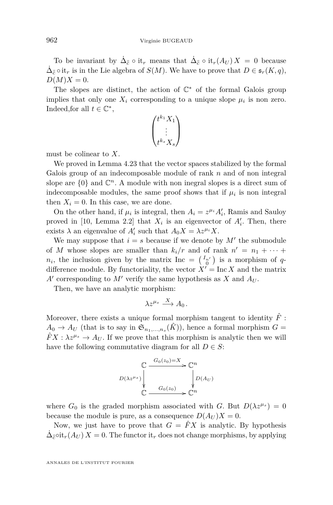To be invariant by  $\dot{\Delta}_{\bar{c}} \circ \text{it}_r$  means that  $\dot{\Delta}_{\bar{c}} \circ \text{it}_r(A_U) X = 0$  because  $\dot{\Delta}_{\bar{c}}$  ∘ it<sub>*r*</sub> is in the Lie algebra of *S*(*M*). We have to prove that *D* ∈  $\mathfrak{s}_r(K, q)$ ,  $D(M)X = 0.$ 

The slopes are distinct, the action of  $\mathbb{C}^*$  of the formal Galois group implies that only one  $X_i$  corresponding to a unique slope  $\mu_i$  is non zero. Indeed, for all  $t \in \mathbb{C}^*$ ,

$$
\begin{pmatrix}t^{k_1}X_1\\ \vdots\\ t^{k_s}X_s\end{pmatrix}
$$

must be colinear to *X*.

We proved in Lemma [4.23](#page-57-0) that the vector spaces stabilized by the formal Galois group of an indecomposable module of rank *n* and of non integral slope are  $\{0\}$  and  $\mathbb{C}^n$ . A module with non inegral slopes is a direct sum of indecomposable modules, the same proof shows that if  $\mu_i$  is non integral then  $X_i = 0$ . In this case, we are done.

On the other hand, if  $\mu_i$  is integral, then  $A_i = z^{\mu_i} A'_i$ , Ramis and Sauloy proved in [\[10,](#page-63-3) Lemma 2.2] that  $X_i$  is an eigenvector of  $A'_i$ . Then, there exists  $\lambda$  an eigenvalue of  $A'_i$  such that  $A_0 X = \lambda z^{\mu_i} X$ .

We may suppose that  $i = s$  because if we denote by  $M'$  the submodule of *M* whose slopes are smaller than  $k_i/r$  and of rank  $n' = n_1 + \cdots$  $n_i$ , the inclusion given by the matrix Inc =  $\begin{pmatrix} I_{n'} \\ 0 \end{pmatrix}$  is a morphism of *q*difference module. By functoriality, the vector  $X' = \text{Inc } X$  and the matrix  $A'$  corresponding to  $M'$  verify the same hypothesis as  $X$  and  $A_U$ .

Then, we have an analytic morphism:

$$
\lambda z^{\mu_s}\stackrel{X}{\longrightarrow} A_0\,.
$$

Moreover, there exists a unique formal morphism tangent to identity  $\hat{F}$ :  $A_0 \rightarrow A_U$  (that is to say in  $\mathfrak{S}_{n_1,\dots,n_s}(\hat{K})$ ), hence a formal morphism  $G =$  $\hat{F}X : \lambda z^{\mu_s} \to A_U$ . If we prove that this morphism is analytic then we will have the following commutative diagram for all  $D \in S$ :

$$
D(\lambda z^{\mu_s})\n\begin{matrix}\nC & \xrightarrow{G_0(z_0)=X} C^n \\
\downarrow & \searrow \\
\downarrow & \xrightarrow{G_0(z_0)} C^n\n\end{matrix}\n\begin{matrix}\nD(A_U) \\
D(A_U)\n\end{matrix}
$$

where  $G_0$  is the graded morphism associated with *G*. But  $D(\lambda z^{\mu_s}) = 0$ because the module is pure, as a consequence  $D(A_U)X = 0$ .

Now, we just have to prove that  $G = \hat{F}X$  is analytic. By hypothesis  $\dot{\Delta}_{\bar{c}}$ ∘it<sub>*r*</sub>(*AU*) *X* = 0. The functor it<sub>*r*</sub> does not change morphisms, by applying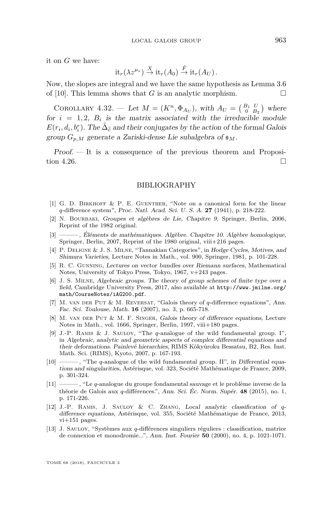it on *G* we have:

$$
it_r(\lambda z^{\mu_s}) \stackrel{X}{\to} it_r(A_0) \stackrel{\hat{F}}{\to} it_r(A_U).
$$

Now, the slopes are integral and we have the same hypothesis as Lemma 3.6 of [\[10\]](#page-63-3). This lemma shows that *G* is an analytic morphism.  $\Box$ 

COROLLARY 4.32. — Let  $M = (K^n, \Phi_{A_U})$ , with  $A_U = \begin{pmatrix} B_1 & U \\ 0 & B_2 \end{pmatrix}$  where for  $i = 1, 2, B_i$  is the matrix associated with the irreducible module  $E(r_i, d_i, b_i^r)$ . The  $\tilde{\Delta}_{\bar{\bar{c}}}$  and their conjugates by the action of the formal Galois group  $G_{p,M}$  generate a Zariski-dense Lie subalgebra of  $\mathfrak{s}_M$ .

Proof. — It is a consequence of the previous theorem and Proposi-tion [4.26.](#page-58-0)

#### BIBLIOGRAPHY

- <span id="page-63-0"></span>[1] G. D. Birkhoff & P. E. Guenther, "Note on a canonical form for the linear *q*-difference system", Proc. Natl. Acad. Sci. U. S. A. **27** (1941), p. 218-222.
- <span id="page-63-11"></span>[2] N. Bourbaki, Groupes et algèbres de Lie, Chapitre 9, Springer, Berlin, 2006, Reprint of the 1982 original.
- <span id="page-63-7"></span>[3] ——— , Éléments de mathématiques. Algèbre. Chapitre 10. Algèbre homologique, Springer, Berlin, 2007, Reprint of the 1980 original, viii+216 pages.
- <span id="page-63-9"></span>[4] P. Deligne & J. S. Milne, "Tannakian Categories", in Hodge Cycles, Motives, and Shimura Varieties, Lecture Notes in Math., vol. 900, Springer, 1981, p. 101-228.
- <span id="page-63-8"></span>[5] R. C. Gunning, Lectures on vector bundles over Riemann surfaces, Mathematical Notes, University of Tokyo Press, Tokyo, 1967, v+243 pages.
- <span id="page-63-12"></span>[6] J. S. Milne, Algebraic groups. The theory of group schemes of finite type over a field, Cambridge University Press, 2017, also available at [http://www.jmilne.org/](http://www.jmilne.org/math/CourseNotes/iAG200.pdf) [math/CourseNotes/iAG200.pdf](http://www.jmilne.org/math/CourseNotes/iAG200.pdf).
- <span id="page-63-2"></span>[7] M. van der Put & M. Reversat, "Galois theory of *q*-difference equations", Ann. Fac. Sci. Toulouse, Math. **16** (2007), no. 3, p. 665-718.
- <span id="page-63-1"></span>[8] M. van der Put & M. F. Singer, Galois theory of difference equations, Lecture Notes in Math., vol. 1666, Springer, Berlin, 1997, viii+180 pages.
- <span id="page-63-10"></span>[9] J.-P. Ramis & J. Sauloy, "The *q*-analogue of the wild fundamental group. I", in Algebraic, analytic and geometric aspects of complex differential equations and their deformations. Painlevé hierarchies, RIMS Kôkyûroku Bessatsu, B2, Res. Inst. Math. Sci. (RIMS), Kyoto, 2007, p. 167-193.
- <span id="page-63-3"></span>[10] ——— , "The *q*-analogue of the wild fundamental group. II", in Differential equations and singularities, Astérisque, vol. 323, Société Mathématique de France, 2009, p. 301-324.
- <span id="page-63-4"></span>[11] ——— , "Le *q*-analogue du groupe fondamental sauvage et le problème inverse de la théorie de Galois aux *q*-différences.", Ann. Sci. Éc. Norm. Supér. **48** (2015), no. 1, p. 171-226.
- <span id="page-63-5"></span>[12] J.-P. Ramis, J. Sauloy & C. Zhang, Local analytic classification of *q*difference equations, Astérisque, vol. 355, Société Mathématique de France, 2013, vi+151 pages.
- <span id="page-63-6"></span>[13] J. Sauloy, "Systèmes aux *q*-différences singuliers réguliers : classification, matrice de connexion et monodromie...", Ann. Inst. Fourier **50** (2000), no. 4, p. 1021-1071.